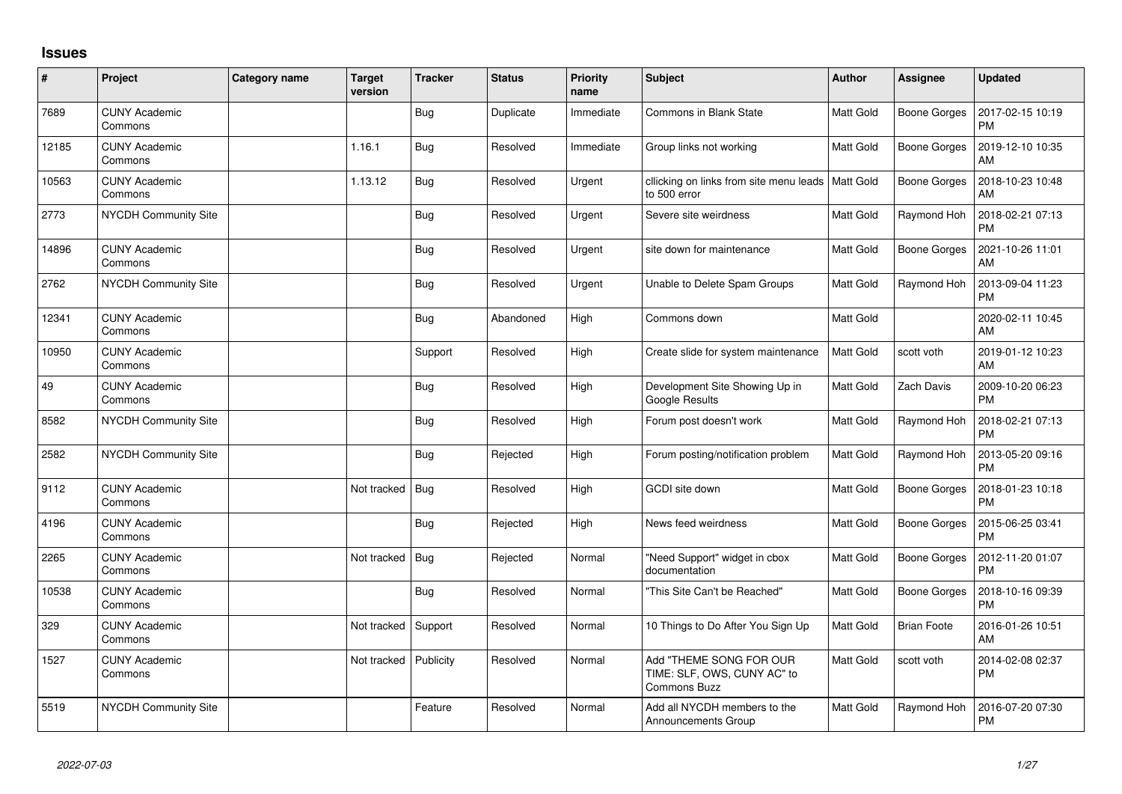## **Issues**

| $\#$  | Project                         | Category name | <b>Target</b><br>version | <b>Tracker</b> | <b>Status</b> | Priority<br>name | <b>Subject</b>                                                                | <b>Author</b>    | Assignee            | <b>Updated</b>                |
|-------|---------------------------------|---------------|--------------------------|----------------|---------------|------------------|-------------------------------------------------------------------------------|------------------|---------------------|-------------------------------|
| 7689  | <b>CUNY Academic</b><br>Commons |               |                          | Bug            | Duplicate     | Immediate        | Commons in Blank State                                                        | <b>Matt Gold</b> | Boone Gorges        | 2017-02-15 10:19<br><b>PM</b> |
| 12185 | <b>CUNY Academic</b><br>Commons |               | 1.16.1                   | Bug            | Resolved      | Immediate        | Group links not working                                                       | <b>Matt Gold</b> | Boone Gorges        | 2019-12-10 10:35<br>AM        |
| 10563 | <b>CUNY Academic</b><br>Commons |               | 1.13.12                  | Bug            | Resolved      | Urgent           | cllicking on links from site menu leads   Matt Gold<br>to 500 error           |                  | Boone Gorges        | 2018-10-23 10:48<br>AM        |
| 2773  | NYCDH Community Site            |               |                          | <b>Bug</b>     | Resolved      | Urgent           | Severe site weirdness                                                         | <b>Matt Gold</b> | Raymond Hoh         | 2018-02-21 07:13<br><b>PM</b> |
| 14896 | <b>CUNY Academic</b><br>Commons |               |                          | <b>Bug</b>     | Resolved      | Urgent           | site down for maintenance                                                     | Matt Gold        | Boone Gorges        | 2021-10-26 11:01<br>AM        |
| 2762  | <b>NYCDH Community Site</b>     |               |                          | Bug            | Resolved      | Urgent           | Unable to Delete Spam Groups                                                  | <b>Matt Gold</b> | Raymond Hoh         | 2013-09-04 11:23<br><b>PM</b> |
| 12341 | <b>CUNY Academic</b><br>Commons |               |                          | Bug            | Abandoned     | High             | Commons down                                                                  | Matt Gold        |                     | 2020-02-11 10:45<br>AM        |
| 10950 | <b>CUNY Academic</b><br>Commons |               |                          | Support        | Resolved      | High             | Create slide for system maintenance                                           | <b>Matt Gold</b> | scott voth          | 2019-01-12 10:23<br>AM        |
| 49    | <b>CUNY Academic</b><br>Commons |               |                          | <b>Bug</b>     | Resolved      | High             | Development Site Showing Up in<br>Google Results                              | Matt Gold        | <b>Zach Davis</b>   | 2009-10-20 06:23<br><b>PM</b> |
| 8582  | <b>NYCDH Community Site</b>     |               |                          | <b>Bug</b>     | Resolved      | High             | Forum post doesn't work                                                       | <b>Matt Gold</b> | Raymond Hoh         | 2018-02-21 07:13<br><b>PM</b> |
| 2582  | NYCDH Community Site            |               |                          | Bug            | Rejected      | High             | Forum posting/notification problem                                            | <b>Matt Gold</b> | Raymond Hoh         | 2013-05-20 09:16<br><b>PM</b> |
| 9112  | <b>CUNY Academic</b><br>Commons |               | Not tracked              | Bug            | Resolved      | High             | GCDI site down                                                                | Matt Gold        | <b>Boone Gorges</b> | 2018-01-23 10:18<br><b>PM</b> |
| 4196  | <b>CUNY Academic</b><br>Commons |               |                          | Bug            | Rejected      | High             | News feed weirdness                                                           | <b>Matt Gold</b> | Boone Gorges        | 2015-06-25 03:41<br><b>PM</b> |
| 2265  | <b>CUNY Academic</b><br>Commons |               | Not tracked              | Bug            | Rejected      | Normal           | "Need Support" widget in cbox<br>documentation                                | Matt Gold        | Boone Gorges        | 2012-11-20 01:07<br><b>PM</b> |
| 10538 | <b>CUNY Academic</b><br>Commons |               |                          | Bug            | Resolved      | Normal           | 'This Site Can't be Reached"                                                  | <b>Matt Gold</b> | <b>Boone Gorges</b> | 2018-10-16 09:39<br><b>PM</b> |
| 329   | <b>CUNY Academic</b><br>Commons |               | Not tracked              | Support        | Resolved      | Normal           | 10 Things to Do After You Sign Up                                             | <b>Matt Gold</b> | <b>Brian Foote</b>  | 2016-01-26 10:51<br>AM        |
| 1527  | <b>CUNY Academic</b><br>Commons |               | Not tracked              | Publicity      | Resolved      | Normal           | Add "THEME SONG FOR OUR<br>TIME: SLF, OWS, CUNY AC" to<br><b>Commons Buzz</b> | <b>Matt Gold</b> | scott voth          | 2014-02-08 02:37<br><b>PM</b> |
| 5519  | <b>NYCDH Community Site</b>     |               |                          | Feature        | Resolved      | Normal           | Add all NYCDH members to the<br><b>Announcements Group</b>                    | <b>Matt Gold</b> | Raymond Hoh         | 2016-07-20 07:30<br><b>PM</b> |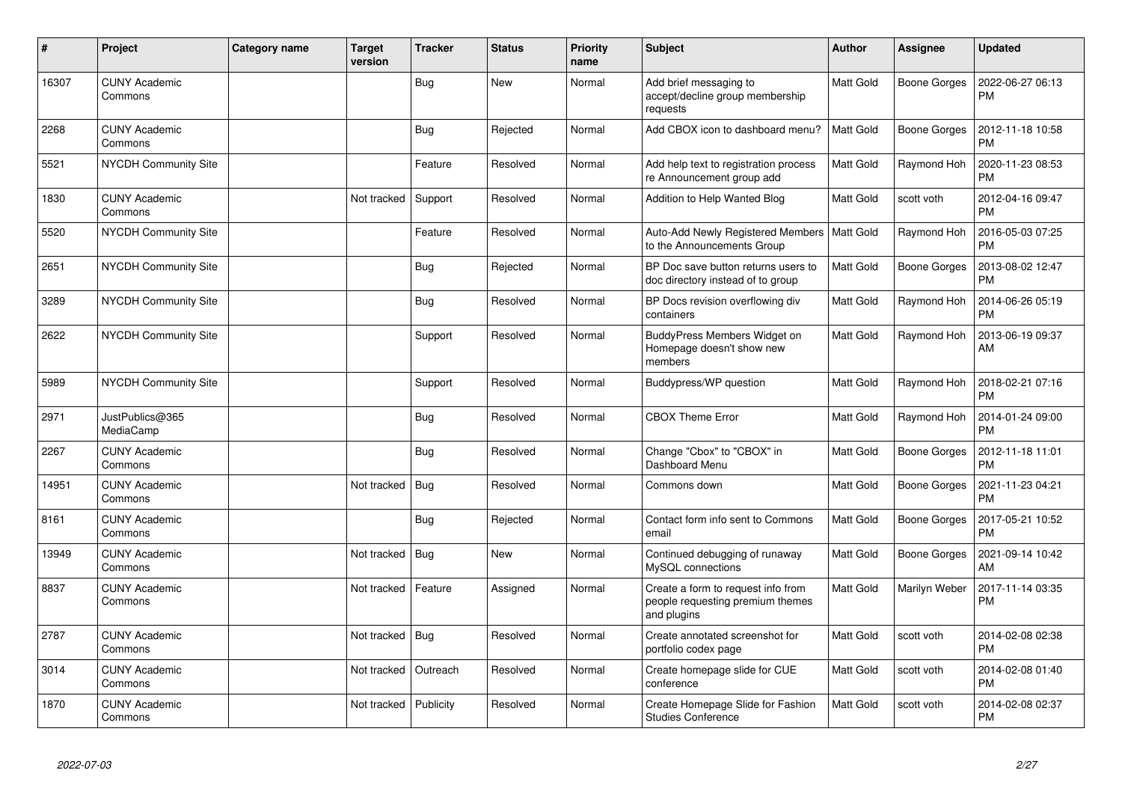| #     | Project                         | <b>Category name</b> | <b>Target</b><br>version | <b>Tracker</b> | <b>Status</b> | <b>Priority</b><br>name | <b>Subject</b>                                                                        | <b>Author</b>    | Assignee            | <b>Updated</b>                |
|-------|---------------------------------|----------------------|--------------------------|----------------|---------------|-------------------------|---------------------------------------------------------------------------------------|------------------|---------------------|-------------------------------|
| 16307 | <b>CUNY Academic</b><br>Commons |                      |                          | <b>Bug</b>     | <b>New</b>    | Normal                  | Add brief messaging to<br>accept/decline group membership<br>requests                 | Matt Gold        | Boone Gorges        | 2022-06-27 06:13<br><b>PM</b> |
| 2268  | <b>CUNY Academic</b><br>Commons |                      |                          | <b>Bug</b>     | Rejected      | Normal                  | Add CBOX icon to dashboard menu?                                                      | Matt Gold        | <b>Boone Gorges</b> | 2012-11-18 10:58<br><b>PM</b> |
| 5521  | <b>NYCDH Community Site</b>     |                      |                          | Feature        | Resolved      | Normal                  | Add help text to registration process<br>re Announcement group add                    | <b>Matt Gold</b> | Raymond Hoh         | 2020-11-23 08:53<br><b>PM</b> |
| 1830  | <b>CUNY Academic</b><br>Commons |                      | Not tracked              | Support        | Resolved      | Normal                  | Addition to Help Wanted Blog                                                          | Matt Gold        | scott voth          | 2012-04-16 09:47<br><b>PM</b> |
| 5520  | <b>NYCDH Community Site</b>     |                      |                          | Feature        | Resolved      | Normal                  | Auto-Add Newly Registered Members<br>to the Announcements Group                       | <b>Matt Gold</b> | Raymond Hoh         | 2016-05-03 07:25<br><b>PM</b> |
| 2651  | NYCDH Community Site            |                      |                          | <b>Bug</b>     | Rejected      | Normal                  | BP Doc save button returns users to<br>doc directory instead of to group              | Matt Gold        | <b>Boone Gorges</b> | 2013-08-02 12:47<br><b>PM</b> |
| 3289  | <b>NYCDH Community Site</b>     |                      |                          | <b>Bug</b>     | Resolved      | Normal                  | BP Docs revision overflowing div<br>containers                                        | <b>Matt Gold</b> | Raymond Hoh         | 2014-06-26 05:19<br><b>PM</b> |
| 2622  | <b>NYCDH Community Site</b>     |                      |                          | Support        | Resolved      | Normal                  | BuddyPress Members Widget on<br>Homepage doesn't show new<br>members                  | Matt Gold        | Raymond Hoh         | 2013-06-19 09:37<br>AM        |
| 5989  | <b>NYCDH Community Site</b>     |                      |                          | Support        | Resolved      | Normal                  | Buddypress/WP question                                                                | Matt Gold        | Raymond Hoh         | 2018-02-21 07:16<br><b>PM</b> |
| 2971  | JustPublics@365<br>MediaCamp    |                      |                          | Bug            | Resolved      | Normal                  | <b>CBOX Theme Error</b>                                                               | Matt Gold        | Raymond Hoh         | 2014-01-24 09:00<br><b>PM</b> |
| 2267  | <b>CUNY Academic</b><br>Commons |                      |                          | Bug            | Resolved      | Normal                  | Change "Cbox" to "CBOX" in<br>Dashboard Menu                                          | Matt Gold        | Boone Gorges        | 2012-11-18 11:01<br><b>PM</b> |
| 14951 | <b>CUNY Academic</b><br>Commons |                      | Not tracked              | Bug            | Resolved      | Normal                  | Commons down                                                                          | Matt Gold        | <b>Boone Gorges</b> | 2021-11-23 04:21<br><b>PM</b> |
| 8161  | <b>CUNY Academic</b><br>Commons |                      |                          | <b>Bug</b>     | Rejected      | Normal                  | Contact form info sent to Commons<br>email                                            | Matt Gold        | Boone Gorges        | 2017-05-21 10:52<br><b>PM</b> |
| 13949 | <b>CUNY Academic</b><br>Commons |                      | Not tracked              | <b>Bug</b>     | <b>New</b>    | Normal                  | Continued debugging of runaway<br>MySQL connections                                   | <b>Matt Gold</b> | Boone Gorges        | 2021-09-14 10:42<br>AM        |
| 8837  | <b>CUNY Academic</b><br>Commons |                      | Not tracked              | Feature        | Assigned      | Normal                  | Create a form to request info from<br>people requesting premium themes<br>and plugins | Matt Gold        | Marilyn Weber       | 2017-11-14 03:35<br><b>PM</b> |
| 2787  | <b>CUNY Academic</b><br>Commons |                      | Not tracked              | Bug            | Resolved      | Normal                  | Create annotated screenshot for<br>portfolio codex page                               | Matt Gold        | scott voth          | 2014-02-08 02:38<br><b>PM</b> |
| 3014  | <b>CUNY Academic</b><br>Commons |                      | Not tracked              | Outreach       | Resolved      | Normal                  | Create homepage slide for CUE<br>conference                                           | Matt Gold        | scott voth          | 2014-02-08 01:40<br><b>PM</b> |
| 1870  | <b>CUNY Academic</b><br>Commons |                      | Not tracked              | Publicity      | Resolved      | Normal                  | Create Homepage Slide for Fashion<br><b>Studies Conference</b>                        | Matt Gold        | scott voth          | 2014-02-08 02:37<br><b>PM</b> |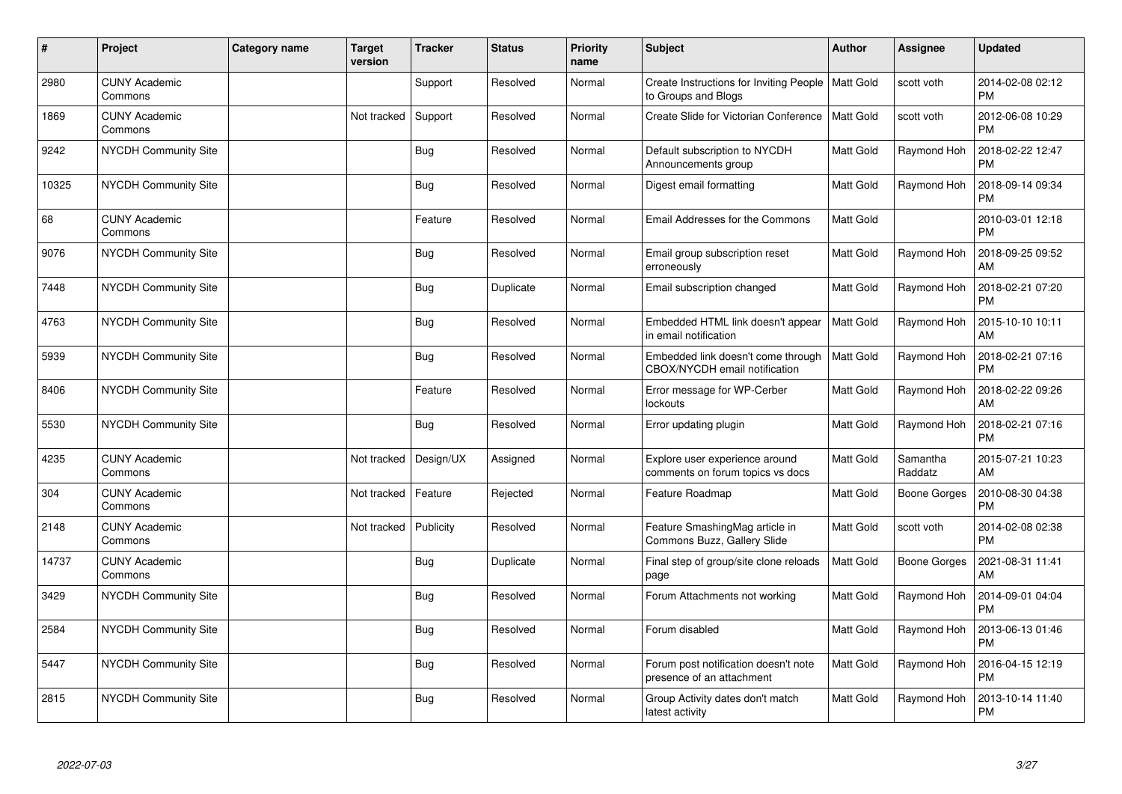| #     | Project                         | <b>Category name</b> | Target<br>version | <b>Tracker</b> | <b>Status</b> | <b>Priority</b><br>name | <b>Subject</b>                                                             | Author           | <b>Assignee</b>     | <b>Updated</b>                |
|-------|---------------------------------|----------------------|-------------------|----------------|---------------|-------------------------|----------------------------------------------------------------------------|------------------|---------------------|-------------------------------|
| 2980  | <b>CUNY Academic</b><br>Commons |                      |                   | Support        | Resolved      | Normal                  | Create Instructions for Inviting People   Matt Gold<br>to Groups and Blogs |                  | scott voth          | 2014-02-08 02:12<br><b>PM</b> |
| 1869  | <b>CUNY Academic</b><br>Commons |                      | Not tracked       | Support        | Resolved      | Normal                  | Create Slide for Victorian Conference                                      | <b>Matt Gold</b> | scott voth          | 2012-06-08 10:29<br><b>PM</b> |
| 9242  | NYCDH Community Site            |                      |                   | Bug            | Resolved      | Normal                  | Default subscription to NYCDH<br>Announcements group                       | <b>Matt Gold</b> | Raymond Hoh         | 2018-02-22 12:47<br><b>PM</b> |
| 10325 | <b>NYCDH Community Site</b>     |                      |                   | <b>Bug</b>     | Resolved      | Normal                  | Digest email formatting                                                    | Matt Gold        | Raymond Hoh         | 2018-09-14 09:34<br><b>PM</b> |
| 68    | <b>CUNY Academic</b><br>Commons |                      |                   | Feature        | Resolved      | Normal                  | Email Addresses for the Commons                                            | <b>Matt Gold</b> |                     | 2010-03-01 12:18<br><b>PM</b> |
| 9076  | <b>NYCDH Community Site</b>     |                      |                   | Bug            | Resolved      | Normal                  | Email group subscription reset<br>erroneously                              | <b>Matt Gold</b> | Raymond Hoh         | 2018-09-25 09:52<br>AM        |
| 7448  | NYCDH Community Site            |                      |                   | <b>Bug</b>     | Duplicate     | Normal                  | Email subscription changed                                                 | Matt Gold        | Raymond Hoh         | 2018-02-21 07:20<br><b>PM</b> |
| 4763  | <b>NYCDH Community Site</b>     |                      |                   | Bug            | Resolved      | Normal                  | Embedded HTML link doesn't appear<br>in email notification                 | <b>Matt Gold</b> | Raymond Hoh         | 2015-10-10 10:11<br>AM        |
| 5939  | NYCDH Community Site            |                      |                   | <b>Bug</b>     | Resolved      | Normal                  | Embedded link doesn't come through<br>CBOX/NYCDH email notification        | <b>Matt Gold</b> | Raymond Hoh         | 2018-02-21 07:16<br><b>PM</b> |
| 8406  | NYCDH Community Site            |                      |                   | Feature        | Resolved      | Normal                  | Error message for WP-Cerber<br>lockouts                                    | <b>Matt Gold</b> | Raymond Hoh         | 2018-02-22 09:26<br>AM        |
| 5530  | <b>NYCDH Community Site</b>     |                      |                   | Bug            | Resolved      | Normal                  | Error updating plugin                                                      | <b>Matt Gold</b> | Raymond Hoh         | 2018-02-21 07:16<br><b>PM</b> |
| 4235  | <b>CUNY Academic</b><br>Commons |                      | Not tracked       | Design/UX      | Assigned      | Normal                  | Explore user experience around<br>comments on forum topics vs docs         | Matt Gold        | Samantha<br>Raddatz | 2015-07-21 10:23<br>AM        |
| 304   | <b>CUNY Academic</b><br>Commons |                      | Not tracked       | Feature        | Rejected      | Normal                  | Feature Roadmap                                                            | <b>Matt Gold</b> | Boone Gorges        | 2010-08-30 04:38<br><b>PM</b> |
| 2148  | <b>CUNY Academic</b><br>Commons |                      | Not tracked       | Publicity      | Resolved      | Normal                  | Feature SmashingMag article in<br>Commons Buzz, Gallery Slide              | Matt Gold        | scott voth          | 2014-02-08 02:38<br><b>PM</b> |
| 14737 | <b>CUNY Academic</b><br>Commons |                      |                   | <b>Bug</b>     | Duplicate     | Normal                  | Final step of group/site clone reloads<br>page                             | Matt Gold        | Boone Gorges        | 2021-08-31 11:41<br>AM        |
| 3429  | <b>NYCDH Community Site</b>     |                      |                   | Bug            | Resolved      | Normal                  | Forum Attachments not working                                              | Matt Gold        | Raymond Hoh         | 2014-09-01 04:04<br><b>PM</b> |
| 2584  | NYCDH Community Site            |                      |                   | Bug            | Resolved      | Normal                  | Forum disabled                                                             | Matt Gold        | Raymond Hoh         | 2013-06-13 01:46<br>PM        |
| 5447  | <b>NYCDH Community Site</b>     |                      |                   | Bug            | Resolved      | Normal                  | Forum post notification doesn't note<br>presence of an attachment          | <b>Matt Gold</b> | Raymond Hoh         | 2016-04-15 12:19<br><b>PM</b> |
| 2815  | NYCDH Community Site            |                      |                   | <b>Bug</b>     | Resolved      | Normal                  | Group Activity dates don't match<br>latest activity                        | <b>Matt Gold</b> | Raymond Hoh         | 2013-10-14 11:40<br><b>PM</b> |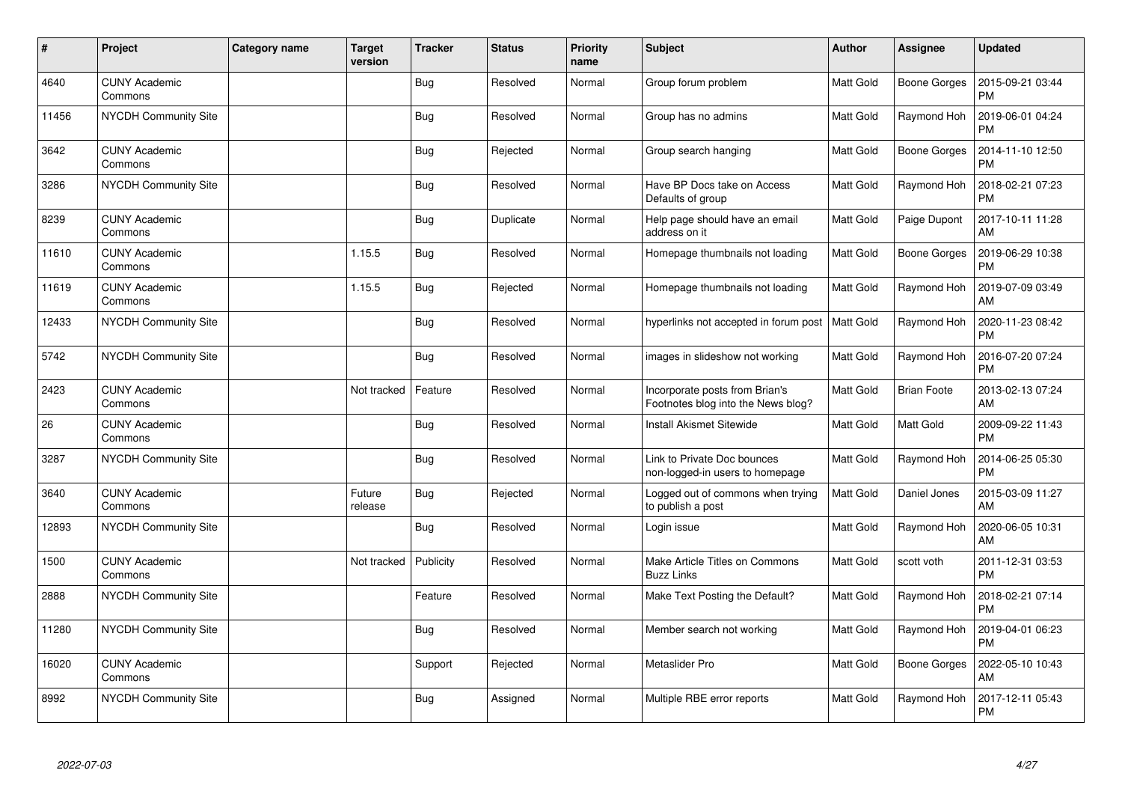| #     | Project                         | Category name | <b>Target</b><br>version | <b>Tracker</b> | <b>Status</b> | <b>Priority</b><br>name | <b>Subject</b>                                                       | <b>Author</b>    | Assignee            | <b>Updated</b>                |
|-------|---------------------------------|---------------|--------------------------|----------------|---------------|-------------------------|----------------------------------------------------------------------|------------------|---------------------|-------------------------------|
| 4640  | <b>CUNY Academic</b><br>Commons |               |                          | <b>Bug</b>     | Resolved      | Normal                  | Group forum problem                                                  | <b>Matt Gold</b> | Boone Gorges        | 2015-09-21 03:44<br><b>PM</b> |
| 11456 | <b>NYCDH Community Site</b>     |               |                          | Bug            | Resolved      | Normal                  | Group has no admins                                                  | <b>Matt Gold</b> | Raymond Hoh         | 2019-06-01 04:24<br><b>PM</b> |
| 3642  | <b>CUNY Academic</b><br>Commons |               |                          | <b>Bug</b>     | Rejected      | Normal                  | Group search hanging                                                 | <b>Matt Gold</b> | <b>Boone Gorges</b> | 2014-11-10 12:50<br><b>PM</b> |
| 3286  | <b>NYCDH Community Site</b>     |               |                          | Bug            | Resolved      | Normal                  | Have BP Docs take on Access<br>Defaults of group                     | <b>Matt Gold</b> | Raymond Hoh         | 2018-02-21 07:23<br><b>PM</b> |
| 8239  | <b>CUNY Academic</b><br>Commons |               |                          | <b>Bug</b>     | Duplicate     | Normal                  | Help page should have an email<br>address on it                      | <b>Matt Gold</b> | Paige Dupont        | 2017-10-11 11:28<br>AM        |
| 11610 | <b>CUNY Academic</b><br>Commons |               | 1.15.5                   | <b>Bug</b>     | Resolved      | Normal                  | Homepage thumbnails not loading                                      | Matt Gold        | Boone Gorges        | 2019-06-29 10:38<br><b>PM</b> |
| 11619 | <b>CUNY Academic</b><br>Commons |               | 1.15.5                   | <b>Bug</b>     | Rejected      | Normal                  | Homepage thumbnails not loading                                      | Matt Gold        | Raymond Hoh         | 2019-07-09 03:49<br>AM        |
| 12433 | NYCDH Community Site            |               |                          | <b>Bug</b>     | Resolved      | Normal                  | hyperlinks not accepted in forum post                                | Matt Gold        | Raymond Hoh         | 2020-11-23 08:42<br><b>PM</b> |
| 5742  | NYCDH Community Site            |               |                          | <b>Bug</b>     | Resolved      | Normal                  | images in slideshow not working                                      | <b>Matt Gold</b> | Raymond Hoh         | 2016-07-20 07:24<br><b>PM</b> |
| 2423  | <b>CUNY Academic</b><br>Commons |               | Not tracked              | Feature        | Resolved      | Normal                  | Incorporate posts from Brian's<br>Footnotes blog into the News blog? | Matt Gold        | <b>Brian Foote</b>  | 2013-02-13 07:24<br>AM        |
| 26    | <b>CUNY Academic</b><br>Commons |               |                          | <b>Bug</b>     | Resolved      | Normal                  | <b>Install Akismet Sitewide</b>                                      | Matt Gold        | Matt Gold           | 2009-09-22 11:43<br><b>PM</b> |
| 3287  | <b>NYCDH Community Site</b>     |               |                          | Bug            | Resolved      | Normal                  | Link to Private Doc bounces<br>non-logged-in users to homepage       | <b>Matt Gold</b> | Raymond Hoh         | 2014-06-25 05:30<br><b>PM</b> |
| 3640  | <b>CUNY Academic</b><br>Commons |               | Future<br>release        | <b>Bug</b>     | Rejected      | Normal                  | Logged out of commons when trying<br>to publish a post               | Matt Gold        | Daniel Jones        | 2015-03-09 11:27<br>AM        |
| 12893 | <b>NYCDH Community Site</b>     |               |                          | Bug            | Resolved      | Normal                  | Login issue                                                          | <b>Matt Gold</b> | Raymond Hoh         | 2020-06-05 10:31<br>AM        |
| 1500  | <b>CUNY Academic</b><br>Commons |               | Not tracked              | Publicity      | Resolved      | Normal                  | Make Article Titles on Commons<br><b>Buzz Links</b>                  | Matt Gold        | scott voth          | 2011-12-31 03:53<br><b>PM</b> |
| 2888  | NYCDH Community Site            |               |                          | Feature        | Resolved      | Normal                  | Make Text Posting the Default?                                       | Matt Gold        | Raymond Hoh         | 2018-02-21 07:14<br><b>PM</b> |
| 11280 | NYCDH Community Site            |               |                          | Bug            | Resolved      | Normal                  | Member search not working                                            | Matt Gold        | Raymond Hoh         | 2019-04-01 06:23<br><b>PM</b> |
| 16020 | <b>CUNY Academic</b><br>Commons |               |                          | Support        | Rejected      | Normal                  | Metaslider Pro                                                       | <b>Matt Gold</b> | Boone Gorges        | 2022-05-10 10:43<br>AM        |
| 8992  | NYCDH Community Site            |               |                          | Bug            | Assigned      | Normal                  | Multiple RBE error reports                                           | <b>Matt Gold</b> | Raymond Hoh         | 2017-12-11 05:43<br><b>PM</b> |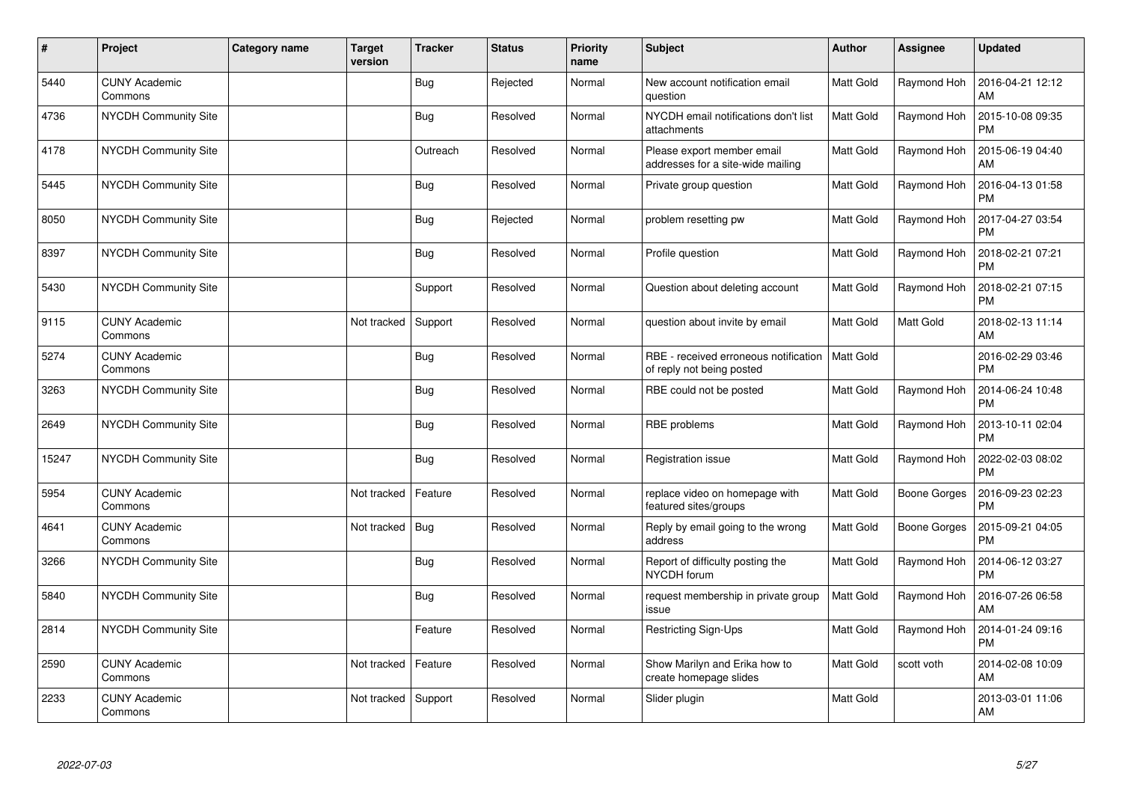| #     | Project                         | <b>Category name</b> | Target<br>version | <b>Tracker</b> | <b>Status</b> | <b>Priority</b><br>name | <b>Subject</b>                                                     | Author           | <b>Assignee</b> | <b>Updated</b>                |
|-------|---------------------------------|----------------------|-------------------|----------------|---------------|-------------------------|--------------------------------------------------------------------|------------------|-----------------|-------------------------------|
| 5440  | <b>CUNY Academic</b><br>Commons |                      |                   | Bug            | Rejected      | Normal                  | New account notification email<br>question                         | <b>Matt Gold</b> | Raymond Hoh     | 2016-04-21 12:12<br>AM        |
| 4736  | <b>NYCDH Community Site</b>     |                      |                   | <b>Bug</b>     | Resolved      | Normal                  | NYCDH email notifications don't list<br>attachments                | <b>Matt Gold</b> | Raymond Hoh     | 2015-10-08 09:35<br><b>PM</b> |
| 4178  | NYCDH Community Site            |                      |                   | Outreach       | Resolved      | Normal                  | Please export member email<br>addresses for a site-wide mailing    | Matt Gold        | Raymond Hoh     | 2015-06-19 04:40<br>AM        |
| 5445  | <b>NYCDH Community Site</b>     |                      |                   | Bug            | Resolved      | Normal                  | Private group question                                             | Matt Gold        | Raymond Hoh     | 2016-04-13 01:58<br><b>PM</b> |
| 8050  | NYCDH Community Site            |                      |                   | <b>Bug</b>     | Rejected      | Normal                  | problem resetting pw                                               | <b>Matt Gold</b> | Raymond Hoh     | 2017-04-27 03:54<br><b>PM</b> |
| 8397  | <b>NYCDH Community Site</b>     |                      |                   | <b>Bug</b>     | Resolved      | Normal                  | Profile question                                                   | <b>Matt Gold</b> | Raymond Hoh     | 2018-02-21 07:21<br><b>PM</b> |
| 5430  | <b>NYCDH Community Site</b>     |                      |                   | Support        | Resolved      | Normal                  | Question about deleting account                                    | <b>Matt Gold</b> | Raymond Hoh     | 2018-02-21 07:15<br><b>PM</b> |
| 9115  | <b>CUNY Academic</b><br>Commons |                      | Not tracked       | Support        | Resolved      | Normal                  | question about invite by email                                     | <b>Matt Gold</b> | Matt Gold       | 2018-02-13 11:14<br>AM        |
| 5274  | <b>CUNY Academic</b><br>Commons |                      |                   | <b>Bug</b>     | Resolved      | Normal                  | RBE - received erroneous notification<br>of reply not being posted | <b>Matt Gold</b> |                 | 2016-02-29 03:46<br><b>PM</b> |
| 3263  | NYCDH Community Site            |                      |                   | <b>Bug</b>     | Resolved      | Normal                  | RBE could not be posted                                            | <b>Matt Gold</b> | Raymond Hoh     | 2014-06-24 10:48<br><b>PM</b> |
| 2649  | NYCDH Community Site            |                      |                   | <b>Bug</b>     | Resolved      | Normal                  | RBE problems                                                       | <b>Matt Gold</b> | Raymond Hoh     | 2013-10-11 02:04<br><b>PM</b> |
| 15247 | <b>NYCDH Community Site</b>     |                      |                   | <b>Bug</b>     | Resolved      | Normal                  | Registration issue                                                 | <b>Matt Gold</b> | Raymond Hoh     | 2022-02-03 08:02<br><b>PM</b> |
| 5954  | <b>CUNY Academic</b><br>Commons |                      | Not tracked       | Feature        | Resolved      | Normal                  | replace video on homepage with<br>featured sites/groups            | Matt Gold        | Boone Gorges    | 2016-09-23 02:23<br><b>PM</b> |
| 4641  | <b>CUNY Academic</b><br>Commons |                      | Not tracked       | Bug            | Resolved      | Normal                  | Reply by email going to the wrong<br>address                       | Matt Gold        | Boone Gorges    | 2015-09-21 04:05<br>PM        |
| 3266  | <b>NYCDH Community Site</b>     |                      |                   | Bug            | Resolved      | Normal                  | Report of difficulty posting the<br>NYCDH forum                    | <b>Matt Gold</b> | Raymond Hoh     | 2014-06-12 03:27<br><b>PM</b> |
| 5840  | NYCDH Community Site            |                      |                   | Bug            | Resolved      | Normal                  | request membership in private group<br>issue                       | Matt Gold        | Raymond Hoh     | 2016-07-26 06:58<br>AM        |
| 2814  | <b>NYCDH Community Site</b>     |                      |                   | Feature        | Resolved      | Normal                  | <b>Restricting Sign-Ups</b>                                        | <b>Matt Gold</b> | Raymond Hoh     | 2014-01-24 09:16<br><b>PM</b> |
| 2590  | <b>CUNY Academic</b><br>Commons |                      | Not tracked       | Feature        | Resolved      | Normal                  | Show Marilyn and Erika how to<br>create homepage slides            | <b>Matt Gold</b> | scott voth      | 2014-02-08 10:09<br>AM        |
| 2233  | <b>CUNY Academic</b><br>Commons |                      | Not tracked       | Support        | Resolved      | Normal                  | Slider plugin                                                      | <b>Matt Gold</b> |                 | 2013-03-01 11:06<br>AM        |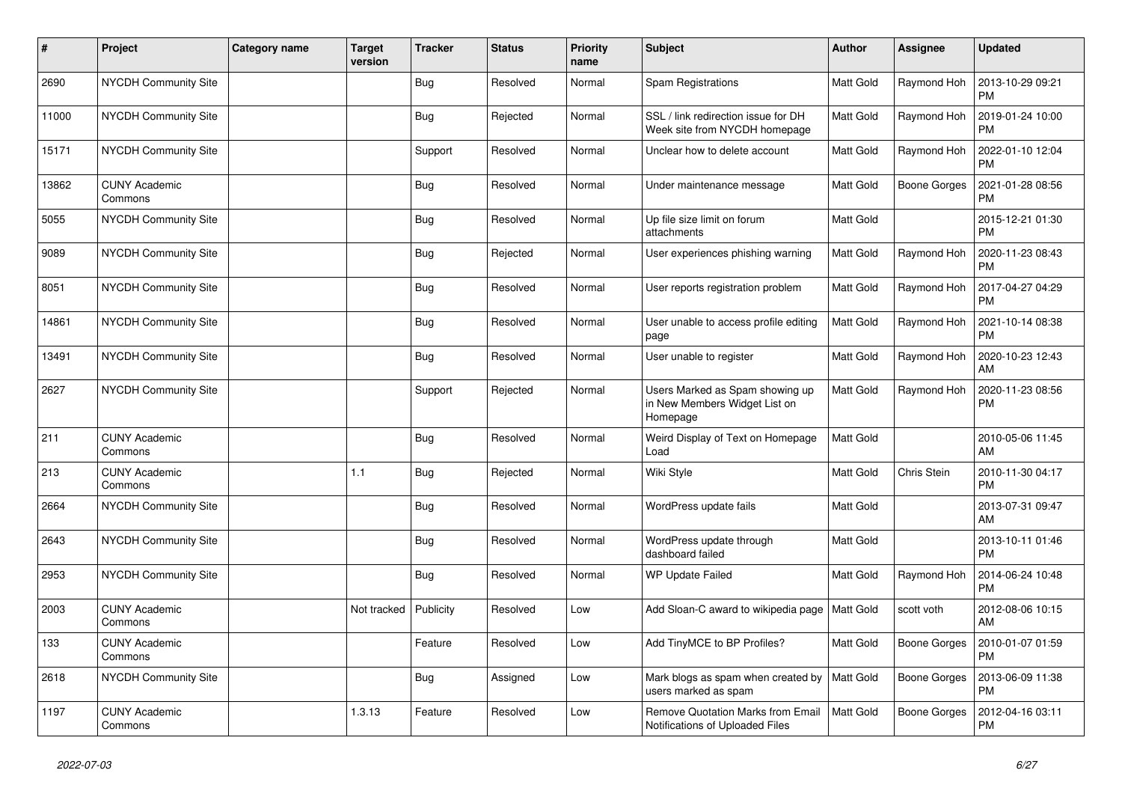| #     | Project                         | Category name | <b>Target</b><br>version | <b>Tracker</b> | <b>Status</b> | <b>Priority</b><br>name | <b>Subject</b>                                                               | <b>Author</b>    | <b>Assignee</b> | <b>Updated</b>                |
|-------|---------------------------------|---------------|--------------------------|----------------|---------------|-------------------------|------------------------------------------------------------------------------|------------------|-----------------|-------------------------------|
| 2690  | <b>NYCDH Community Site</b>     |               |                          | <b>Bug</b>     | Resolved      | Normal                  | Spam Registrations                                                           | <b>Matt Gold</b> | Raymond Hoh     | 2013-10-29 09:21<br><b>PM</b> |
| 11000 | NYCDH Community Site            |               |                          | <b>Bug</b>     | Rejected      | Normal                  | SSL / link redirection issue for DH<br>Week site from NYCDH homepage         | <b>Matt Gold</b> | Raymond Hoh     | 2019-01-24 10:00<br><b>PM</b> |
| 15171 | <b>NYCDH Community Site</b>     |               |                          | Support        | Resolved      | Normal                  | Unclear how to delete account                                                | <b>Matt Gold</b> | Raymond Hoh     | 2022-01-10 12:04<br><b>PM</b> |
| 13862 | <b>CUNY Academic</b><br>Commons |               |                          | <b>Bug</b>     | Resolved      | Normal                  | Under maintenance message                                                    | <b>Matt Gold</b> | Boone Gorges    | 2021-01-28 08:56<br><b>PM</b> |
| 5055  | <b>NYCDH Community Site</b>     |               |                          | Bug            | Resolved      | Normal                  | Up file size limit on forum<br>attachments                                   | Matt Gold        |                 | 2015-12-21 01:30<br><b>PM</b> |
| 9089  | <b>NYCDH Community Site</b>     |               |                          | Bug            | Rejected      | Normal                  | User experiences phishing warning                                            | <b>Matt Gold</b> | Raymond Hoh     | 2020-11-23 08:43<br><b>PM</b> |
| 8051  | NYCDH Community Site            |               |                          | <b>Bug</b>     | Resolved      | Normal                  | User reports registration problem                                            | Matt Gold        | Raymond Hoh     | 2017-04-27 04:29<br><b>PM</b> |
| 14861 | <b>NYCDH Community Site</b>     |               |                          | <b>Bug</b>     | Resolved      | Normal                  | User unable to access profile editing<br>page                                | <b>Matt Gold</b> | Raymond Hoh     | 2021-10-14 08:38<br><b>PM</b> |
| 13491 | <b>NYCDH Community Site</b>     |               |                          | <b>Bug</b>     | Resolved      | Normal                  | User unable to register                                                      | <b>Matt Gold</b> | Raymond Hoh     | 2020-10-23 12:43<br>AM        |
| 2627  | NYCDH Community Site            |               |                          | Support        | Rejected      | Normal                  | Users Marked as Spam showing up<br>in New Members Widget List on<br>Homepage | Matt Gold        | Raymond Hoh     | 2020-11-23 08:56<br><b>PM</b> |
| 211   | <b>CUNY Academic</b><br>Commons |               |                          | Bug            | Resolved      | Normal                  | Weird Display of Text on Homepage<br>Load                                    | Matt Gold        |                 | 2010-05-06 11:45<br>AM        |
| 213   | <b>CUNY Academic</b><br>Commons |               | 1.1                      | Bug            | Rejected      | Normal                  | Wiki Style                                                                   | <b>Matt Gold</b> | Chris Stein     | 2010-11-30 04:17<br><b>PM</b> |
| 2664  | <b>NYCDH Community Site</b>     |               |                          | <b>Bug</b>     | Resolved      | Normal                  | WordPress update fails                                                       | <b>Matt Gold</b> |                 | 2013-07-31 09:47<br>AM        |
| 2643  | <b>NYCDH Community Site</b>     |               |                          | Bug            | Resolved      | Normal                  | WordPress update through<br>dashboard failed                                 | Matt Gold        |                 | 2013-10-11 01:46<br><b>PM</b> |
| 2953  | NYCDH Community Site            |               |                          | Bug            | Resolved      | Normal                  | <b>WP Update Failed</b>                                                      | <b>Matt Gold</b> | Raymond Hoh     | 2014-06-24 10:48<br><b>PM</b> |
| 2003  | <b>CUNY Academic</b><br>Commons |               | Not tracked              | Publicity      | Resolved      | Low                     | Add Sloan-C award to wikipedia page                                          | <b>Matt Gold</b> | scott voth      | 2012-08-06 10:15<br>AM        |
| 133   | <b>CUNY Academic</b><br>Commons |               |                          | Feature        | Resolved      | Low                     | Add TinyMCE to BP Profiles?                                                  | Matt Gold        | Boone Gorges    | 2010-01-07 01:59<br><b>PM</b> |
| 2618  | <b>NYCDH Community Site</b>     |               |                          | Bug            | Assigned      | Low                     | Mark blogs as spam when created by<br>users marked as spam                   | <b>Matt Gold</b> | Boone Gorges    | 2013-06-09 11:38<br><b>PM</b> |
| 1197  | <b>CUNY Academic</b><br>Commons |               | 1.3.13                   | Feature        | Resolved      | Low                     | Remove Quotation Marks from Email<br>Notifications of Uploaded Files         | Matt Gold        | Boone Gorges    | 2012-04-16 03:11<br><b>PM</b> |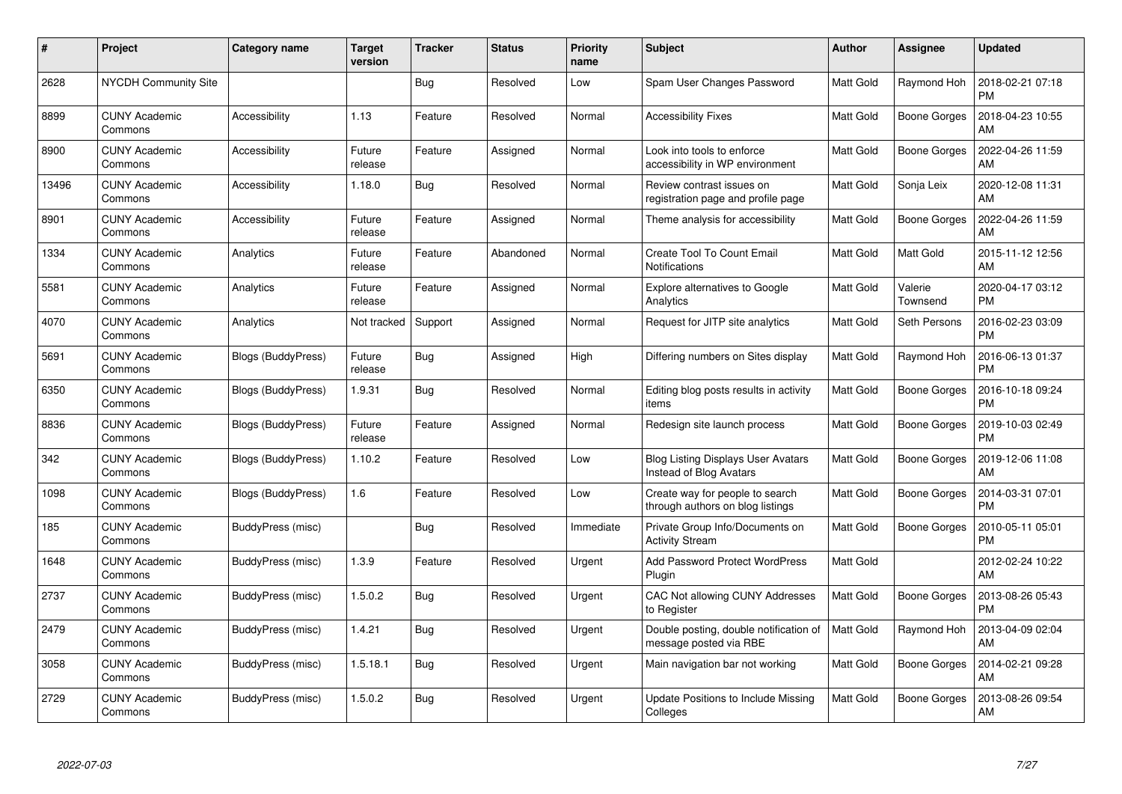| $\pmb{\#}$ | Project                         | <b>Category name</b>      | <b>Target</b><br>version | <b>Tracker</b> | <b>Status</b> | <b>Priority</b><br>name | <b>Subject</b>                                                       | <b>Author</b>    | <b>Assignee</b>     | <b>Updated</b>                |
|------------|---------------------------------|---------------------------|--------------------------|----------------|---------------|-------------------------|----------------------------------------------------------------------|------------------|---------------------|-------------------------------|
| 2628       | <b>NYCDH Community Site</b>     |                           |                          | <b>Bug</b>     | Resolved      | Low                     | Spam User Changes Password                                           | <b>Matt Gold</b> | Raymond Hoh         | 2018-02-21 07:18<br><b>PM</b> |
| 8899       | <b>CUNY Academic</b><br>Commons | Accessibility             | 1.13                     | Feature        | Resolved      | Normal                  | <b>Accessibility Fixes</b>                                           | <b>Matt Gold</b> | Boone Gorges        | 2018-04-23 10:55<br>AM        |
| 8900       | <b>CUNY Academic</b><br>Commons | Accessibility             | Future<br>release        | Feature        | Assigned      | Normal                  | Look into tools to enforce<br>accessibility in WP environment        | <b>Matt Gold</b> | <b>Boone Gorges</b> | 2022-04-26 11:59<br>AM        |
| 13496      | <b>CUNY Academic</b><br>Commons | Accessibility             | 1.18.0                   | <b>Bug</b>     | Resolved      | Normal                  | Review contrast issues on<br>registration page and profile page      | <b>Matt Gold</b> | Sonja Leix          | 2020-12-08 11:31<br>AM        |
| 8901       | <b>CUNY Academic</b><br>Commons | Accessibility             | Future<br>release        | Feature        | Assigned      | Normal                  | Theme analysis for accessibility                                     | <b>Matt Gold</b> | <b>Boone Gorges</b> | 2022-04-26 11:59<br>AM        |
| 1334       | <b>CUNY Academic</b><br>Commons | Analytics                 | Future<br>release        | Feature        | Abandoned     | Normal                  | Create Tool To Count Email<br><b>Notifications</b>                   | <b>Matt Gold</b> | <b>Matt Gold</b>    | 2015-11-12 12:56<br>AM        |
| 5581       | <b>CUNY Academic</b><br>Commons | Analytics                 | Future<br>release        | Feature        | Assigned      | Normal                  | <b>Explore alternatives to Google</b><br>Analytics                   | <b>Matt Gold</b> | Valerie<br>Townsend | 2020-04-17 03:12<br><b>PM</b> |
| 4070       | <b>CUNY Academic</b><br>Commons | Analytics                 | Not tracked              | Support        | Assigned      | Normal                  | Request for JITP site analytics                                      | <b>Matt Gold</b> | Seth Persons        | 2016-02-23 03:09<br><b>PM</b> |
| 5691       | <b>CUNY Academic</b><br>Commons | <b>Blogs (BuddyPress)</b> | Future<br>release        | <b>Bug</b>     | Assigned      | High                    | Differing numbers on Sites display                                   | <b>Matt Gold</b> | Raymond Hoh         | 2016-06-13 01:37<br><b>PM</b> |
| 6350       | <b>CUNY Academic</b><br>Commons | Blogs (BuddyPress)        | 1.9.31                   | Bug            | Resolved      | Normal                  | Editing blog posts results in activity<br>items                      | Matt Gold        | Boone Gorges        | 2016-10-18 09:24<br><b>PM</b> |
| 8836       | <b>CUNY Academic</b><br>Commons | Blogs (BuddyPress)        | Future<br>release        | Feature        | Assigned      | Normal                  | Redesign site launch process                                         | <b>Matt Gold</b> | <b>Boone Gorges</b> | 2019-10-03 02:49<br><b>PM</b> |
| 342        | <b>CUNY Academic</b><br>Commons | Blogs (BuddyPress)        | 1.10.2                   | Feature        | Resolved      | Low                     | <b>Blog Listing Displays User Avatars</b><br>Instead of Blog Avatars | <b>Matt Gold</b> | Boone Gorges        | 2019-12-06 11:08<br>AM        |
| 1098       | <b>CUNY Academic</b><br>Commons | Blogs (BuddyPress)        | 1.6                      | Feature        | Resolved      | Low                     | Create way for people to search<br>through authors on blog listings  | <b>Matt Gold</b> | Boone Gorges        | 2014-03-31 07:01<br><b>PM</b> |
| 185        | <b>CUNY Academic</b><br>Commons | BuddyPress (misc)         |                          | Bug            | Resolved      | Immediate               | Private Group Info/Documents on<br><b>Activity Stream</b>            | <b>Matt Gold</b> | Boone Gorges        | 2010-05-11 05:01<br><b>PM</b> |
| 1648       | <b>CUNY Academic</b><br>Commons | BuddyPress (misc)         | 1.3.9                    | Feature        | Resolved      | Urgent                  | <b>Add Password Protect WordPress</b><br>Plugin                      | Matt Gold        |                     | 2012-02-24 10:22<br>AM        |
| 2737       | <b>CUNY Academic</b><br>Commons | BuddyPress (misc)         | 1.5.0.2                  | Bug            | Resolved      | Urgent                  | CAC Not allowing CUNY Addresses<br>to Register                       | <b>Matt Gold</b> | Boone Gorges        | 2013-08-26 05:43<br><b>PM</b> |
| 2479       | <b>CUNY Academic</b><br>Commons | BuddyPress (misc)         | 1.4.21                   | <b>Bug</b>     | Resolved      | Urgent                  | Double posting, double notification of<br>message posted via RBE     | Matt Gold        | Raymond Hoh         | 2013-04-09 02:04<br>AM        |
| 3058       | <b>CUNY Academic</b><br>Commons | BuddyPress (misc)         | 1.5.18.1                 | Bug            | Resolved      | Urgent                  | Main navigation bar not working                                      | <b>Matt Gold</b> | Boone Gorges        | 2014-02-21 09:28<br>AM        |
| 2729       | <b>CUNY Academic</b><br>Commons | BuddyPress (misc)         | 1.5.0.2                  | Bug            | Resolved      | Urgent                  | Update Positions to Include Missing<br>Colleges                      | Matt Gold        | Boone Gorges        | 2013-08-26 09:54<br>AM        |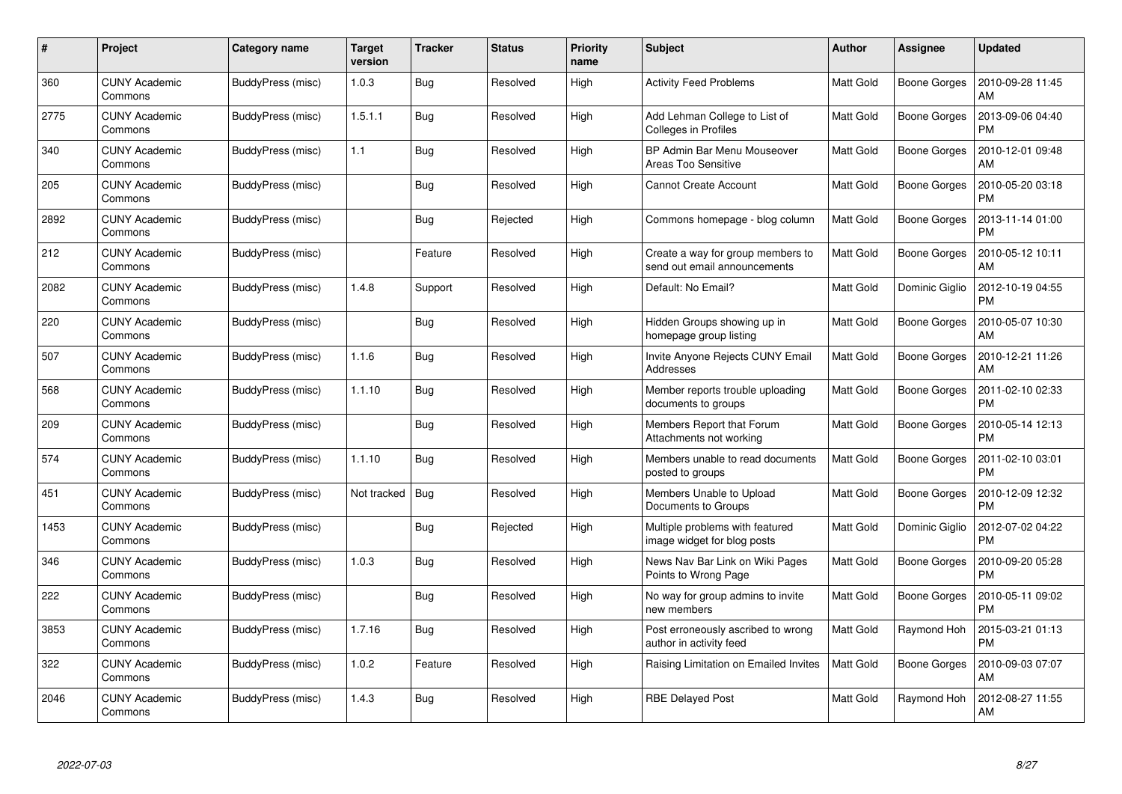| #    | Project                         | Category name     | <b>Target</b><br>version | <b>Tracker</b> | <b>Status</b> | <b>Priority</b><br>name | <b>Subject</b>                                                    | <b>Author</b>    | <b>Assignee</b>     | <b>Updated</b>                |
|------|---------------------------------|-------------------|--------------------------|----------------|---------------|-------------------------|-------------------------------------------------------------------|------------------|---------------------|-------------------------------|
| 360  | <b>CUNY Academic</b><br>Commons | BuddyPress (misc) | 1.0.3                    | Bug            | Resolved      | High                    | <b>Activity Feed Problems</b>                                     | <b>Matt Gold</b> | Boone Gorges        | 2010-09-28 11:45<br>AM        |
| 2775 | <b>CUNY Academic</b><br>Commons | BuddyPress (misc) | 1.5.1.1                  | Bug            | Resolved      | High                    | Add Lehman College to List of<br><b>Colleges in Profiles</b>      | Matt Gold        | Boone Gorges        | 2013-09-06 04:40<br><b>PM</b> |
| 340  | <b>CUNY Academic</b><br>Commons | BuddyPress (misc) | 1.1                      | Bug            | Resolved      | High                    | BP Admin Bar Menu Mouseover<br>Areas Too Sensitive                | <b>Matt Gold</b> | <b>Boone Gorges</b> | 2010-12-01 09:48<br>AM        |
| 205  | <b>CUNY Academic</b><br>Commons | BuddyPress (misc) |                          | Bug            | Resolved      | High                    | <b>Cannot Create Account</b>                                      | <b>Matt Gold</b> | Boone Gorges        | 2010-05-20 03:18<br><b>PM</b> |
| 2892 | <b>CUNY Academic</b><br>Commons | BuddyPress (misc) |                          | Bug            | Rejected      | High                    | Commons homepage - blog column                                    | <b>Matt Gold</b> | Boone Gorges        | 2013-11-14 01:00<br>PM        |
| 212  | <b>CUNY Academic</b><br>Commons | BuddyPress (misc) |                          | Feature        | Resolved      | High                    | Create a way for group members to<br>send out email announcements | Matt Gold        | Boone Gorges        | 2010-05-12 10:11<br>AM        |
| 2082 | <b>CUNY Academic</b><br>Commons | BuddyPress (misc) | 1.4.8                    | Support        | Resolved      | High                    | Default: No Email?                                                | <b>Matt Gold</b> | Dominic Giglio      | 2012-10-19 04:55<br><b>PM</b> |
| 220  | <b>CUNY Academic</b><br>Commons | BuddyPress (misc) |                          | Bug            | Resolved      | High                    | Hidden Groups showing up in<br>homepage group listing             | <b>Matt Gold</b> | Boone Gorges        | 2010-05-07 10:30<br>AM        |
| 507  | <b>CUNY Academic</b><br>Commons | BuddyPress (misc) | 1.1.6                    | Bug            | Resolved      | High                    | Invite Anyone Rejects CUNY Email<br>Addresses                     | <b>Matt Gold</b> | Boone Gorges        | 2010-12-21 11:26<br>AM        |
| 568  | <b>CUNY Academic</b><br>Commons | BuddyPress (misc) | 1.1.10                   | Bug            | Resolved      | High                    | Member reports trouble uploading<br>documents to groups           | <b>Matt Gold</b> | Boone Gorges        | 2011-02-10 02:33<br><b>PM</b> |
| 209  | <b>CUNY Academic</b><br>Commons | BuddyPress (misc) |                          | Bug            | Resolved      | High                    | Members Report that Forum<br>Attachments not working              | <b>Matt Gold</b> | <b>Boone Gorges</b> | 2010-05-14 12:13<br><b>PM</b> |
| 574  | <b>CUNY Academic</b><br>Commons | BuddyPress (misc) | 1.1.10                   | Bug            | Resolved      | High                    | Members unable to read documents<br>posted to groups              | <b>Matt Gold</b> | Boone Gorges        | 2011-02-10 03:01<br><b>PM</b> |
| 451  | <b>CUNY Academic</b><br>Commons | BuddyPress (misc) | Not tracked              | Bug            | Resolved      | High                    | Members Unable to Upload<br>Documents to Groups                   | Matt Gold        | Boone Gorges        | 2010-12-09 12:32<br><b>PM</b> |
| 1453 | <b>CUNY Academic</b><br>Commons | BuddyPress (misc) |                          | Bug            | Rejected      | High                    | Multiple problems with featured<br>image widget for blog posts    | <b>Matt Gold</b> | Dominic Giglio      | 2012-07-02 04:22<br><b>PM</b> |
| 346  | <b>CUNY Academic</b><br>Commons | BuddyPress (misc) | 1.0.3                    | <b>Bug</b>     | Resolved      | High                    | News Nav Bar Link on Wiki Pages<br>Points to Wrong Page           | <b>Matt Gold</b> | Boone Gorges        | 2010-09-20 05:28<br><b>PM</b> |
| 222  | <b>CUNY Academic</b><br>Commons | BuddyPress (misc) |                          | Bug            | Resolved      | High                    | No way for group admins to invite<br>new members                  | <b>Matt Gold</b> | Boone Gorges        | 2010-05-11 09:02<br><b>PM</b> |
| 3853 | <b>CUNY Academic</b><br>Commons | BuddyPress (misc) | 1.7.16                   | <b>Bug</b>     | Resolved      | High                    | Post erroneously ascribed to wrong<br>author in activity feed     | <b>Matt Gold</b> | Raymond Hoh         | 2015-03-21 01:13<br><b>PM</b> |
| 322  | <b>CUNY Academic</b><br>Commons | BuddyPress (misc) | 1.0.2                    | Feature        | Resolved      | High                    | Raising Limitation on Emailed Invites                             | <b>Matt Gold</b> | Boone Gorges        | 2010-09-03 07:07<br>AM        |
| 2046 | <b>CUNY Academic</b><br>Commons | BuddyPress (misc) | 1.4.3                    | <b>Bug</b>     | Resolved      | High                    | <b>RBE Delayed Post</b>                                           | <b>Matt Gold</b> | Raymond Hoh         | 2012-08-27 11:55<br>AM        |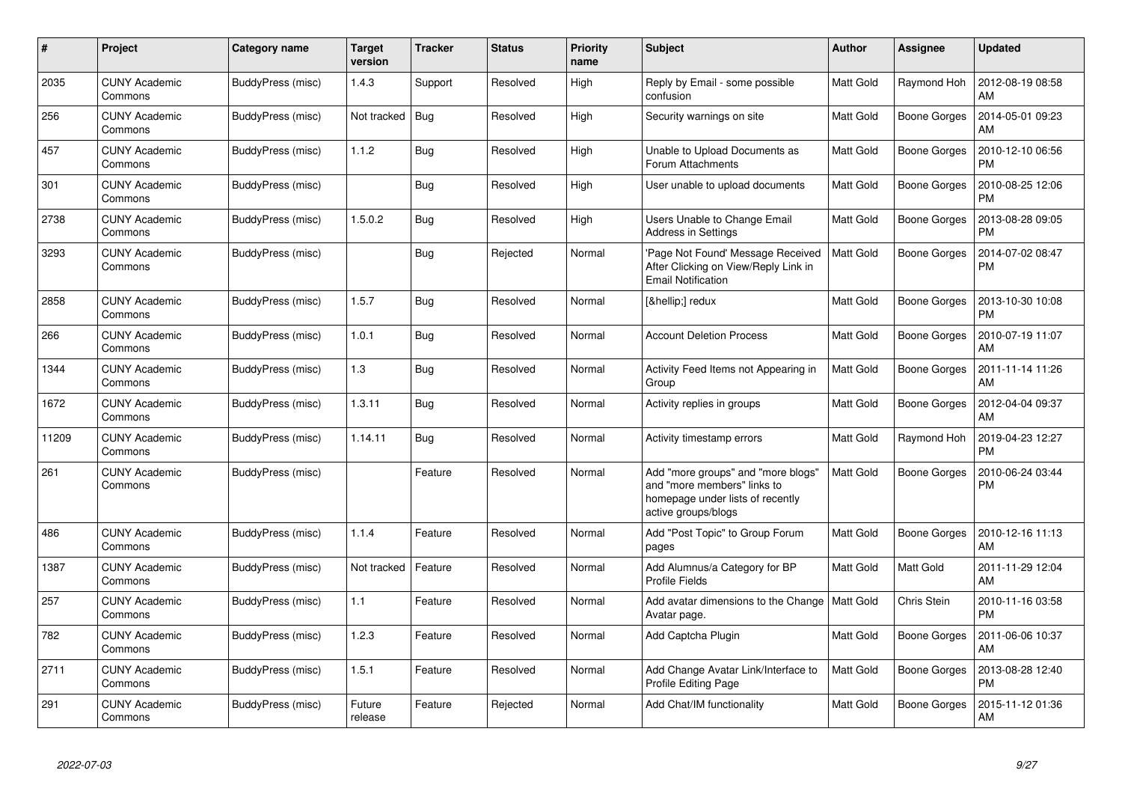| #     | Project                         | <b>Category name</b> | <b>Target</b><br>version | <b>Tracker</b> | <b>Status</b> | <b>Priority</b><br>name | <b>Subject</b>                                                                                                               | <b>Author</b>    | Assignee            | <b>Updated</b>                |
|-------|---------------------------------|----------------------|--------------------------|----------------|---------------|-------------------------|------------------------------------------------------------------------------------------------------------------------------|------------------|---------------------|-------------------------------|
| 2035  | <b>CUNY Academic</b><br>Commons | BuddyPress (misc)    | 1.4.3                    | Support        | Resolved      | High                    | Reply by Email - some possible<br>confusion                                                                                  | <b>Matt Gold</b> | Raymond Hoh         | 2012-08-19 08:58<br>AM        |
| 256   | <b>CUNY Academic</b><br>Commons | BuddyPress (misc)    | Not tracked              | Bug            | Resolved      | High                    | Security warnings on site                                                                                                    | <b>Matt Gold</b> | <b>Boone Gorges</b> | 2014-05-01 09:23<br>AM        |
| 457   | <b>CUNY Academic</b><br>Commons | BuddyPress (misc)    | 1.1.2                    | Bug            | Resolved      | High                    | Unable to Upload Documents as<br>Forum Attachments                                                                           | <b>Matt Gold</b> | Boone Gorges        | 2010-12-10 06:56<br><b>PM</b> |
| 301   | <b>CUNY Academic</b><br>Commons | BuddyPress (misc)    |                          | Bug            | Resolved      | High                    | User unable to upload documents                                                                                              | <b>Matt Gold</b> | Boone Gorges        | 2010-08-25 12:06<br><b>PM</b> |
| 2738  | <b>CUNY Academic</b><br>Commons | BuddyPress (misc)    | 1.5.0.2                  | Bug            | Resolved      | High                    | Users Unable to Change Email<br><b>Address in Settings</b>                                                                   | Matt Gold        | Boone Gorges        | 2013-08-28 09:05<br><b>PM</b> |
| 3293  | <b>CUNY Academic</b><br>Commons | BuddyPress (misc)    |                          | Bug            | Rejected      | Normal                  | 'Page Not Found' Message Received<br>After Clicking on View/Reply Link in<br><b>Email Notification</b>                       | <b>Matt Gold</b> | <b>Boone Gorges</b> | 2014-07-02 08:47<br>PM        |
| 2858  | <b>CUNY Academic</b><br>Commons | BuddyPress (misc)    | 1.5.7                    | Bug            | Resolved      | Normal                  | […] redux                                                                                                                    | <b>Matt Gold</b> | Boone Gorges        | 2013-10-30 10:08<br><b>PM</b> |
| 266   | <b>CUNY Academic</b><br>Commons | BuddyPress (misc)    | 1.0.1                    | <b>Bug</b>     | Resolved      | Normal                  | <b>Account Deletion Process</b>                                                                                              | <b>Matt Gold</b> | Boone Gorges        | 2010-07-19 11:07<br>AM        |
| 1344  | <b>CUNY Academic</b><br>Commons | BuddyPress (misc)    | 1.3                      | <b>Bug</b>     | Resolved      | Normal                  | Activity Feed Items not Appearing in<br>Group                                                                                | <b>Matt Gold</b> | Boone Gorges        | 2011-11-14 11:26<br>AM        |
| 1672  | <b>CUNY Academic</b><br>Commons | BuddyPress (misc)    | 1.3.11                   | Bug            | Resolved      | Normal                  | Activity replies in groups                                                                                                   | <b>Matt Gold</b> | Boone Gorges        | 2012-04-04 09:37<br>AM        |
| 11209 | <b>CUNY Academic</b><br>Commons | BuddyPress (misc)    | 1.14.11                  | Bug            | Resolved      | Normal                  | Activity timestamp errors                                                                                                    | <b>Matt Gold</b> | Raymond Hoh         | 2019-04-23 12:27<br><b>PM</b> |
| 261   | CUNY Academic<br>Commons        | BuddyPress (misc)    |                          | Feature        | Resolved      | Normal                  | Add "more groups" and "more blogs"<br>and "more members" links to<br>homepage under lists of recently<br>active groups/blogs | <b>Matt Gold</b> | Boone Gorges        | 2010-06-24 03:44<br><b>PM</b> |
| 486   | <b>CUNY Academic</b><br>Commons | BuddyPress (misc)    | 1.1.4                    | Feature        | Resolved      | Normal                  | Add "Post Topic" to Group Forum<br>pages                                                                                     | Matt Gold        | <b>Boone Gorges</b> | 2010-12-16 11:13<br>AM        |
| 1387  | <b>CUNY Academic</b><br>Commons | BuddyPress (misc)    | Not tracked              | Feature        | Resolved      | Normal                  | Add Alumnus/a Category for BP<br><b>Profile Fields</b>                                                                       | <b>Matt Gold</b> | Matt Gold           | 2011-11-29 12:04<br>AM        |
| 257   | <b>CUNY Academic</b><br>Commons | BuddyPress (misc)    | 1.1                      | Feature        | Resolved      | Normal                  | Add avatar dimensions to the Change<br>Avatar page.                                                                          | <b>Matt Gold</b> | Chris Stein         | 2010-11-16 03:58<br><b>PM</b> |
| 782   | <b>CUNY Academic</b><br>Commons | BuddyPress (misc)    | 1.2.3                    | Feature        | Resolved      | Normal                  | Add Captcha Plugin                                                                                                           | <b>Matt Gold</b> | Boone Gorges        | 2011-06-06 10:37<br>AM        |
| 2711  | <b>CUNY Academic</b><br>Commons | BuddyPress (misc)    | 1.5.1                    | Feature        | Resolved      | Normal                  | Add Change Avatar Link/Interface to<br><b>Profile Editing Page</b>                                                           | Matt Gold        | Boone Gorges        | 2013-08-28 12:40<br><b>PM</b> |
| 291   | <b>CUNY Academic</b><br>Commons | BuddyPress (misc)    | Future<br>release        | Feature        | Rejected      | Normal                  | Add Chat/IM functionality                                                                                                    | Matt Gold        | Boone Gorges        | 2015-11-12 01:36<br>AM        |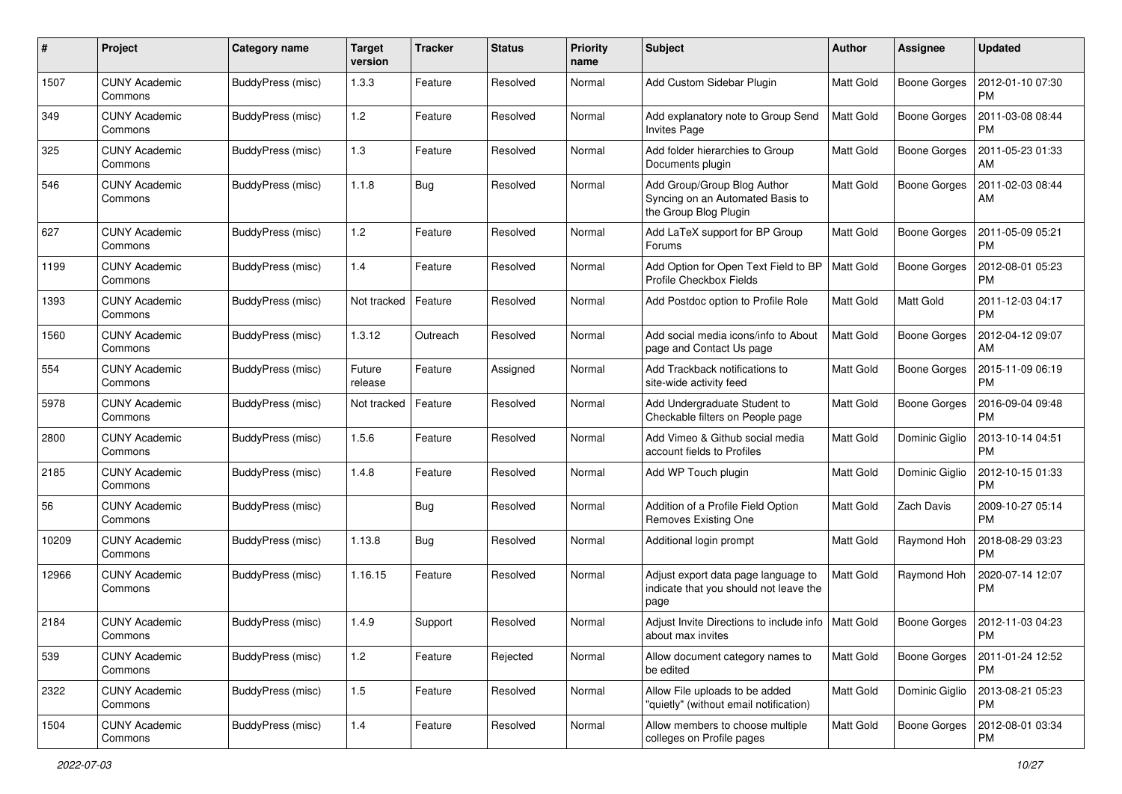| #     | Project                         | Category name            | <b>Target</b><br>version | <b>Tracker</b> | <b>Status</b> | <b>Priority</b><br>name | <b>Subject</b>                                                                           | Author           | <b>Assignee</b>     | <b>Updated</b>                |
|-------|---------------------------------|--------------------------|--------------------------|----------------|---------------|-------------------------|------------------------------------------------------------------------------------------|------------------|---------------------|-------------------------------|
| 1507  | <b>CUNY Academic</b><br>Commons | BuddyPress (misc)        | 1.3.3                    | Feature        | Resolved      | Normal                  | Add Custom Sidebar Plugin                                                                | Matt Gold        | <b>Boone Gorges</b> | 2012-01-10 07:30<br><b>PM</b> |
| 349   | <b>CUNY Academic</b><br>Commons | BuddyPress (misc)        | 1.2                      | Feature        | Resolved      | Normal                  | Add explanatory note to Group Send<br><b>Invites Page</b>                                | Matt Gold        | <b>Boone Gorges</b> | 2011-03-08 08:44<br><b>PM</b> |
| 325   | CUNY Academic<br>Commons        | BuddyPress (misc)        | 1.3                      | Feature        | Resolved      | Normal                  | Add folder hierarchies to Group<br>Documents plugin                                      | <b>Matt Gold</b> | Boone Gorges        | 2011-05-23 01:33<br>AM        |
| 546   | <b>CUNY Academic</b><br>Commons | BuddyPress (misc)        | 1.1.8                    | <b>Bug</b>     | Resolved      | Normal                  | Add Group/Group Blog Author<br>Syncing on an Automated Basis to<br>the Group Blog Plugin | <b>Matt Gold</b> | <b>Boone Gorges</b> | 2011-02-03 08:44<br>AM        |
| 627   | <b>CUNY Academic</b><br>Commons | BuddyPress (misc)        | 1.2                      | Feature        | Resolved      | Normal                  | Add LaTeX support for BP Group<br>Forums                                                 | Matt Gold        | <b>Boone Gorges</b> | 2011-05-09 05:21<br><b>PM</b> |
| 1199  | <b>CUNY Academic</b><br>Commons | BuddyPress (misc)        | 1.4                      | Feature        | Resolved      | Normal                  | Add Option for Open Text Field to BP<br>Profile Checkbox Fields                          | <b>Matt Gold</b> | <b>Boone Gorges</b> | 2012-08-01 05:23<br><b>PM</b> |
| 1393  | <b>CUNY Academic</b><br>Commons | BuddyPress (misc)        | Not tracked              | Feature        | Resolved      | Normal                  | Add Postdoc option to Profile Role                                                       | <b>Matt Gold</b> | <b>Matt Gold</b>    | 2011-12-03 04:17<br><b>PM</b> |
| 1560  | <b>CUNY Academic</b><br>Commons | BuddyPress (misc)        | 1.3.12                   | Outreach       | Resolved      | Normal                  | Add social media icons/info to About<br>page and Contact Us page                         | <b>Matt Gold</b> | Boone Gorges        | 2012-04-12 09:07<br>AM        |
| 554   | <b>CUNY Academic</b><br>Commons | BuddyPress (misc)        | Future<br>release        | Feature        | Assigned      | Normal                  | Add Trackback notifications to<br>site-wide activity feed                                | <b>Matt Gold</b> | <b>Boone Gorges</b> | 2015-11-09 06:19<br>PM        |
| 5978  | <b>CUNY Academic</b><br>Commons | BuddyPress (misc)        | Not tracked              | Feature        | Resolved      | Normal                  | Add Undergraduate Student to<br>Checkable filters on People page                         | <b>Matt Gold</b> | <b>Boone Gorges</b> | 2016-09-04 09:48<br><b>PM</b> |
| 2800  | <b>CUNY Academic</b><br>Commons | BuddyPress (misc)        | 1.5.6                    | Feature        | Resolved      | Normal                  | Add Vimeo & Github social media<br>account fields to Profiles                            | Matt Gold        | Dominic Giglio      | 2013-10-14 04:51<br><b>PM</b> |
| 2185  | <b>CUNY Academic</b><br>Commons | BuddyPress (misc)        | 1.4.8                    | Feature        | Resolved      | Normal                  | Add WP Touch plugin                                                                      | <b>Matt Gold</b> | Dominic Giglio      | 2012-10-15 01:33<br><b>PM</b> |
| 56    | <b>CUNY Academic</b><br>Commons | BuddyPress (misc)        |                          | <b>Bug</b>     | Resolved      | Normal                  | Addition of a Profile Field Option<br>Removes Existing One                               | Matt Gold        | Zach Davis          | 2009-10-27 05:14<br><b>PM</b> |
| 10209 | <b>CUNY Academic</b><br>Commons | BuddyPress (misc)        | 1.13.8                   | Bug            | Resolved      | Normal                  | Additional login prompt                                                                  | Matt Gold        | Raymond Hoh         | 2018-08-29 03:23<br><b>PM</b> |
| 12966 | <b>CUNY Academic</b><br>Commons | BuddyPress (misc)        | 1.16.15                  | Feature        | Resolved      | Normal                  | Adjust export data page language to<br>indicate that you should not leave the<br>page    | <b>Matt Gold</b> | Raymond Hoh         | 2020-07-14 12:07<br><b>PM</b> |
| 2184  | <b>CUNY Academic</b><br>Commons | BuddyPress (misc)        | 1.4.9                    | Support        | Resolved      | Normal                  | Adjust Invite Directions to include info<br>about max invites                            | Matt Gold        | Boone Gorges        | 2012-11-03 04:23<br>PM        |
| 539   | <b>CUNY Academic</b><br>Commons | BuddyPress (misc)        | 1.2                      | Feature        | Rejected      | Normal                  | Allow document category names to<br>be edited                                            | <b>Matt Gold</b> | <b>Boone Gorges</b> | 2011-01-24 12:52<br><b>PM</b> |
| 2322  | <b>CUNY Academic</b><br>Commons | BuddyPress (misc)        | 1.5                      | Feature        | Resolved      | Normal                  | Allow File uploads to be added<br>"quietly" (without email notification)                 | Matt Gold        | Dominic Giglio      | 2013-08-21 05:23<br><b>PM</b> |
| 1504  | <b>CUNY Academic</b><br>Commons | <b>BuddyPress (misc)</b> | 1.4                      | Feature        | Resolved      | Normal                  | Allow members to choose multiple<br>colleges on Profile pages                            | Matt Gold        | Boone Gorges        | 2012-08-01 03:34<br>PM        |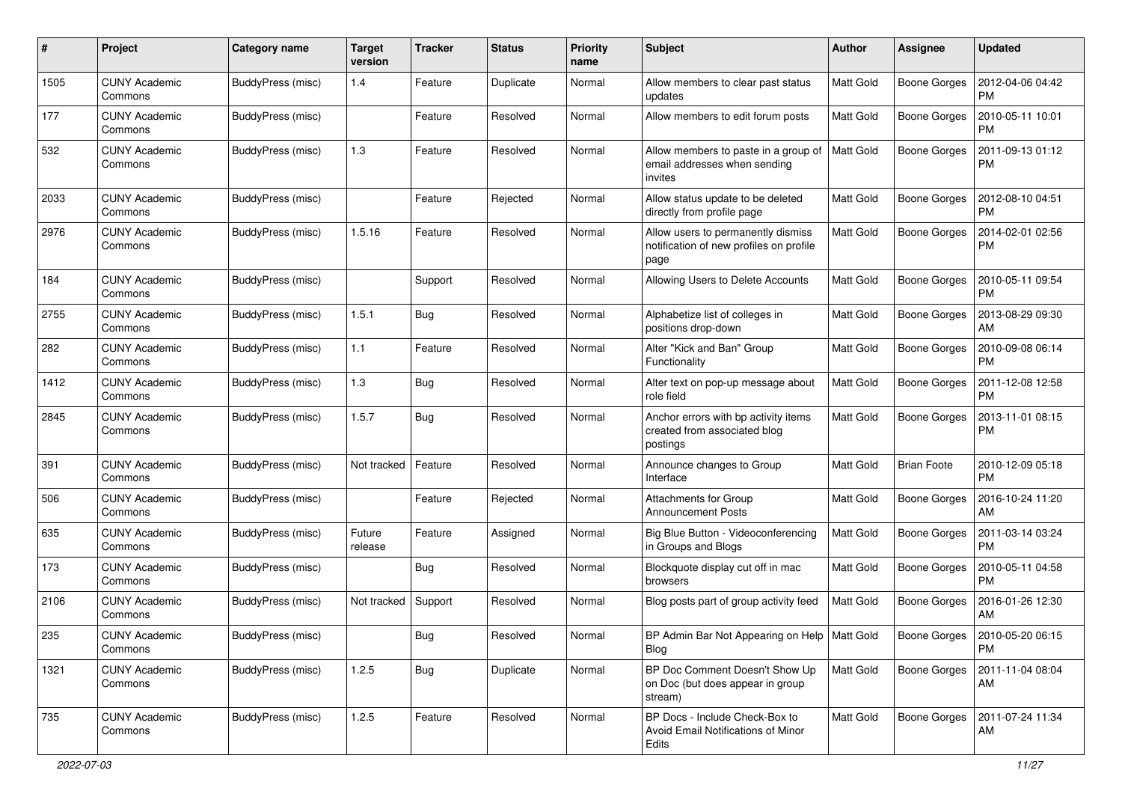| #    | Project                         | <b>Category name</b> | <b>Target</b><br>version | <b>Tracker</b> | <b>Status</b> | <b>Priority</b><br>name | <b>Subject</b>                                                                        | <b>Author</b>    | <b>Assignee</b>     | <b>Updated</b>                |
|------|---------------------------------|----------------------|--------------------------|----------------|---------------|-------------------------|---------------------------------------------------------------------------------------|------------------|---------------------|-------------------------------|
| 1505 | <b>CUNY Academic</b><br>Commons | BuddyPress (misc)    | 1.4                      | Feature        | Duplicate     | Normal                  | Allow members to clear past status<br>updates                                         | Matt Gold        | <b>Boone Gorges</b> | 2012-04-06 04:42<br><b>PM</b> |
| 177  | <b>CUNY Academic</b><br>Commons | BuddyPress (misc)    |                          | Feature        | Resolved      | Normal                  | Allow members to edit forum posts                                                     | <b>Matt Gold</b> | <b>Boone Gorges</b> | 2010-05-11 10:01<br><b>PM</b> |
| 532  | CUNY Academic<br>Commons        | BuddyPress (misc)    | 1.3                      | Feature        | Resolved      | Normal                  | Allow members to paste in a group of<br>email addresses when sending<br>invites       | <b>Matt Gold</b> | <b>Boone Gorges</b> | 2011-09-13 01:12<br><b>PM</b> |
| 2033 | CUNY Academic<br>Commons        | BuddyPress (misc)    |                          | Feature        | Rejected      | Normal                  | Allow status update to be deleted<br>directly from profile page                       | Matt Gold        | <b>Boone Gorges</b> | 2012-08-10 04:51<br><b>PM</b> |
| 2976 | <b>CUNY Academic</b><br>Commons | BuddyPress (misc)    | 1.5.16                   | Feature        | Resolved      | Normal                  | Allow users to permanently dismiss<br>notification of new profiles on profile<br>page | <b>Matt Gold</b> | <b>Boone Gorges</b> | 2014-02-01 02:56<br><b>PM</b> |
| 184  | <b>CUNY Academic</b><br>Commons | BuddyPress (misc)    |                          | Support        | Resolved      | Normal                  | Allowing Users to Delete Accounts                                                     | <b>Matt Gold</b> | <b>Boone Gorges</b> | 2010-05-11 09:54<br><b>PM</b> |
| 2755 | <b>CUNY Academic</b><br>Commons | BuddyPress (misc)    | 1.5.1                    | Bug            | Resolved      | Normal                  | Alphabetize list of colleges in<br>positions drop-down                                | <b>Matt Gold</b> | <b>Boone Gorges</b> | 2013-08-29 09:30<br>AM        |
| 282  | <b>CUNY Academic</b><br>Commons | BuddyPress (misc)    | $1.1$                    | Feature        | Resolved      | Normal                  | Alter "Kick and Ban" Group<br>Functionality                                           | <b>Matt Gold</b> | <b>Boone Gorges</b> | 2010-09-08 06:14<br><b>PM</b> |
| 1412 | CUNY Academic<br>Commons        | BuddyPress (misc)    | 1.3                      | Bug            | Resolved      | Normal                  | Alter text on pop-up message about<br>role field                                      | <b>Matt Gold</b> | <b>Boone Gorges</b> | 2011-12-08 12:58<br><b>PM</b> |
| 2845 | <b>CUNY Academic</b><br>Commons | BuddyPress (misc)    | 1.5.7                    | Bug            | Resolved      | Normal                  | Anchor errors with bp activity items<br>created from associated blog<br>postings      | <b>Matt Gold</b> | <b>Boone Gorges</b> | 2013-11-01 08:15<br><b>PM</b> |
| 391  | <b>CUNY Academic</b><br>Commons | BuddyPress (misc)    | Not tracked              | Feature        | Resolved      | Normal                  | Announce changes to Group<br>Interface                                                | <b>Matt Gold</b> | <b>Brian Foote</b>  | 2010-12-09 05:18<br><b>PM</b> |
| 506  | <b>CUNY Academic</b><br>Commons | BuddyPress (misc)    |                          | Feature        | Rejected      | Normal                  | Attachments for Group<br><b>Announcement Posts</b>                                    | <b>Matt Gold</b> | <b>Boone Gorges</b> | 2016-10-24 11:20<br>AM        |
| 635  | <b>CUNY Academic</b><br>Commons | BuddyPress (misc)    | Future<br>release        | Feature        | Assigned      | Normal                  | Big Blue Button - Videoconferencing<br>in Groups and Blogs                            | <b>Matt Gold</b> | <b>Boone Gorges</b> | 2011-03-14 03:24<br><b>PM</b> |
| 173  | CUNY Academic<br>Commons        | BuddyPress (misc)    |                          | Bug            | Resolved      | Normal                  | Blockquote display cut off in mac<br>browsers                                         | <b>Matt Gold</b> | <b>Boone Gorges</b> | 2010-05-11 04:58<br><b>PM</b> |
| 2106 | <b>CUNY Academic</b><br>Commons | BuddyPress (misc)    | Not tracked              | Support        | Resolved      | Normal                  | Blog posts part of group activity feed                                                | <b>Matt Gold</b> | <b>Boone Gorges</b> | 2016-01-26 12:30<br>AM        |
| 235  | <b>CUNY Academic</b><br>Commons | BuddyPress (misc)    |                          | <b>Bug</b>     | Resolved      | Normal                  | BP Admin Bar Not Appearing on Help   Matt Gold<br>Blog                                |                  | Boone Gorges        | 2010-05-20 06:15<br>PM        |
| 1321 | <b>CUNY Academic</b><br>Commons | BuddyPress (misc)    | 1.2.5                    | Bug            | Duplicate     | Normal                  | BP Doc Comment Doesn't Show Up<br>on Doc (but does appear in group<br>stream)         | Matt Gold        | Boone Gorges        | 2011-11-04 08:04<br>AM        |
| 735  | <b>CUNY Academic</b><br>Commons | BuddyPress (misc)    | 1.2.5                    | Feature        | Resolved      | Normal                  | BP Docs - Include Check-Box to<br>Avoid Email Notifications of Minor<br>Edits         | Matt Gold        | <b>Boone Gorges</b> | 2011-07-24 11:34<br>AM        |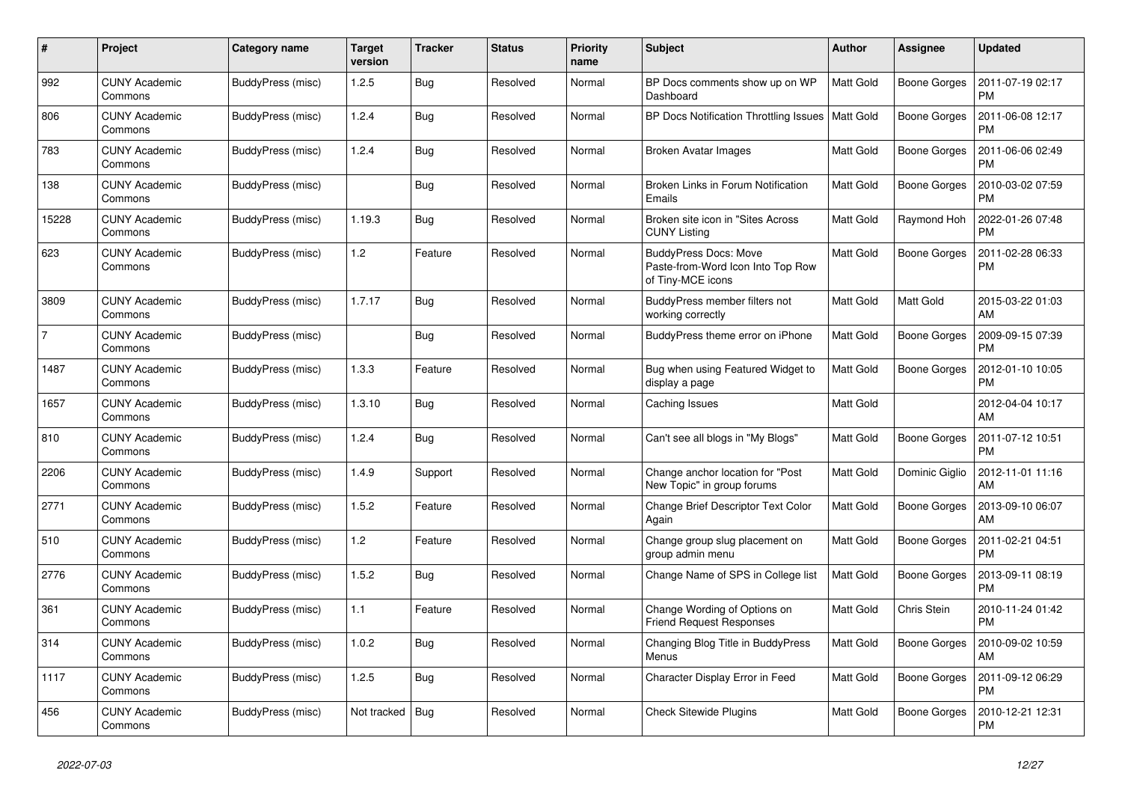| #              | Project                         | Category name     | Target<br>version | <b>Tracker</b> | <b>Status</b> | <b>Priority</b><br>name | <b>Subject</b>                                                                         | <b>Author</b>    | Assignee            | <b>Updated</b>                |
|----------------|---------------------------------|-------------------|-------------------|----------------|---------------|-------------------------|----------------------------------------------------------------------------------------|------------------|---------------------|-------------------------------|
| 992            | <b>CUNY Academic</b><br>Commons | BuddyPress (misc) | 1.2.5             | <b>Bug</b>     | Resolved      | Normal                  | BP Docs comments show up on WP<br>Dashboard                                            | <b>Matt Gold</b> | <b>Boone Gorges</b> | 2011-07-19 02:17<br><b>PM</b> |
| 806            | <b>CUNY Academic</b><br>Commons | BuddyPress (misc) | 1.2.4             | <b>Bug</b>     | Resolved      | Normal                  | BP Docs Notification Throttling Issues                                                 | <b>Matt Gold</b> | Boone Gorges        | 2011-06-08 12:17<br>PM        |
| 783            | <b>CUNY Academic</b><br>Commons | BuddyPress (misc) | 1.2.4             | Bug            | Resolved      | Normal                  | Broken Avatar Images                                                                   | <b>Matt Gold</b> | Boone Gorges        | 2011-06-06 02:49<br><b>PM</b> |
| 138            | <b>CUNY Academic</b><br>Commons | BuddyPress (misc) |                   | Bug            | Resolved      | Normal                  | Broken Links in Forum Notification<br>Emails                                           | <b>Matt Gold</b> | Boone Gorges        | 2010-03-02 07:59<br>PM        |
| 15228          | <b>CUNY Academic</b><br>Commons | BuddyPress (misc) | 1.19.3            | <b>Bug</b>     | Resolved      | Normal                  | Broken site icon in "Sites Across"<br><b>CUNY Listing</b>                              | <b>Matt Gold</b> | Raymond Hoh         | 2022-01-26 07:48<br><b>PM</b> |
| 623            | CUNY Academic<br>Commons        | BuddyPress (misc) | 1.2               | Feature        | Resolved      | Normal                  | <b>BuddyPress Docs: Move</b><br>Paste-from-Word Icon Into Top Row<br>of Tiny-MCE icons | <b>Matt Gold</b> | Boone Gorges        | 2011-02-28 06:33<br>PM        |
| 3809           | <b>CUNY Academic</b><br>Commons | BuddyPress (misc) | 1.7.17            | Bug            | Resolved      | Normal                  | BuddyPress member filters not<br>working correctly                                     | <b>Matt Gold</b> | Matt Gold           | 2015-03-22 01:03<br>AM        |
| $\overline{7}$ | <b>CUNY Academic</b><br>Commons | BuddyPress (misc) |                   | Bug            | Resolved      | Normal                  | BuddyPress theme error on iPhone                                                       | Matt Gold        | Boone Gorges        | 2009-09-15 07:39<br><b>PM</b> |
| 1487           | <b>CUNY Academic</b><br>Commons | BuddyPress (misc) | 1.3.3             | Feature        | Resolved      | Normal                  | Bug when using Featured Widget to<br>display a page                                    | <b>Matt Gold</b> | Boone Gorges        | 2012-01-10 10:05<br><b>PM</b> |
| 1657           | <b>CUNY Academic</b><br>Commons | BuddyPress (misc) | 1.3.10            | <b>Bug</b>     | Resolved      | Normal                  | Caching Issues                                                                         | Matt Gold        |                     | 2012-04-04 10:17<br>AM        |
| 810            | <b>CUNY Academic</b><br>Commons | BuddyPress (misc) | 1.2.4             | Bug            | Resolved      | Normal                  | Can't see all blogs in "My Blogs"                                                      | Matt Gold        | Boone Gorges        | 2011-07-12 10:51<br><b>PM</b> |
| 2206           | <b>CUNY Academic</b><br>Commons | BuddyPress (misc) | 1.4.9             | Support        | Resolved      | Normal                  | Change anchor location for "Post<br>New Topic" in group forums                         | <b>Matt Gold</b> | Dominic Giglio      | 2012-11-01 11:16<br>AM        |
| 2771           | <b>CUNY Academic</b><br>Commons | BuddyPress (misc) | 1.5.2             | Feature        | Resolved      | Normal                  | Change Brief Descriptor Text Color<br>Again                                            | <b>Matt Gold</b> | Boone Gorges        | 2013-09-10 06:07<br>AM        |
| 510            | <b>CUNY Academic</b><br>Commons | BuddyPress (misc) | 1.2               | Feature        | Resolved      | Normal                  | Change group slug placement on<br>group admin menu                                     | <b>Matt Gold</b> | Boone Gorges        | 2011-02-21 04:51<br><b>PM</b> |
| 2776           | <b>CUNY Academic</b><br>Commons | BuddyPress (misc) | 1.5.2             | Bug            | Resolved      | Normal                  | Change Name of SPS in College list                                                     | Matt Gold        | Boone Gorges        | 2013-09-11 08:19<br><b>PM</b> |
| 361            | <b>CUNY Academic</b><br>Commons | BuddyPress (misc) | 1.1               | Feature        | Resolved      | Normal                  | Change Wording of Options on<br><b>Friend Request Responses</b>                        | Matt Gold        | Chris Stein         | 2010-11-24 01:42<br><b>PM</b> |
| 314            | <b>CUNY Academic</b><br>Commons | BuddyPress (misc) | 1.0.2             | <b>Bug</b>     | Resolved      | Normal                  | Changing Blog Title in BuddyPress<br>Menus                                             | <b>Matt Gold</b> | Boone Gorges        | 2010-09-02 10:59<br>AM        |
| 1117           | <b>CUNY Academic</b><br>Commons | BuddyPress (misc) | 1.2.5             | <b>Bug</b>     | Resolved      | Normal                  | Character Display Error in Feed                                                        | <b>Matt Gold</b> | Boone Gorges        | 2011-09-12 06:29<br><b>PM</b> |
| 456            | <b>CUNY Academic</b><br>Commons | BuddyPress (misc) | Not tracked       | Bug            | Resolved      | Normal                  | <b>Check Sitewide Plugins</b>                                                          | Matt Gold        | Boone Gorges        | 2010-12-21 12:31<br><b>PM</b> |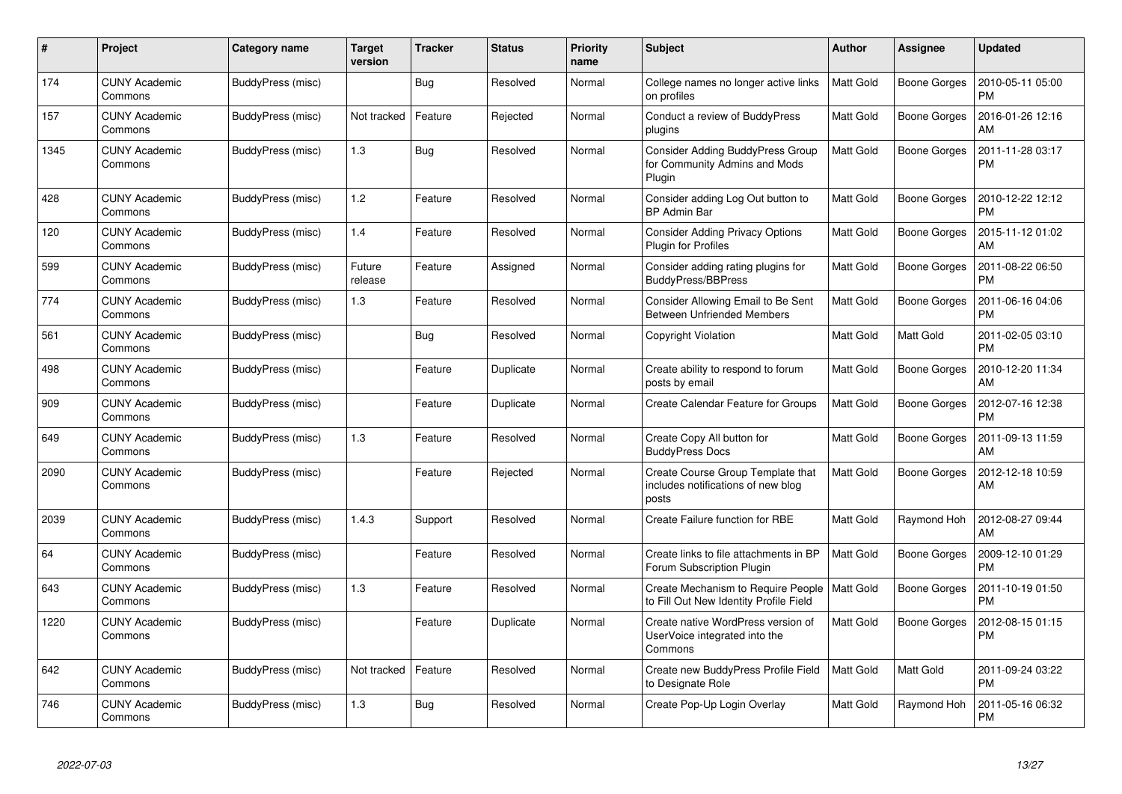| #    | Project                         | <b>Category name</b> | <b>Target</b><br>version | <b>Tracker</b> | <b>Status</b> | <b>Priority</b><br>name | <b>Subject</b>                                                                     | Author           | Assignee            | <b>Updated</b>                |
|------|---------------------------------|----------------------|--------------------------|----------------|---------------|-------------------------|------------------------------------------------------------------------------------|------------------|---------------------|-------------------------------|
| 174  | <b>CUNY Academic</b><br>Commons | BuddyPress (misc)    |                          | Bug            | Resolved      | Normal                  | College names no longer active links<br>on profiles                                | <b>Matt Gold</b> | <b>Boone Gorges</b> | 2010-05-11 05:00<br><b>PM</b> |
| 157  | <b>CUNY Academic</b><br>Commons | BuddyPress (misc)    | Not tracked              | Feature        | Rejected      | Normal                  | Conduct a review of BuddyPress<br>plugins                                          | <b>Matt Gold</b> | <b>Boone Gorges</b> | 2016-01-26 12:16<br>AM        |
| 1345 | <b>CUNY Academic</b><br>Commons | BuddyPress (misc)    | 1.3                      | Bug            | Resolved      | Normal                  | <b>Consider Adding BuddyPress Group</b><br>for Community Admins and Mods<br>Plugin | <b>Matt Gold</b> | Boone Gorges        | 2011-11-28 03:17<br><b>PM</b> |
| 428  | <b>CUNY Academic</b><br>Commons | BuddyPress (misc)    | 1.2                      | Feature        | Resolved      | Normal                  | Consider adding Log Out button to<br><b>BP Admin Bar</b>                           | <b>Matt Gold</b> | Boone Gorges        | 2010-12-22 12:12<br><b>PM</b> |
| 120  | <b>CUNY Academic</b><br>Commons | BuddyPress (misc)    | 1.4                      | Feature        | Resolved      | Normal                  | <b>Consider Adding Privacy Options</b><br><b>Plugin for Profiles</b>               | <b>Matt Gold</b> | Boone Gorges        | 2015-11-12 01:02<br>AM        |
| 599  | <b>CUNY Academic</b><br>Commons | BuddyPress (misc)    | Future<br>release        | Feature        | Assigned      | Normal                  | Consider adding rating plugins for<br><b>BuddyPress/BBPress</b>                    | <b>Matt Gold</b> | Boone Gorges        | 2011-08-22 06:50<br><b>PM</b> |
| 774  | <b>CUNY Academic</b><br>Commons | BuddyPress (misc)    | 1.3                      | Feature        | Resolved      | Normal                  | Consider Allowing Email to Be Sent<br><b>Between Unfriended Members</b>            | <b>Matt Gold</b> | <b>Boone Gorges</b> | 2011-06-16 04:06<br><b>PM</b> |
| 561  | <b>CUNY Academic</b><br>Commons | BuddyPress (misc)    |                          | <b>Bug</b>     | Resolved      | Normal                  | Copyright Violation                                                                | <b>Matt Gold</b> | Matt Gold           | 2011-02-05 03:10<br><b>PM</b> |
| 498  | <b>CUNY Academic</b><br>Commons | BuddyPress (misc)    |                          | Feature        | Duplicate     | Normal                  | Create ability to respond to forum<br>posts by email                               | <b>Matt Gold</b> | Boone Gorges        | 2010-12-20 11:34<br>AM        |
| 909  | <b>CUNY Academic</b><br>Commons | BuddyPress (misc)    |                          | Feature        | Duplicate     | Normal                  | Create Calendar Feature for Groups                                                 | <b>Matt Gold</b> | Boone Gorges        | 2012-07-16 12:38<br><b>PM</b> |
| 649  | <b>CUNY Academic</b><br>Commons | BuddyPress (misc)    | $1.3$                    | Feature        | Resolved      | Normal                  | Create Copy All button for<br><b>BuddyPress Docs</b>                               | Matt Gold        | <b>Boone Gorges</b> | 2011-09-13 11:59<br>AM        |
| 2090 | CUNY Academic<br>Commons        | BuddyPress (misc)    |                          | Feature        | Rejected      | Normal                  | Create Course Group Template that<br>includes notifications of new blog<br>posts   | <b>Matt Gold</b> | Boone Gorges        | 2012-12-18 10:59<br>AM        |
| 2039 | <b>CUNY Academic</b><br>Commons | BuddyPress (misc)    | 1.4.3                    | Support        | Resolved      | Normal                  | Create Failure function for RBE                                                    | <b>Matt Gold</b> | Raymond Hoh         | 2012-08-27 09:44<br>AM        |
| 64   | CUNY Academic<br>Commons        | BuddyPress (misc)    |                          | Feature        | Resolved      | Normal                  | Create links to file attachments in BP<br>Forum Subscription Plugin                | <b>Matt Gold</b> | Boone Gorges        | 2009-12-10 01:29<br><b>PM</b> |
| 643  | <b>CUNY Academic</b><br>Commons | BuddyPress (misc)    | 1.3                      | Feature        | Resolved      | Normal                  | Create Mechanism to Require People<br>to Fill Out New Identity Profile Field       | <b>Matt Gold</b> | Boone Gorges        | 2011-10-19 01:50<br><b>PM</b> |
| 1220 | <b>CUNY Academic</b><br>Commons | BuddyPress (misc)    |                          | Feature        | Duplicate     | Normal                  | Create native WordPress version of<br>UserVoice integrated into the<br>Commons     | <b>Matt Gold</b> | Boone Gorges        | 2012-08-15 01:15<br>PM        |
| 642  | <b>CUNY Academic</b><br>Commons | BuddyPress (misc)    | Not tracked              | Feature        | Resolved      | Normal                  | Create new BuddyPress Profile Field<br>to Designate Role                           | <b>Matt Gold</b> | Matt Gold           | 2011-09-24 03:22<br><b>PM</b> |
| 746  | <b>CUNY Academic</b><br>Commons | BuddyPress (misc)    | 1.3                      | Bug            | Resolved      | Normal                  | Create Pop-Up Login Overlay                                                        | <b>Matt Gold</b> | Raymond Hoh         | 2011-05-16 06:32<br><b>PM</b> |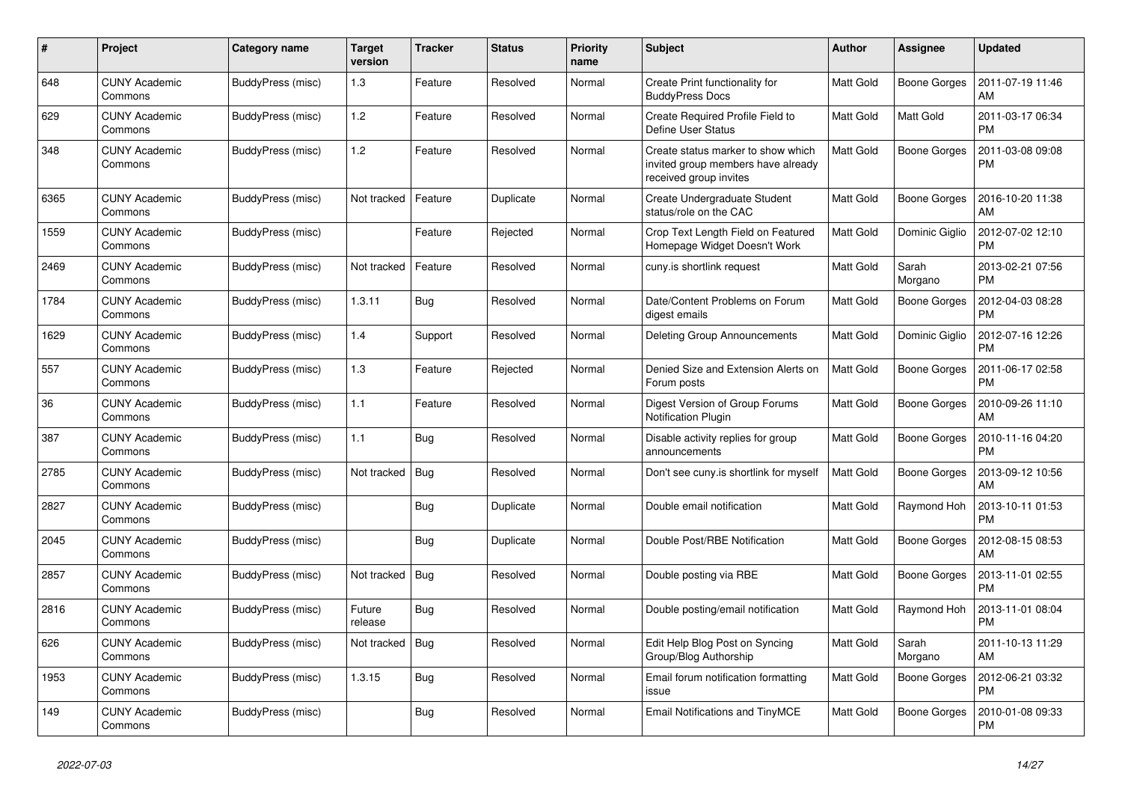| #    | Project                         | Category name     | Target<br>version | <b>Tracker</b> | <b>Status</b> | <b>Priority</b><br>name | <b>Subject</b>                                                                                     | <b>Author</b>    | <b>Assignee</b>     | <b>Updated</b>                |
|------|---------------------------------|-------------------|-------------------|----------------|---------------|-------------------------|----------------------------------------------------------------------------------------------------|------------------|---------------------|-------------------------------|
| 648  | <b>CUNY Academic</b><br>Commons | BuddyPress (misc) | 1.3               | Feature        | Resolved      | Normal                  | Create Print functionality for<br><b>BuddyPress Docs</b>                                           | <b>Matt Gold</b> | Boone Gorges        | 2011-07-19 11:46<br>AM        |
| 629  | <b>CUNY Academic</b><br>Commons | BuddyPress (misc) | 1.2               | Feature        | Resolved      | Normal                  | Create Required Profile Field to<br>Define User Status                                             | <b>Matt Gold</b> | <b>Matt Gold</b>    | 2011-03-17 06:34<br><b>PM</b> |
| 348  | CUNY Academic<br>Commons        | BuddyPress (misc) | 1.2               | Feature        | Resolved      | Normal                  | Create status marker to show which<br>invited group members have already<br>received group invites | Matt Gold        | Boone Gorges        | 2011-03-08 09:08<br><b>PM</b> |
| 6365 | <b>CUNY Academic</b><br>Commons | BuddyPress (misc) | Not tracked       | Feature        | Duplicate     | Normal                  | Create Undergraduate Student<br>status/role on the CAC                                             | <b>Matt Gold</b> | Boone Gorges        | 2016-10-20 11:38<br>AM        |
| 1559 | <b>CUNY Academic</b><br>Commons | BuddyPress (misc) |                   | Feature        | Rejected      | Normal                  | Crop Text Length Field on Featured<br>Homepage Widget Doesn't Work                                 | <b>Matt Gold</b> | Dominic Giglio      | 2012-07-02 12:10<br><b>PM</b> |
| 2469 | <b>CUNY Academic</b><br>Commons | BuddyPress (misc) | Not tracked       | Feature        | Resolved      | Normal                  | cuny.is shortlink request                                                                          | Matt Gold        | Sarah<br>Morgano    | 2013-02-21 07:56<br><b>PM</b> |
| 1784 | <b>CUNY Academic</b><br>Commons | BuddyPress (misc) | 1.3.11            | Bug            | Resolved      | Normal                  | Date/Content Problems on Forum<br>digest emails                                                    | <b>Matt Gold</b> | <b>Boone Gorges</b> | 2012-04-03 08:28<br><b>PM</b> |
| 1629 | <b>CUNY Academic</b><br>Commons | BuddyPress (misc) | 1.4               | Support        | Resolved      | Normal                  | Deleting Group Announcements                                                                       | <b>Matt Gold</b> | Dominic Giglio      | 2012-07-16 12:26<br><b>PM</b> |
| 557  | <b>CUNY Academic</b><br>Commons | BuddyPress (misc) | 1.3               | Feature        | Rejected      | Normal                  | Denied Size and Extension Alerts on<br>Forum posts                                                 | Matt Gold        | <b>Boone Gorges</b> | 2011-06-17 02:58<br><b>PM</b> |
| 36   | <b>CUNY Academic</b><br>Commons | BuddyPress (misc) | 1.1               | Feature        | Resolved      | Normal                  | Digest Version of Group Forums<br><b>Notification Plugin</b>                                       | <b>Matt Gold</b> | <b>Boone Gorges</b> | 2010-09-26 11:10<br>AM        |
| 387  | <b>CUNY Academic</b><br>Commons | BuddyPress (misc) | 1.1               | <b>Bug</b>     | Resolved      | Normal                  | Disable activity replies for group<br>announcements                                                | <b>Matt Gold</b> | Boone Gorges        | 2010-11-16 04:20<br><b>PM</b> |
| 2785 | <b>CUNY Academic</b><br>Commons | BuddyPress (misc) | Not tracked       | Bug            | Resolved      | Normal                  | Don't see cuny is shortlink for myself                                                             | <b>Matt Gold</b> | Boone Gorges        | 2013-09-12 10:56<br>AM        |
| 2827 | <b>CUNY Academic</b><br>Commons | BuddyPress (misc) |                   | Bug            | Duplicate     | Normal                  | Double email notification                                                                          | Matt Gold        | Raymond Hoh         | 2013-10-11 01:53<br><b>PM</b> |
| 2045 | <b>CUNY Academic</b><br>Commons | BuddyPress (misc) |                   | Bug            | Duplicate     | Normal                  | Double Post/RBE Notification                                                                       | <b>Matt Gold</b> | Boone Gorges        | 2012-08-15 08:53<br>AM        |
| 2857 | <b>CUNY Academic</b><br>Commons | BuddyPress (misc) | Not tracked       | Bug            | Resolved      | Normal                  | Double posting via RBE                                                                             | <b>Matt Gold</b> | Boone Gorges        | 2013-11-01 02:55<br><b>PM</b> |
| 2816 | <b>CUNY Academic</b><br>Commons | BuddyPress (misc) | Future<br>release | Bug            | Resolved      | Normal                  | Double posting/email notification                                                                  | Matt Gold        | Raymond Hoh         | 2013-11-01 08:04<br><b>PM</b> |
| 626  | <b>CUNY Academic</b><br>Commons | BuddyPress (misc) | Not tracked       | Bug            | Resolved      | Normal                  | Edit Help Blog Post on Syncing<br>Group/Blog Authorship                                            | <b>Matt Gold</b> | Sarah<br>Morgano    | 2011-10-13 11:29<br>AM        |
| 1953 | <b>CUNY Academic</b><br>Commons | BuddyPress (misc) | 1.3.15            | Bug            | Resolved      | Normal                  | Email forum notification formatting<br>issue                                                       | <b>Matt Gold</b> | Boone Gorges        | 2012-06-21 03:32<br><b>PM</b> |
| 149  | <b>CUNY Academic</b><br>Commons | BuddyPress (misc) |                   | Bug            | Resolved      | Normal                  | <b>Email Notifications and TinyMCE</b>                                                             | <b>Matt Gold</b> | Boone Gorges        | 2010-01-08 09:33<br><b>PM</b> |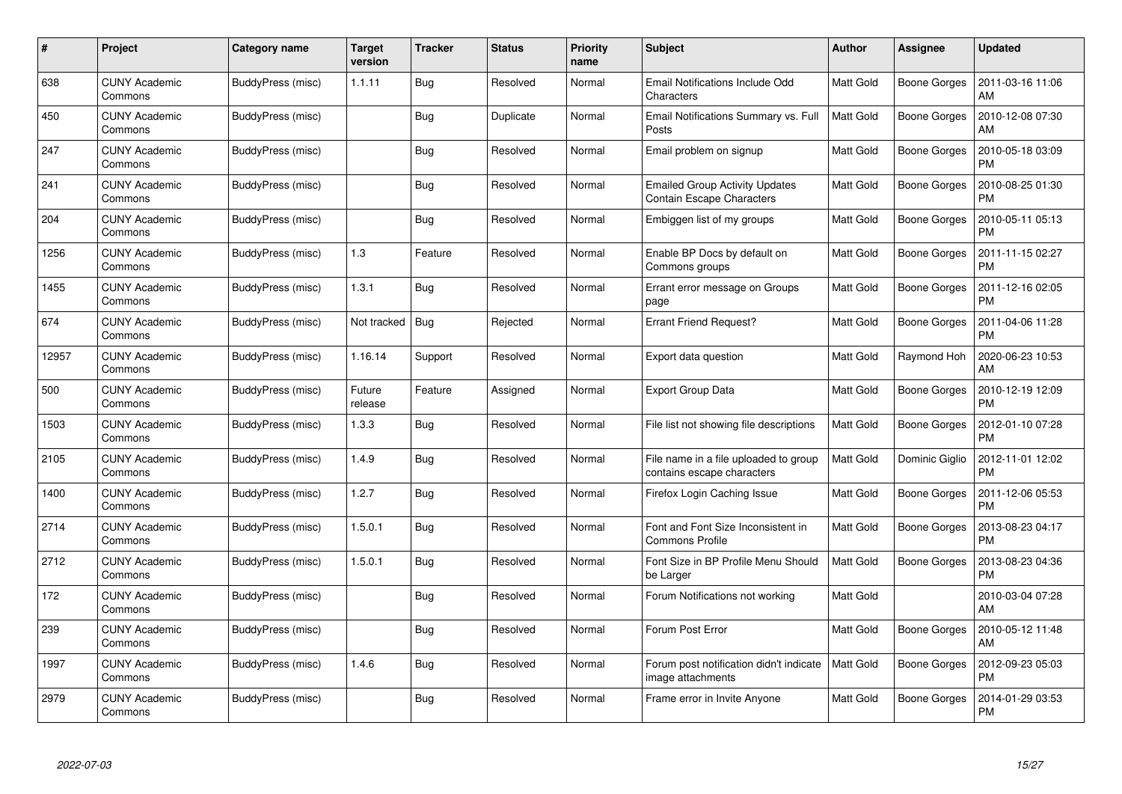| #     | Project                         | Category name     | Target<br>version | <b>Tracker</b> | <b>Status</b> | <b>Priority</b><br>name | <b>Subject</b>                                                            | <b>Author</b>    | Assignee            | <b>Updated</b>                |
|-------|---------------------------------|-------------------|-------------------|----------------|---------------|-------------------------|---------------------------------------------------------------------------|------------------|---------------------|-------------------------------|
| 638   | <b>CUNY Academic</b><br>Commons | BuddyPress (misc) | 1.1.11            | <b>Bug</b>     | Resolved      | Normal                  | Email Notifications Include Odd<br>Characters                             | <b>Matt Gold</b> | <b>Boone Gorges</b> | 2011-03-16 11:06<br>AM        |
| 450   | <b>CUNY Academic</b><br>Commons | BuddyPress (misc) |                   | Bug            | Duplicate     | Normal                  | Email Notifications Summary vs. Full<br>Posts                             | <b>Matt Gold</b> | Boone Gorges        | 2010-12-08 07:30<br>AM        |
| 247   | <b>CUNY Academic</b><br>Commons | BuddyPress (misc) |                   | Bug            | Resolved      | Normal                  | Email problem on signup                                                   | <b>Matt Gold</b> | Boone Gorges        | 2010-05-18 03:09<br><b>PM</b> |
| 241   | CUNY Academic<br>Commons        | BuddyPress (misc) |                   | <b>Bug</b>     | Resolved      | Normal                  | <b>Emailed Group Activity Updates</b><br><b>Contain Escape Characters</b> | <b>Matt Gold</b> | Boone Gorges        | 2010-08-25 01:30<br><b>PM</b> |
| 204   | <b>CUNY Academic</b><br>Commons | BuddyPress (misc) |                   | Bug            | Resolved      | Normal                  | Embiggen list of my groups                                                | <b>Matt Gold</b> | Boone Gorges        | 2010-05-11 05:13<br><b>PM</b> |
| 1256  | <b>CUNY Academic</b><br>Commons | BuddyPress (misc) | 1.3               | Feature        | Resolved      | Normal                  | Enable BP Docs by default on<br>Commons groups                            | <b>Matt Gold</b> | Boone Gorges        | 2011-11-15 02:27<br><b>PM</b> |
| 1455  | <b>CUNY Academic</b><br>Commons | BuddyPress (misc) | 1.3.1             | Bug            | Resolved      | Normal                  | Errant error message on Groups<br>page                                    | <b>Matt Gold</b> | Boone Gorges        | 2011-12-16 02:05<br><b>PM</b> |
| 674   | <b>CUNY Academic</b><br>Commons | BuddyPress (misc) | Not tracked       | Bug            | Rejected      | Normal                  | <b>Errant Friend Request?</b>                                             | Matt Gold        | Boone Gorges        | 2011-04-06 11:28<br><b>PM</b> |
| 12957 | <b>CUNY Academic</b><br>Commons | BuddyPress (misc) | 1.16.14           | Support        | Resolved      | Normal                  | Export data question                                                      | <b>Matt Gold</b> | Raymond Hoh         | 2020-06-23 10:53<br>AM        |
| 500   | <b>CUNY Academic</b><br>Commons | BuddyPress (misc) | Future<br>release | Feature        | Assigned      | Normal                  | <b>Export Group Data</b>                                                  | <b>Matt Gold</b> | Boone Gorges        | 2010-12-19 12:09<br><b>PM</b> |
| 1503  | <b>CUNY Academic</b><br>Commons | BuddyPress (misc) | 1.3.3             | <b>Bug</b>     | Resolved      | Normal                  | File list not showing file descriptions                                   | Matt Gold        | Boone Gorges        | 2012-01-10 07:28<br><b>PM</b> |
| 2105  | <b>CUNY Academic</b><br>Commons | BuddyPress (misc) | 1.4.9             | <b>Bug</b>     | Resolved      | Normal                  | File name in a file uploaded to group<br>contains escape characters       | <b>Matt Gold</b> | Dominic Giglio      | 2012-11-01 12:02<br><b>PM</b> |
| 1400  | <b>CUNY Academic</b><br>Commons | BuddyPress (misc) | 1.2.7             | Bug            | Resolved      | Normal                  | Firefox Login Caching Issue                                               | <b>Matt Gold</b> | Boone Gorges        | 2011-12-06 05:53<br>PM        |
| 2714  | <b>CUNY Academic</b><br>Commons | BuddyPress (misc) | 1.5.0.1           | Bug            | Resolved      | Normal                  | Font and Font Size Inconsistent in<br><b>Commons Profile</b>              | Matt Gold        | Boone Gorges        | 2013-08-23 04:17<br><b>PM</b> |
| 2712  | <b>CUNY Academic</b><br>Commons | BuddyPress (misc) | 1.5.0.1           | <b>Bug</b>     | Resolved      | Normal                  | Font Size in BP Profile Menu Should<br>be Larger                          | <b>Matt Gold</b> | Boone Gorges        | 2013-08-23 04:36<br><b>PM</b> |
| 172   | <b>CUNY Academic</b><br>Commons | BuddyPress (misc) |                   | Bug            | Resolved      | Normal                  | Forum Notifications not working                                           | <b>Matt Gold</b> |                     | 2010-03-04 07:28<br>AM        |
| 239   | <b>CUNY Academic</b><br>Commons | BuddyPress (misc) |                   | Bug            | Resolved      | Normal                  | Forum Post Error                                                          | Matt Gold        | Boone Gorges        | 2010-05-12 11:48<br>AM        |
| 1997  | <b>CUNY Academic</b><br>Commons | BuddyPress (misc) | 1.4.6             | Bug            | Resolved      | Normal                  | Forum post notification didn't indicate<br>image attachments              | <b>Matt Gold</b> | Boone Gorges        | 2012-09-23 05:03<br><b>PM</b> |
| 2979  | CUNY Academic<br>Commons        | BuddyPress (misc) |                   | <b>Bug</b>     | Resolved      | Normal                  | Frame error in Invite Anyone                                              | <b>Matt Gold</b> | Boone Gorges        | 2014-01-29 03:53<br>PM        |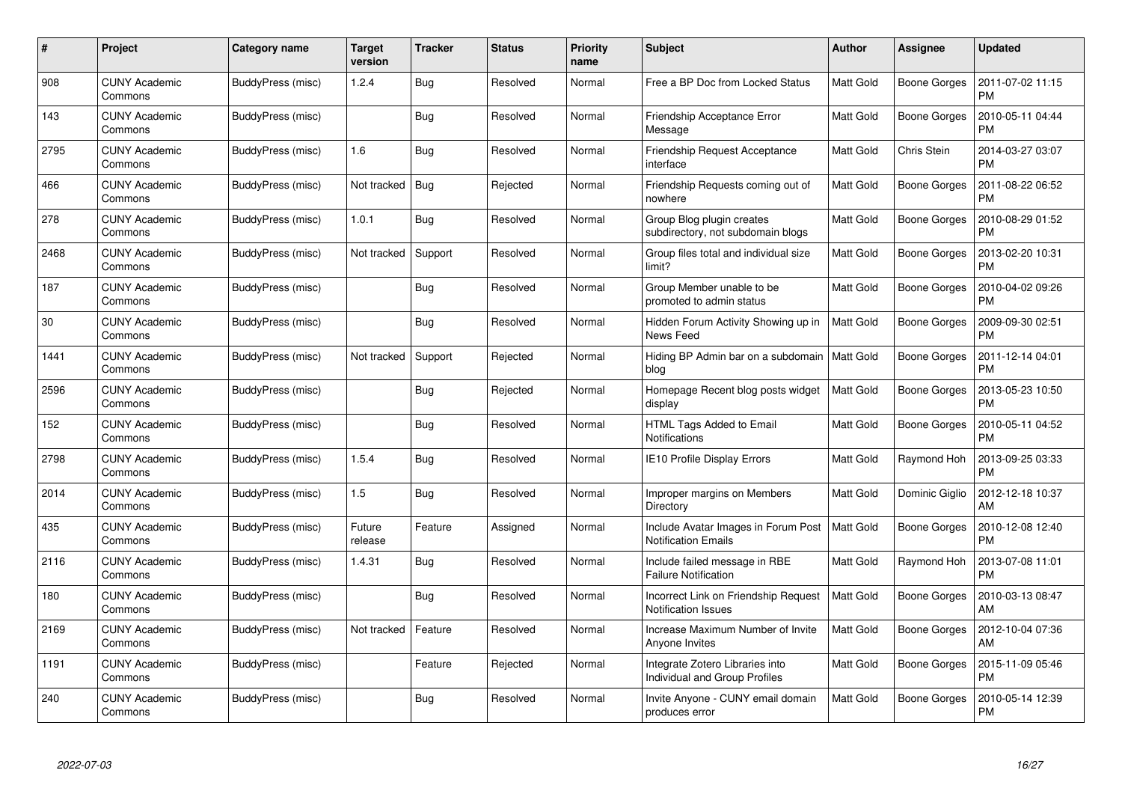| #    | Project                         | <b>Category name</b> | <b>Target</b><br>version | <b>Tracker</b> | <b>Status</b> | <b>Priority</b><br>name | <b>Subject</b>                                                     | <b>Author</b>    | <b>Assignee</b>     | <b>Updated</b>                |
|------|---------------------------------|----------------------|--------------------------|----------------|---------------|-------------------------|--------------------------------------------------------------------|------------------|---------------------|-------------------------------|
| 908  | <b>CUNY Academic</b><br>Commons | BuddyPress (misc)    | 1.2.4                    | Bug            | Resolved      | Normal                  | Free a BP Doc from Locked Status                                   | <b>Matt Gold</b> | Boone Gorges        | 2011-07-02 11:15<br><b>PM</b> |
| 143  | <b>CUNY Academic</b><br>Commons | BuddyPress (misc)    |                          | Bug            | Resolved      | Normal                  | Friendship Acceptance Error<br>Message                             | Matt Gold        | Boone Gorges        | 2010-05-11 04:44<br><b>PM</b> |
| 2795 | <b>CUNY Academic</b><br>Commons | BuddyPress (misc)    | 1.6                      | Bug            | Resolved      | Normal                  | Friendship Request Acceptance<br>interface                         | <b>Matt Gold</b> | Chris Stein         | 2014-03-27 03:07<br><b>PM</b> |
| 466  | <b>CUNY Academic</b><br>Commons | BuddyPress (misc)    | Not tracked              | Bug            | Rejected      | Normal                  | Friendship Requests coming out of<br>nowhere                       | <b>Matt Gold</b> | Boone Gorges        | 2011-08-22 06:52<br><b>PM</b> |
| 278  | <b>CUNY Academic</b><br>Commons | BuddyPress (misc)    | 1.0.1                    | <b>Bug</b>     | Resolved      | Normal                  | Group Blog plugin creates<br>subdirectory, not subdomain blogs     | Matt Gold        | <b>Boone Gorges</b> | 2010-08-29 01:52<br><b>PM</b> |
| 2468 | <b>CUNY Academic</b><br>Commons | BuddyPress (misc)    | Not tracked              | Support        | Resolved      | Normal                  | Group files total and individual size<br>limit?                    | Matt Gold        | Boone Gorges        | 2013-02-20 10:31<br><b>PM</b> |
| 187  | <b>CUNY Academic</b><br>Commons | BuddyPress (misc)    |                          | Bug            | Resolved      | Normal                  | Group Member unable to be<br>promoted to admin status              | <b>Matt Gold</b> | Boone Gorges        | 2010-04-02 09:26<br><b>PM</b> |
| 30   | <b>CUNY Academic</b><br>Commons | BuddyPress (misc)    |                          | Bug            | Resolved      | Normal                  | Hidden Forum Activity Showing up in<br>News Feed                   | <b>Matt Gold</b> | Boone Gorges        | 2009-09-30 02:51<br><b>PM</b> |
| 1441 | <b>CUNY Academic</b><br>Commons | BuddyPress (misc)    | Not tracked              | Support        | Rejected      | Normal                  | Hiding BP Admin bar on a subdomain<br>blog                         | Matt Gold        | Boone Gorges        | 2011-12-14 04:01<br><b>PM</b> |
| 2596 | <b>CUNY Academic</b><br>Commons | BuddyPress (misc)    |                          | Bug            | Rejected      | Normal                  | Homepage Recent blog posts widget<br>display                       | <b>Matt Gold</b> | Boone Gorges        | 2013-05-23 10:50<br><b>PM</b> |
| 152  | <b>CUNY Academic</b><br>Commons | BuddyPress (misc)    |                          | Bug            | Resolved      | Normal                  | HTML Tags Added to Email<br><b>Notifications</b>                   | <b>Matt Gold</b> | <b>Boone Gorges</b> | 2010-05-11 04:52<br><b>PM</b> |
| 2798 | <b>CUNY Academic</b><br>Commons | BuddyPress (misc)    | 1.5.4                    | Bug            | Resolved      | Normal                  | IE10 Profile Display Errors                                        | Matt Gold        | Raymond Hoh         | 2013-09-25 03:33<br><b>PM</b> |
| 2014 | <b>CUNY Academic</b><br>Commons | BuddyPress (misc)    | 1.5                      | Bug            | Resolved      | Normal                  | Improper margins on Members<br>Directory                           | <b>Matt Gold</b> | Dominic Giglio      | 2012-12-18 10:37<br>AM        |
| 435  | <b>CUNY Academic</b><br>Commons | BuddyPress (misc)    | Future<br>release        | Feature        | Assigned      | Normal                  | Include Avatar Images in Forum Post<br><b>Notification Emails</b>  | <b>Matt Gold</b> | Boone Gorges        | 2010-12-08 12:40<br><b>PM</b> |
| 2116 | <b>CUNY Academic</b><br>Commons | BuddyPress (misc)    | 1.4.31                   | <b>Bug</b>     | Resolved      | Normal                  | Include failed message in RBE<br><b>Failure Notification</b>       | <b>Matt Gold</b> | Raymond Hoh         | 2013-07-08 11:01<br><b>PM</b> |
| 180  | <b>CUNY Academic</b><br>Commons | BuddyPress (misc)    |                          | <b>Bug</b>     | Resolved      | Normal                  | Incorrect Link on Friendship Request<br><b>Notification Issues</b> | <b>Matt Gold</b> | Boone Gorges        | 2010-03-13 08:47<br>AM        |
| 2169 | <b>CUNY Academic</b><br>Commons | BuddyPress (misc)    | Not tracked              | Feature        | Resolved      | Normal                  | Increase Maximum Number of Invite<br>Anyone Invites                | Matt Gold        | Boone Gorges        | 2012-10-04 07:36<br>AM        |
| 1191 | <b>CUNY Academic</b><br>Commons | BuddyPress (misc)    |                          | Feature        | Rejected      | Normal                  | Integrate Zotero Libraries into<br>Individual and Group Profiles   | <b>Matt Gold</b> | Boone Gorges        | 2015-11-09 05:46<br><b>PM</b> |
| 240  | CUNY Academic<br>Commons        | BuddyPress (misc)    |                          | Bug            | Resolved      | Normal                  | Invite Anyone - CUNY email domain<br>produces error                | <b>Matt Gold</b> | Boone Gorges        | 2010-05-14 12:39<br><b>PM</b> |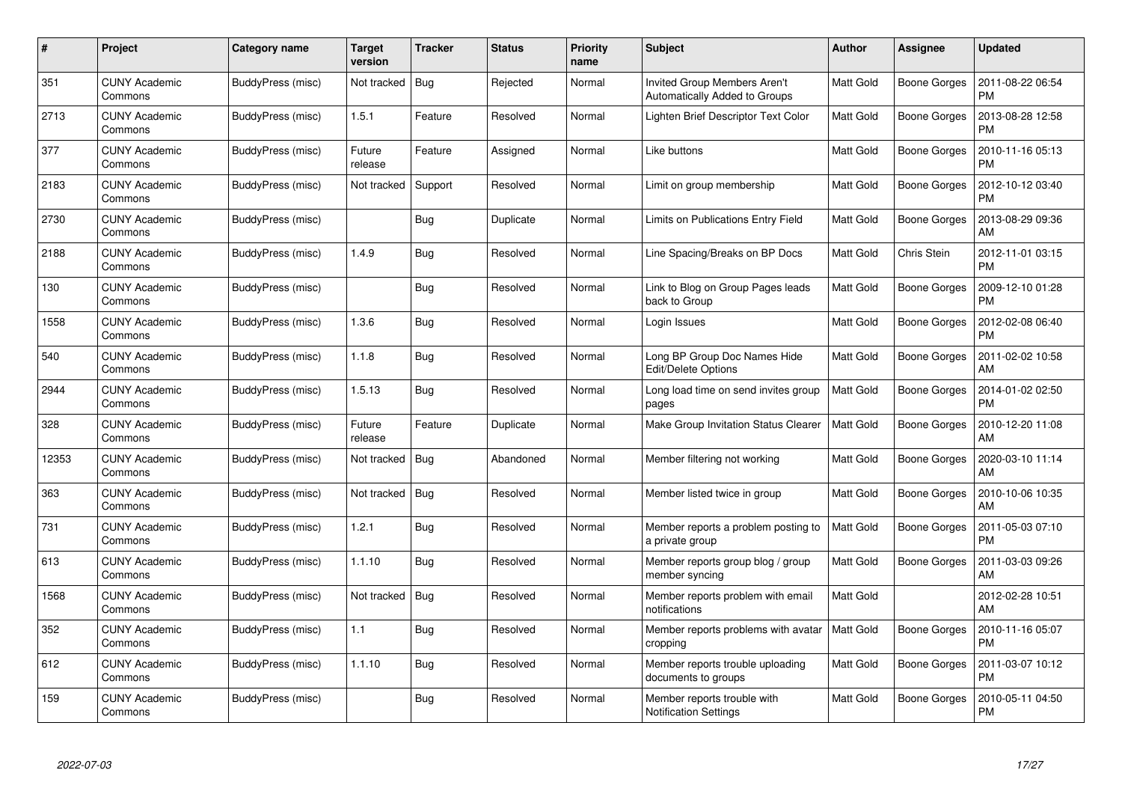| #     | Project                         | Category name     | Target<br>version | <b>Tracker</b> | <b>Status</b> | <b>Priority</b><br>name | <b>Subject</b>                                                       | <b>Author</b>    | <b>Assignee</b>     | <b>Updated</b>                |
|-------|---------------------------------|-------------------|-------------------|----------------|---------------|-------------------------|----------------------------------------------------------------------|------------------|---------------------|-------------------------------|
| 351   | <b>CUNY Academic</b><br>Commons | BuddyPress (misc) | Not tracked       | Bug            | Rejected      | Normal                  | <b>Invited Group Members Aren't</b><br>Automatically Added to Groups | <b>Matt Gold</b> | Boone Gorges        | 2011-08-22 06:54<br><b>PM</b> |
| 2713  | <b>CUNY Academic</b><br>Commons | BuddyPress (misc) | 1.5.1             | Feature        | Resolved      | Normal                  | Lighten Brief Descriptor Text Color                                  | <b>Matt Gold</b> | Boone Gorges        | 2013-08-28 12:58<br><b>PM</b> |
| 377   | <b>CUNY Academic</b><br>Commons | BuddyPress (misc) | Future<br>release | Feature        | Assigned      | Normal                  | Like buttons                                                         | <b>Matt Gold</b> | Boone Gorges        | 2010-11-16 05:13<br><b>PM</b> |
| 2183  | <b>CUNY Academic</b><br>Commons | BuddyPress (misc) | Not tracked       | Support        | Resolved      | Normal                  | Limit on group membership                                            | <b>Matt Gold</b> | Boone Gorges        | 2012-10-12 03:40<br><b>PM</b> |
| 2730  | <b>CUNY Academic</b><br>Commons | BuddyPress (misc) |                   | Bug            | Duplicate     | Normal                  | Limits on Publications Entry Field                                   | <b>Matt Gold</b> | Boone Gorges        | 2013-08-29 09:36<br>AM        |
| 2188  | <b>CUNY Academic</b><br>Commons | BuddyPress (misc) | 1.4.9             | <b>Bug</b>     | Resolved      | Normal                  | Line Spacing/Breaks on BP Docs                                       | Matt Gold        | Chris Stein         | 2012-11-01 03:15<br><b>PM</b> |
| 130   | <b>CUNY Academic</b><br>Commons | BuddyPress (misc) |                   | <b>Bug</b>     | Resolved      | Normal                  | Link to Blog on Group Pages leads<br>back to Group                   | <b>Matt Gold</b> | <b>Boone Gorges</b> | 2009-12-10 01:28<br><b>PM</b> |
| 1558  | <b>CUNY Academic</b><br>Commons | BuddyPress (misc) | 1.3.6             | <b>Bug</b>     | Resolved      | Normal                  | Login Issues                                                         | Matt Gold        | Boone Gorges        | 2012-02-08 06:40<br><b>PM</b> |
| 540   | <b>CUNY Academic</b><br>Commons | BuddyPress (misc) | 1.1.8             | <b>Bug</b>     | Resolved      | Normal                  | Long BP Group Doc Names Hide<br>Edit/Delete Options                  | <b>Matt Gold</b> | <b>Boone Gorges</b> | 2011-02-02 10:58<br>AM        |
| 2944  | <b>CUNY Academic</b><br>Commons | BuddyPress (misc) | 1.5.13            | Bug            | Resolved      | Normal                  | Long load time on send invites group<br>pages                        | <b>Matt Gold</b> | Boone Gorges        | 2014-01-02 02:50<br><b>PM</b> |
| 328   | <b>CUNY Academic</b><br>Commons | BuddyPress (misc) | Future<br>release | Feature        | Duplicate     | Normal                  | Make Group Invitation Status Clearer                                 | <b>Matt Gold</b> | Boone Gorges        | 2010-12-20 11:08<br>AM        |
| 12353 | <b>CUNY Academic</b><br>Commons | BuddyPress (misc) | Not tracked       | Bug            | Abandoned     | Normal                  | Member filtering not working                                         | <b>Matt Gold</b> | Boone Gorges        | 2020-03-10 11:14<br>AM        |
| 363   | <b>CUNY Academic</b><br>Commons | BuddyPress (misc) | Not tracked       | Bug            | Resolved      | Normal                  | Member listed twice in group                                         | <b>Matt Gold</b> | <b>Boone Gorges</b> | 2010-10-06 10:35<br>AM        |
| 731   | <b>CUNY Academic</b><br>Commons | BuddyPress (misc) | 1.2.1             | Bug            | Resolved      | Normal                  | Member reports a problem posting to<br>a private group               | Matt Gold        | Boone Gorges        | 2011-05-03 07:10<br><b>PM</b> |
| 613   | <b>CUNY Academic</b><br>Commons | BuddyPress (misc) | 1.1.10            | Bug            | Resolved      | Normal                  | Member reports group blog / group<br>member syncing                  | <b>Matt Gold</b> | Boone Gorges        | 2011-03-03 09:26<br>AM        |
| 1568  | <b>CUNY Academic</b><br>Commons | BuddyPress (misc) | Not tracked       | Bug            | Resolved      | Normal                  | Member reports problem with email<br>notifications                   | <b>Matt Gold</b> |                     | 2012-02-28 10:51<br>AM        |
| 352   | <b>CUNY Academic</b><br>Commons | BuddyPress (misc) | 1.1               | <b>Bug</b>     | Resolved      | Normal                  | Member reports problems with avatar<br>cropping                      | Matt Gold        | <b>Boone Gorges</b> | 2010-11-16 05:07<br><b>PM</b> |
| 612   | <b>CUNY Academic</b><br>Commons | BuddyPress (misc) | 1.1.10            | Bug            | Resolved      | Normal                  | Member reports trouble uploading<br>documents to groups              | Matt Gold        | Boone Gorges        | 2011-03-07 10:12<br><b>PM</b> |
| 159   | CUNY Academic<br>Commons        | BuddyPress (misc) |                   | Bug            | Resolved      | Normal                  | Member reports trouble with<br><b>Notification Settings</b>          | <b>Matt Gold</b> | Boone Gorges        | 2010-05-11 04:50<br>PM        |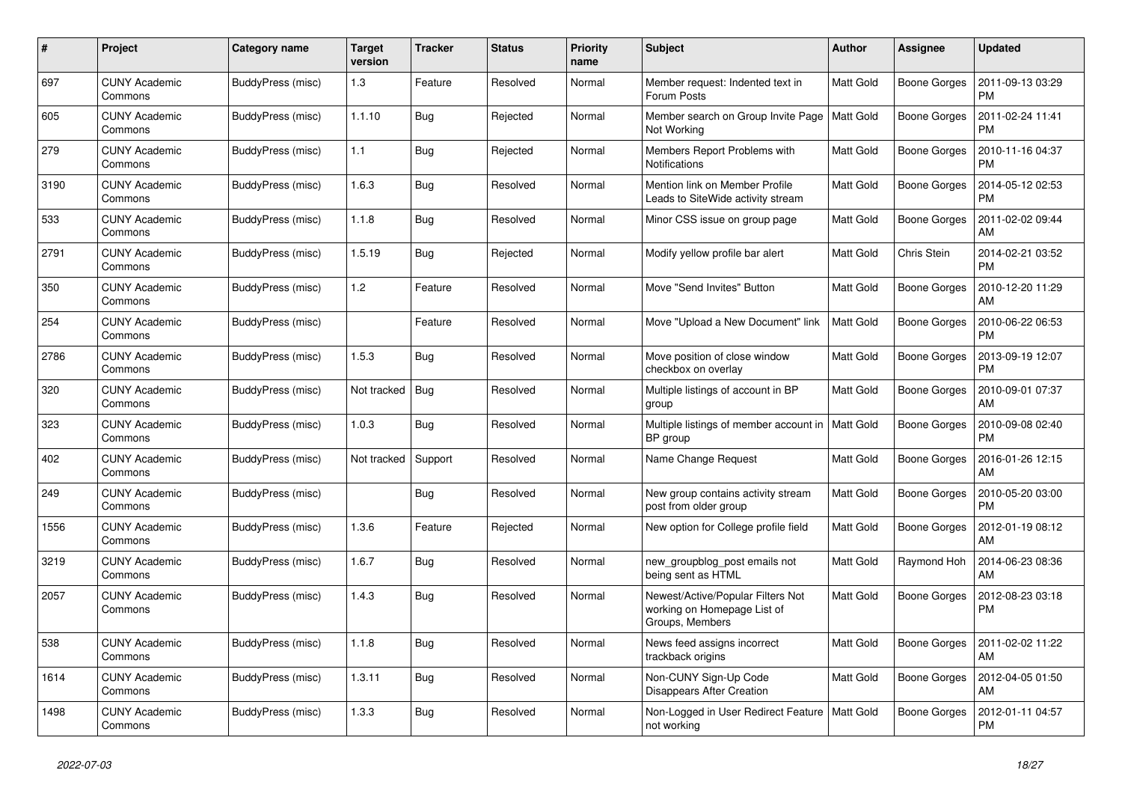| #    | Project                         | Category name     | Target<br>version | <b>Tracker</b> | <b>Status</b> | <b>Priority</b><br>name | <b>Subject</b>                                                                      | <b>Author</b>    | Assignee            | <b>Updated</b>                |
|------|---------------------------------|-------------------|-------------------|----------------|---------------|-------------------------|-------------------------------------------------------------------------------------|------------------|---------------------|-------------------------------|
| 697  | <b>CUNY Academic</b><br>Commons | BuddyPress (misc) | 1.3               | Feature        | Resolved      | Normal                  | Member request: Indented text in<br>Forum Posts                                     | <b>Matt Gold</b> | <b>Boone Gorges</b> | 2011-09-13 03:29<br><b>PM</b> |
| 605  | <b>CUNY Academic</b><br>Commons | BuddyPress (misc) | 1.1.10            | Bug            | Rejected      | Normal                  | Member search on Group Invite Page<br>Not Working                                   | <b>Matt Gold</b> | Boone Gorges        | 2011-02-24 11:41<br><b>PM</b> |
| 279  | <b>CUNY Academic</b><br>Commons | BuddyPress (misc) | 1.1               | Bug            | Rejected      | Normal                  | Members Report Problems with<br><b>Notifications</b>                                | <b>Matt Gold</b> | Boone Gorges        | 2010-11-16 04:37<br><b>PM</b> |
| 3190 | <b>CUNY Academic</b><br>Commons | BuddyPress (misc) | 1.6.3             | Bug            | Resolved      | Normal                  | Mention link on Member Profile<br>Leads to SiteWide activity stream                 | <b>Matt Gold</b> | <b>Boone Gorges</b> | 2014-05-12 02:53<br><b>PM</b> |
| 533  | <b>CUNY Academic</b><br>Commons | BuddyPress (misc) | 1.1.8             | Bug            | Resolved      | Normal                  | Minor CSS issue on group page                                                       | Matt Gold        | Boone Gorges        | 2011-02-02 09:44<br>AM        |
| 2791 | <b>CUNY Academic</b><br>Commons | BuddyPress (misc) | 1.5.19            | <b>Bug</b>     | Rejected      | Normal                  | Modify yellow profile bar alert                                                     | <b>Matt Gold</b> | Chris Stein         | 2014-02-21 03:52<br><b>PM</b> |
| 350  | <b>CUNY Academic</b><br>Commons | BuddyPress (misc) | 1.2               | Feature        | Resolved      | Normal                  | Move "Send Invites" Button                                                          | <b>Matt Gold</b> | Boone Gorges        | 2010-12-20 11:29<br>AM        |
| 254  | <b>CUNY Academic</b><br>Commons | BuddyPress (misc) |                   | Feature        | Resolved      | Normal                  | Move "Upload a New Document" link                                                   | <b>Matt Gold</b> | Boone Gorges        | 2010-06-22 06:53<br><b>PM</b> |
| 2786 | CUNY Academic<br>Commons        | BuddyPress (misc) | 1.5.3             | Bug            | Resolved      | Normal                  | Move position of close window<br>checkbox on overlay                                | <b>Matt Gold</b> | Boone Gorges        | 2013-09-19 12:07<br><b>PM</b> |
| 320  | <b>CUNY Academic</b><br>Commons | BuddyPress (misc) | Not tracked       | Bug            | Resolved      | Normal                  | Multiple listings of account in BP<br>group                                         | <b>Matt Gold</b> | Boone Gorges        | 2010-09-01 07:37<br>AM        |
| 323  | <b>CUNY Academic</b><br>Commons | BuddyPress (misc) | 1.0.3             | Bug            | Resolved      | Normal                  | Multiple listings of member account in<br>BP group                                  | <b>Matt Gold</b> | Boone Gorges        | 2010-09-08 02:40<br><b>PM</b> |
| 402  | <b>CUNY Academic</b><br>Commons | BuddyPress (misc) | Not tracked       | Support        | Resolved      | Normal                  | Name Change Request                                                                 | <b>Matt Gold</b> | Boone Gorges        | 2016-01-26 12:15<br>AM        |
| 249  | <b>CUNY Academic</b><br>Commons | BuddyPress (misc) |                   | Bug            | Resolved      | Normal                  | New group contains activity stream<br>post from older group                         | <b>Matt Gold</b> | Boone Gorges        | 2010-05-20 03:00<br><b>PM</b> |
| 1556 | CUNY Academic<br>Commons        | BuddyPress (misc) | 1.3.6             | Feature        | Rejected      | Normal                  | New option for College profile field                                                | <b>Matt Gold</b> | Boone Gorges        | 2012-01-19 08:12<br>AM        |
| 3219 | <b>CUNY Academic</b><br>Commons | BuddyPress (misc) | 1.6.7             | Bug            | Resolved      | Normal                  | new_groupblog_post emails not<br>being sent as HTML                                 | <b>Matt Gold</b> | Raymond Hoh         | 2014-06-23 08:36<br>AM        |
| 2057 | <b>CUNY Academic</b><br>Commons | BuddyPress (misc) | 1.4.3             | Bug            | Resolved      | Normal                  | Newest/Active/Popular Filters Not<br>working on Homepage List of<br>Groups, Members | <b>Matt Gold</b> | Boone Gorges        | 2012-08-23 03:18<br>PM        |
| 538  | <b>CUNY Academic</b><br>Commons | BuddyPress (misc) | 1.1.8             | Bug            | Resolved      | Normal                  | News feed assigns incorrect<br>trackback origins                                    | <b>Matt Gold</b> | Boone Gorges        | 2011-02-02 11:22<br>AM        |
| 1614 | <b>CUNY Academic</b><br>Commons | BuddyPress (misc) | 1.3.11            | Bug            | Resolved      | Normal                  | Non-CUNY Sign-Up Code<br><b>Disappears After Creation</b>                           | <b>Matt Gold</b> | Boone Gorges        | 2012-04-05 01:50<br>AM        |
| 1498 | <b>CUNY Academic</b><br>Commons | BuddyPress (misc) | 1.3.3             | Bug            | Resolved      | Normal                  | Non-Logged in User Redirect Feature<br>not working                                  | <b>Matt Gold</b> | Boone Gorges        | 2012-01-11 04:57<br><b>PM</b> |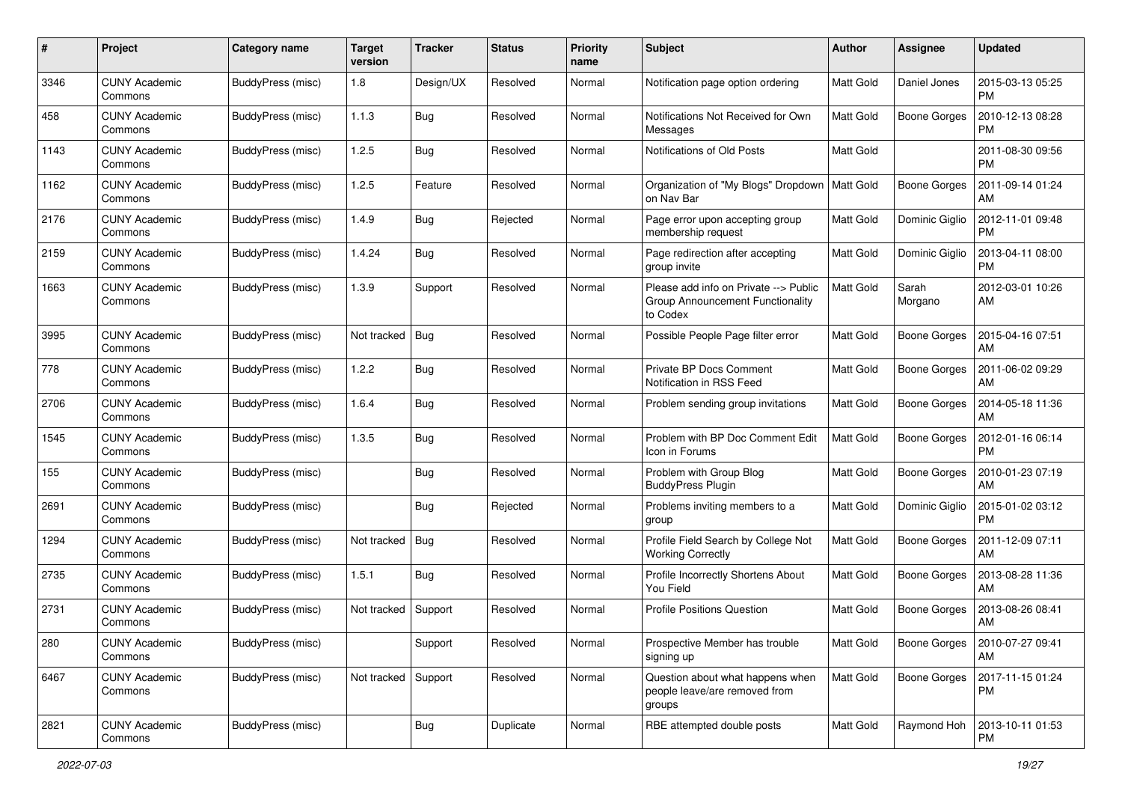| #    | Project                         | <b>Category name</b> | <b>Target</b><br>version | <b>Tracker</b> | <b>Status</b> | <b>Priority</b><br>name | <b>Subject</b>                                                                        | <b>Author</b>    | <b>Assignee</b>     | <b>Updated</b>                |
|------|---------------------------------|----------------------|--------------------------|----------------|---------------|-------------------------|---------------------------------------------------------------------------------------|------------------|---------------------|-------------------------------|
| 3346 | <b>CUNY Academic</b><br>Commons | BuddyPress (misc)    | 1.8                      | Design/UX      | Resolved      | Normal                  | Notification page option ordering                                                     | <b>Matt Gold</b> | Daniel Jones        | 2015-03-13 05:25<br><b>PM</b> |
| 458  | <b>CUNY Academic</b><br>Commons | BuddyPress (misc)    | 1.1.3                    | Bug            | Resolved      | Normal                  | Notifications Not Received for Own<br>Messages                                        | <b>Matt Gold</b> | <b>Boone Gorges</b> | 2010-12-13 08:28<br><b>PM</b> |
| 1143 | <b>CUNY Academic</b><br>Commons | BuddyPress (misc)    | 1.2.5                    | Bug            | Resolved      | Normal                  | Notifications of Old Posts                                                            | Matt Gold        |                     | 2011-08-30 09:56<br><b>PM</b> |
| 1162 | <b>CUNY Academic</b><br>Commons | BuddyPress (misc)    | 1.2.5                    | Feature        | Resolved      | Normal                  | Organization of "My Blogs" Dropdown<br>on Nav Bar                                     | <b>Matt Gold</b> | <b>Boone Gorges</b> | 2011-09-14 01:24<br>AM        |
| 2176 | <b>CUNY Academic</b><br>Commons | BuddyPress (misc)    | 1.4.9                    | Bug            | Rejected      | Normal                  | Page error upon accepting group<br>membership request                                 | <b>Matt Gold</b> | Dominic Giglio      | 2012-11-01 09:48<br>PM        |
| 2159 | <b>CUNY Academic</b><br>Commons | BuddyPress (misc)    | 1.4.24                   | Bug            | Resolved      | Normal                  | Page redirection after accepting<br>group invite                                      | Matt Gold        | Dominic Giglio      | 2013-04-11 08:00<br><b>PM</b> |
| 1663 | <b>CUNY Academic</b><br>Commons | BuddyPress (misc)    | 1.3.9                    | Support        | Resolved      | Normal                  | Please add info on Private --> Public<br>Group Announcement Functionality<br>to Codex | Matt Gold        | Sarah<br>Morgano    | 2012-03-01 10:26<br>AM        |
| 3995 | <b>CUNY Academic</b><br>Commons | BuddyPress (misc)    | Not tracked              | Bug            | Resolved      | Normal                  | Possible People Page filter error                                                     | <b>Matt Gold</b> | Boone Gorges        | 2015-04-16 07:51<br>AM        |
| 778  | <b>CUNY Academic</b><br>Commons | BuddyPress (misc)    | 1.2.2                    | Bug            | Resolved      | Normal                  | Private BP Docs Comment<br>Notification in RSS Feed                                   | <b>Matt Gold</b> | <b>Boone Gorges</b> | 2011-06-02 09:29<br>AM        |
| 2706 | <b>CUNY Academic</b><br>Commons | BuddyPress (misc)    | 1.6.4                    | Bug            | Resolved      | Normal                  | Problem sending group invitations                                                     | <b>Matt Gold</b> | <b>Boone Gorges</b> | 2014-05-18 11:36<br>AM        |
| 1545 | <b>CUNY Academic</b><br>Commons | BuddyPress (misc)    | 1.3.5                    | Bug            | Resolved      | Normal                  | Problem with BP Doc Comment Edit<br>Icon in Forums                                    | Matt Gold        | Boone Gorges        | 2012-01-16 06:14<br><b>PM</b> |
| 155  | <b>CUNY Academic</b><br>Commons | BuddyPress (misc)    |                          | Bug            | Resolved      | Normal                  | Problem with Group Blog<br><b>BuddyPress Plugin</b>                                   | <b>Matt Gold</b> | <b>Boone Gorges</b> | 2010-01-23 07:19<br>AM        |
| 2691 | <b>CUNY Academic</b><br>Commons | BuddyPress (misc)    |                          | Bug            | Rejected      | Normal                  | Problems inviting members to a<br>group                                               | Matt Gold        | Dominic Giglio      | 2015-01-02 03:12<br><b>PM</b> |
| 1294 | <b>CUNY Academic</b><br>Commons | BuddyPress (misc)    | Not tracked              | Bug            | Resolved      | Normal                  | Profile Field Search by College Not<br><b>Working Correctly</b>                       | <b>Matt Gold</b> | <b>Boone Gorges</b> | 2011-12-09 07:11<br>AM        |
| 2735 | <b>CUNY Academic</b><br>Commons | BuddyPress (misc)    | 1.5.1                    | <b>Bug</b>     | Resolved      | Normal                  | Profile Incorrectly Shortens About<br>You Field                                       | <b>Matt Gold</b> | Boone Gorges        | 2013-08-28 11:36<br>AM        |
| 2731 | <b>CUNY Academic</b><br>Commons | BuddyPress (misc)    | Not tracked              | Support        | Resolved      | Normal                  | <b>Profile Positions Question</b>                                                     | <b>Matt Gold</b> | <b>Boone Gorges</b> | 2013-08-26 08:41<br>AM        |
| 280  | <b>CUNY Academic</b><br>Commons | BuddyPress (misc)    |                          | Support        | Resolved      | Normal                  | Prospective Member has trouble<br>signing up                                          | Matt Gold        | Boone Gorges        | 2010-07-27 09:41<br><b>AM</b> |
| 6467 | <b>CUNY Academic</b><br>Commons | BuddyPress (misc)    | Not tracked Support      |                | Resolved      | Normal                  | Question about what happens when<br>people leave/are removed from<br>groups           | Matt Gold        | Boone Gorges        | 2017-11-15 01:24<br>PM        |
| 2821 | <b>CUNY Academic</b><br>Commons | BuddyPress (misc)    |                          | <b>Bug</b>     | Duplicate     | Normal                  | RBE attempted double posts                                                            | Matt Gold        | Raymond Hoh         | 2013-10-11 01:53<br>PM        |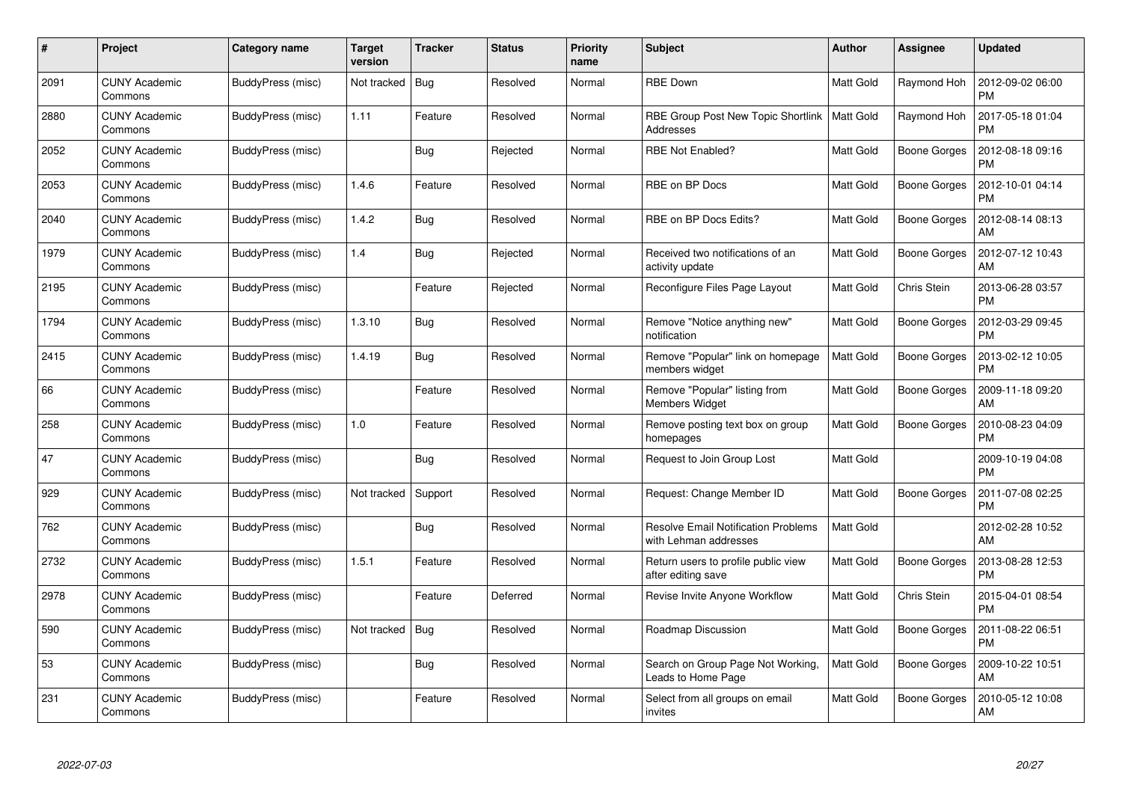| #    | Project                         | Category name     | <b>Target</b><br>version | <b>Tracker</b> | <b>Status</b> | <b>Priority</b><br>name | <b>Subject</b>                                                      | Author           | <b>Assignee</b>     | <b>Updated</b>                |
|------|---------------------------------|-------------------|--------------------------|----------------|---------------|-------------------------|---------------------------------------------------------------------|------------------|---------------------|-------------------------------|
| 2091 | <b>CUNY Academic</b><br>Commons | BuddyPress (misc) | Not tracked              | Bug            | Resolved      | Normal                  | <b>RBE Down</b>                                                     | <b>Matt Gold</b> | Raymond Hoh         | 2012-09-02 06:00<br><b>PM</b> |
| 2880 | <b>CUNY Academic</b><br>Commons | BuddyPress (misc) | 1.11                     | Feature        | Resolved      | Normal                  | RBE Group Post New Topic Shortlink<br>Addresses                     | <b>Matt Gold</b> | Raymond Hoh         | 2017-05-18 01:04<br><b>PM</b> |
| 2052 | <b>CUNY Academic</b><br>Commons | BuddyPress (misc) |                          | <b>Bug</b>     | Rejected      | Normal                  | <b>RBE Not Enabled?</b>                                             | <b>Matt Gold</b> | Boone Gorges        | 2012-08-18 09:16<br><b>PM</b> |
| 2053 | <b>CUNY Academic</b><br>Commons | BuddyPress (misc) | 1.4.6                    | Feature        | Resolved      | Normal                  | RBE on BP Docs                                                      | <b>Matt Gold</b> | Boone Gorges        | 2012-10-01 04:14<br><b>PM</b> |
| 2040 | <b>CUNY Academic</b><br>Commons | BuddyPress (misc) | 1.4.2                    | Bug            | Resolved      | Normal                  | RBE on BP Docs Edits?                                               | <b>Matt Gold</b> | <b>Boone Gorges</b> | 2012-08-14 08:13<br>AM        |
| 1979 | <b>CUNY Academic</b><br>Commons | BuddyPress (misc) | 1.4                      | Bug            | Rejected      | Normal                  | Received two notifications of an<br>activity update                 | <b>Matt Gold</b> | Boone Gorges        | 2012-07-12 10:43<br>AM        |
| 2195 | <b>CUNY Academic</b><br>Commons | BuddyPress (misc) |                          | Feature        | Rejected      | Normal                  | Reconfigure Files Page Layout                                       | Matt Gold        | Chris Stein         | 2013-06-28 03:57<br><b>PM</b> |
| 1794 | <b>CUNY Academic</b><br>Commons | BuddyPress (misc) | 1.3.10                   | Bug            | Resolved      | Normal                  | Remove "Notice anything new"<br>notification                        | <b>Matt Gold</b> | <b>Boone Gorges</b> | 2012-03-29 09:45<br><b>PM</b> |
| 2415 | <b>CUNY Academic</b><br>Commons | BuddyPress (misc) | 1.4.19                   | Bug            | Resolved      | Normal                  | Remove "Popular" link on homepage<br>members widget                 | <b>Matt Gold</b> | Boone Gorges        | 2013-02-12 10:05<br><b>PM</b> |
| 66   | <b>CUNY Academic</b><br>Commons | BuddyPress (misc) |                          | Feature        | Resolved      | Normal                  | Remove "Popular" listing from<br><b>Members Widget</b>              | <b>Matt Gold</b> | <b>Boone Gorges</b> | 2009-11-18 09:20<br>AM        |
| 258  | CUNY Academic<br>Commons        | BuddyPress (misc) | 1.0                      | Feature        | Resolved      | Normal                  | Remove posting text box on group<br>homepages                       | <b>Matt Gold</b> | Boone Gorges        | 2010-08-23 04:09<br><b>PM</b> |
| 47   | <b>CUNY Academic</b><br>Commons | BuddyPress (misc) |                          | <b>Bug</b>     | Resolved      | Normal                  | Request to Join Group Lost                                          | Matt Gold        |                     | 2009-10-19 04:08<br><b>PM</b> |
| 929  | <b>CUNY Academic</b><br>Commons | BuddyPress (misc) | Not tracked              | Support        | Resolved      | Normal                  | Request: Change Member ID                                           | <b>Matt Gold</b> | <b>Boone Gorges</b> | 2011-07-08 02:25<br><b>PM</b> |
| 762  | <b>CUNY Academic</b><br>Commons | BuddyPress (misc) |                          | Bug            | Resolved      | Normal                  | <b>Resolve Email Notification Problems</b><br>with Lehman addresses | <b>Matt Gold</b> |                     | 2012-02-28 10:52<br>AM        |
| 2732 | <b>CUNY Academic</b><br>Commons | BuddyPress (misc) | 1.5.1                    | Feature        | Resolved      | Normal                  | Return users to profile public view<br>after editing save           | <b>Matt Gold</b> | Boone Gorges        | 2013-08-28 12:53<br><b>PM</b> |
| 2978 | <b>CUNY Academic</b><br>Commons | BuddyPress (misc) |                          | Feature        | Deferred      | Normal                  | Revise Invite Anyone Workflow                                       | <b>Matt Gold</b> | Chris Stein         | 2015-04-01 08:54<br><b>PM</b> |
| 590  | CUNY Academic<br>Commons        | BuddyPress (misc) | Not tracked              | Bug            | Resolved      | Normal                  | Roadmap Discussion                                                  | <b>Matt Gold</b> | Boone Gorges        | 2011-08-22 06:51<br><b>PM</b> |
| 53   | <b>CUNY Academic</b><br>Commons | BuddyPress (misc) |                          | Bug            | Resolved      | Normal                  | Search on Group Page Not Working,<br>Leads to Home Page             | Matt Gold        | Boone Gorges        | 2009-10-22 10:51<br>AM        |
| 231  | CUNY Academic<br>Commons        | BuddyPress (misc) |                          | Feature        | Resolved      | Normal                  | Select from all groups on email<br>invites                          | <b>Matt Gold</b> | Boone Gorges        | 2010-05-12 10:08<br>AM        |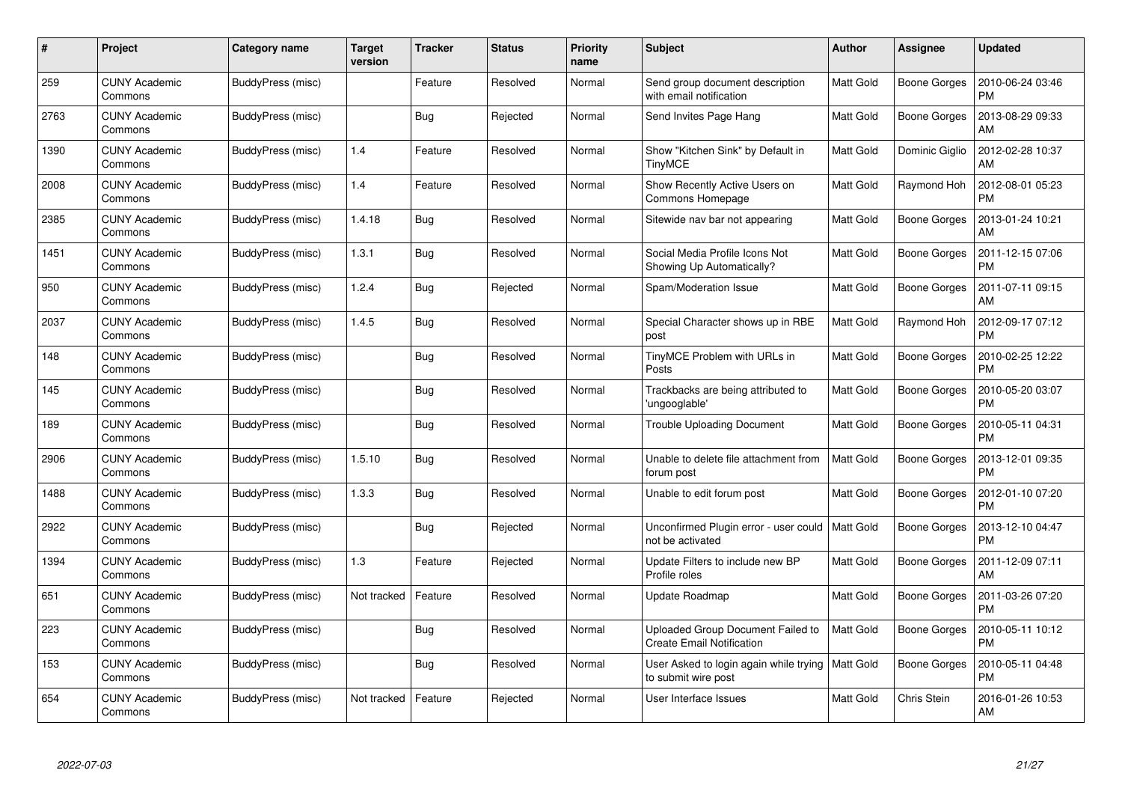| #    | Project                         | <b>Category name</b> | <b>Target</b><br>version | <b>Tracker</b> | <b>Status</b> | <b>Priority</b><br>name | <b>Subject</b>                                                        | <b>Author</b>    | <b>Assignee</b>     | <b>Updated</b>                |
|------|---------------------------------|----------------------|--------------------------|----------------|---------------|-------------------------|-----------------------------------------------------------------------|------------------|---------------------|-------------------------------|
| 259  | <b>CUNY Academic</b><br>Commons | BuddyPress (misc)    |                          | Feature        | Resolved      | Normal                  | Send group document description<br>with email notification            | <b>Matt Gold</b> | <b>Boone Gorges</b> | 2010-06-24 03:46<br><b>PM</b> |
| 2763 | <b>CUNY Academic</b><br>Commons | BuddyPress (misc)    |                          | Bug            | Rejected      | Normal                  | Send Invites Page Hang                                                | <b>Matt Gold</b> | Boone Gorges        | 2013-08-29 09:33<br>AM        |
| 1390 | <b>CUNY Academic</b><br>Commons | BuddyPress (misc)    | 1.4                      | Feature        | Resolved      | Normal                  | Show "Kitchen Sink" by Default in<br><b>TinyMCE</b>                   | <b>Matt Gold</b> | Dominic Giglio      | 2012-02-28 10:37<br>AM        |
| 2008 | <b>CUNY Academic</b><br>Commons | BuddyPress (misc)    | 1.4                      | Feature        | Resolved      | Normal                  | Show Recently Active Users on<br>Commons Homepage                     | <b>Matt Gold</b> | Raymond Hoh         | 2012-08-01 05:23<br><b>PM</b> |
| 2385 | <b>CUNY Academic</b><br>Commons | BuddyPress (misc)    | 1.4.18                   | <b>Bug</b>     | Resolved      | Normal                  | Sitewide nav bar not appearing                                        | <b>Matt Gold</b> | Boone Gorges        | 2013-01-24 10:21<br>AM        |
| 1451 | <b>CUNY Academic</b><br>Commons | BuddyPress (misc)    | 1.3.1                    | Bug            | Resolved      | Normal                  | Social Media Profile Icons Not<br>Showing Up Automatically?           | Matt Gold        | Boone Gorges        | 2011-12-15 07:06<br><b>PM</b> |
| 950  | <b>CUNY Academic</b><br>Commons | BuddyPress (misc)    | 1.2.4                    | Bug            | Rejected      | Normal                  | Spam/Moderation Issue                                                 | <b>Matt Gold</b> | Boone Gorges        | 2011-07-11 09:15<br>AM        |
| 2037 | <b>CUNY Academic</b><br>Commons | BuddyPress (misc)    | 1.4.5                    | Bug            | Resolved      | Normal                  | Special Character shows up in RBE<br>post                             | <b>Matt Gold</b> | Raymond Hoh         | 2012-09-17 07:12<br><b>PM</b> |
| 148  | <b>CUNY Academic</b><br>Commons | BuddyPress (misc)    |                          | <b>Bug</b>     | Resolved      | Normal                  | TinyMCE Problem with URLs in<br>Posts                                 | Matt Gold        | Boone Gorges        | 2010-02-25 12:22<br><b>PM</b> |
| 145  | <b>CUNY Academic</b><br>Commons | BuddyPress (misc)    |                          | <b>Bug</b>     | Resolved      | Normal                  | Trackbacks are being attributed to<br>'ungooglable'                   | <b>Matt Gold</b> | Boone Gorges        | 2010-05-20 03:07<br><b>PM</b> |
| 189  | <b>CUNY Academic</b><br>Commons | BuddyPress (misc)    |                          | Bug            | Resolved      | Normal                  | <b>Trouble Uploading Document</b>                                     | Matt Gold        | Boone Gorges        | 2010-05-11 04:31<br><b>PM</b> |
| 2906 | <b>CUNY Academic</b><br>Commons | BuddyPress (misc)    | 1.5.10                   | <b>Bug</b>     | Resolved      | Normal                  | Unable to delete file attachment from<br>forum post                   | Matt Gold        | Boone Gorges        | 2013-12-01 09:35<br><b>PM</b> |
| 1488 | <b>CUNY Academic</b><br>Commons | BuddyPress (misc)    | 1.3.3                    | <b>Bug</b>     | Resolved      | Normal                  | Unable to edit forum post                                             | <b>Matt Gold</b> | Boone Gorges        | 2012-01-10 07:20<br><b>PM</b> |
| 2922 | <b>CUNY Academic</b><br>Commons | BuddyPress (misc)    |                          | Bug            | Rejected      | Normal                  | Unconfirmed Plugin error - user could<br>not be activated             | <b>Matt Gold</b> | Boone Gorges        | 2013-12-10 04:47<br><b>PM</b> |
| 1394 | <b>CUNY Academic</b><br>Commons | BuddyPress (misc)    | 1.3                      | Feature        | Rejected      | Normal                  | Update Filters to include new BP<br>Profile roles                     | Matt Gold        | Boone Gorges        | 2011-12-09 07:11<br>AM        |
| 651  | <b>CUNY Academic</b><br>Commons | BuddyPress (misc)    | Not tracked              | Feature        | Resolved      | Normal                  | Update Roadmap                                                        | <b>Matt Gold</b> | Boone Gorges        | 2011-03-26 07:20<br><b>PM</b> |
| 223  | <b>CUNY Academic</b><br>Commons | BuddyPress (misc)    |                          | Bug            | Resolved      | Normal                  | Uploaded Group Document Failed to<br><b>Create Email Notification</b> | <b>Matt Gold</b> | Boone Gorges        | 2010-05-11 10:12<br><b>PM</b> |
| 153  | <b>CUNY Academic</b><br>Commons | BuddyPress (misc)    |                          | Bug            | Resolved      | Normal                  | User Asked to login again while trying<br>to submit wire post         | <b>Matt Gold</b> | Boone Gorges        | 2010-05-11 04:48<br><b>PM</b> |
| 654  | <b>CUNY Academic</b><br>Commons | BuddyPress (misc)    | Not tracked              | Feature        | Rejected      | Normal                  | User Interface Issues                                                 | <b>Matt Gold</b> | Chris Stein         | 2016-01-26 10:53<br>AM        |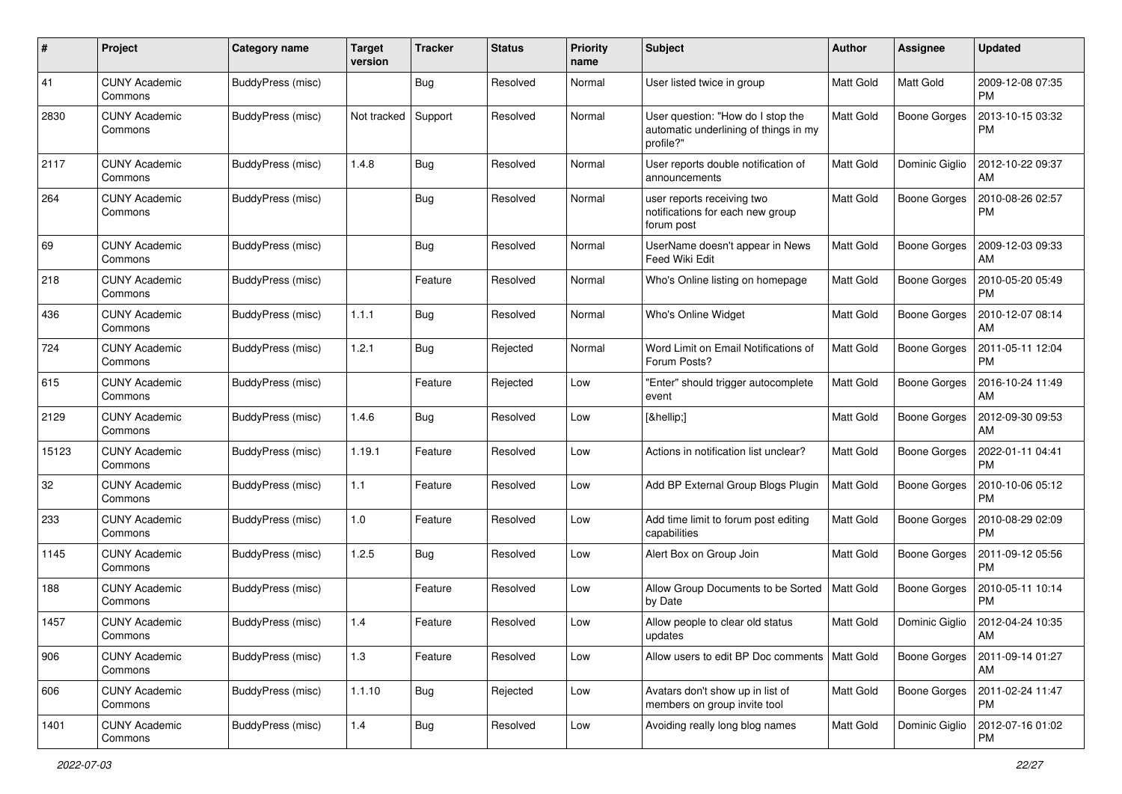| #     | Project                         | <b>Category name</b> | <b>Target</b><br>version | <b>Tracker</b> | <b>Status</b> | <b>Priority</b><br>name | <b>Subject</b>                                                                          | <b>Author</b>    | <b>Assignee</b>     | <b>Updated</b>                |
|-------|---------------------------------|----------------------|--------------------------|----------------|---------------|-------------------------|-----------------------------------------------------------------------------------------|------------------|---------------------|-------------------------------|
| 41    | <b>CUNY Academic</b><br>Commons | BuddyPress (misc)    |                          | Bug            | Resolved      | Normal                  | User listed twice in group                                                              | Matt Gold        | Matt Gold           | 2009-12-08 07:35<br><b>PM</b> |
| 2830  | <b>CUNY Academic</b><br>Commons | BuddyPress (misc)    | Not tracked              | Support        | Resolved      | Normal                  | User question: "How do I stop the<br>automatic underlining of things in my<br>profile?" | Matt Gold        | <b>Boone Gorges</b> | 2013-10-15 03:32<br>PM        |
| 2117  | <b>CUNY Academic</b><br>Commons | BuddyPress (misc)    | 1.4.8                    | Bug            | Resolved      | Normal                  | User reports double notification of<br>announcements                                    | <b>Matt Gold</b> | Dominic Giglio      | 2012-10-22 09:37<br>AM        |
| 264   | CUNY Academic<br>Commons        | BuddyPress (misc)    |                          | Bug            | Resolved      | Normal                  | user reports receiving two<br>notifications for each new group<br>forum post            | <b>Matt Gold</b> | <b>Boone Gorges</b> | 2010-08-26 02:57<br><b>PM</b> |
| 69    | <b>CUNY Academic</b><br>Commons | BuddyPress (misc)    |                          | Bug            | Resolved      | Normal                  | UserName doesn't appear in News<br>Feed Wiki Edit                                       | <b>Matt Gold</b> | <b>Boone Gorges</b> | 2009-12-03 09:33<br>AM        |
| 218   | CUNY Academic<br>Commons        | BuddyPress (misc)    |                          | Feature        | Resolved      | Normal                  | Who's Online listing on homepage                                                        | <b>Matt Gold</b> | <b>Boone Gorges</b> | 2010-05-20 05:49<br><b>PM</b> |
| 436   | CUNY Academic<br>Commons        | BuddyPress (misc)    | 1.1.1                    | Bug            | Resolved      | Normal                  | Who's Online Widget                                                                     | <b>Matt Gold</b> | <b>Boone Gorges</b> | 2010-12-07 08:14<br>AM        |
| 724   | CUNY Academic<br>Commons        | BuddyPress (misc)    | 1.2.1                    | Bug            | Rejected      | Normal                  | Word Limit on Email Notifications of<br>Forum Posts?                                    | <b>Matt Gold</b> | <b>Boone Gorges</b> | 2011-05-11 12:04<br><b>PM</b> |
| 615   | CUNY Academic<br>Commons        | BuddyPress (misc)    |                          | Feature        | Rejected      | Low                     | "Enter" should trigger autocomplete<br>event                                            | Matt Gold        | <b>Boone Gorges</b> | 2016-10-24 11:49<br>AM        |
| 2129  | <b>CUNY Academic</b><br>Commons | BuddyPress (misc)    | 1.4.6                    | Bug            | Resolved      | Low                     | […]                                                                                     | Matt Gold        | <b>Boone Gorges</b> | 2012-09-30 09:53<br>AM        |
| 15123 | <b>CUNY Academic</b><br>Commons | BuddyPress (misc)    | 1.19.1                   | Feature        | Resolved      | Low                     | Actions in notification list unclear?                                                   | Matt Gold        | <b>Boone Gorges</b> | 2022-01-11 04:41<br><b>PM</b> |
| 32    | <b>CUNY Academic</b><br>Commons | BuddyPress (misc)    | 1.1                      | Feature        | Resolved      | Low                     | Add BP External Group Blogs Plugin                                                      | <b>Matt Gold</b> | <b>Boone Gorges</b> | 2010-10-06 05:12<br><b>PM</b> |
| 233   | <b>CUNY Academic</b><br>Commons | BuddyPress (misc)    | 1.0                      | Feature        | Resolved      | Low                     | Add time limit to forum post editing<br>capabilities                                    | <b>Matt Gold</b> | <b>Boone Gorges</b> | 2010-08-29 02:09<br><b>PM</b> |
| 1145  | <b>CUNY Academic</b><br>Commons | BuddyPress (misc)    | 1.2.5                    | Bug            | Resolved      | Low                     | Alert Box on Group Join                                                                 | Matt Gold        | <b>Boone Gorges</b> | 2011-09-12 05:56<br><b>PM</b> |
| 188   | <b>CUNY Academic</b><br>Commons | BuddyPress (misc)    |                          | Feature        | Resolved      | Low                     | Allow Group Documents to be Sorted<br>by Date                                           | <b>Matt Gold</b> | <b>Boone Gorges</b> | 2010-05-11 10:14<br><b>PM</b> |
| 1457  | CUNY Academic<br>Commons        | BuddyPress (misc)    | 1.4                      | Feature        | Resolved      | Low                     | Allow people to clear old status<br>updates                                             | Matt Gold        | Dominic Giglio      | 2012-04-24 10:35<br>AM        |
| 906   | <b>CUNY Academic</b><br>Commons | BuddyPress (misc)    | 1.3                      | Feature        | Resolved      | Low                     | Allow users to edit BP Doc comments                                                     | Matt Gold        | <b>Boone Gorges</b> | 2011-09-14 01:27<br>AM        |
| 606   | <b>CUNY Academic</b><br>Commons | BuddyPress (misc)    | 1.1.10                   | <b>Bug</b>     | Rejected      | Low                     | Avatars don't show up in list of<br>members on group invite tool                        | <b>Matt Gold</b> | <b>Boone Gorges</b> | 2011-02-24 11:47<br>PM        |
| 1401  | <b>CUNY Academic</b><br>Commons | BuddyPress (misc)    | 1.4                      | Bug            | Resolved      | Low                     | Avoiding really long blog names                                                         | Matt Gold        | Dominic Giglio      | 2012-07-16 01:02<br>PM        |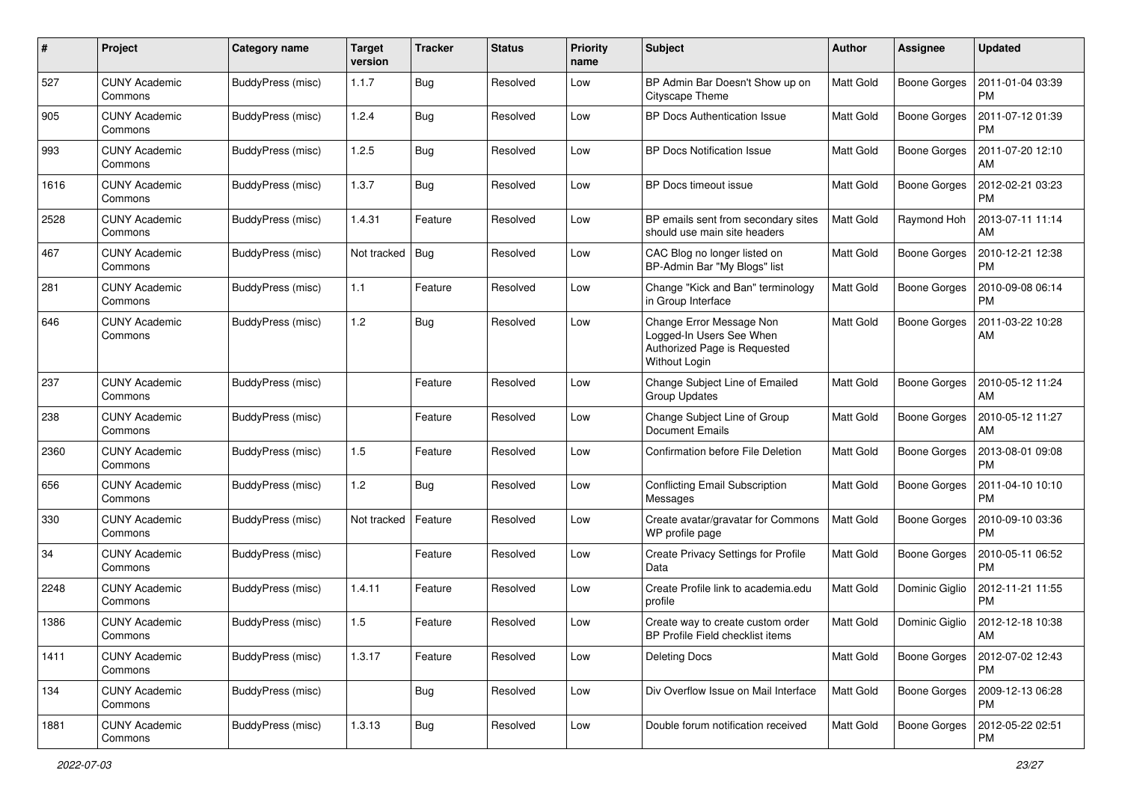| #    | Project                         | Category name     | <b>Target</b><br>version | <b>Tracker</b> | <b>Status</b> | <b>Priority</b><br>name | <b>Subject</b>                                                                                        | Author           | <b>Assignee</b>     | <b>Updated</b>                |
|------|---------------------------------|-------------------|--------------------------|----------------|---------------|-------------------------|-------------------------------------------------------------------------------------------------------|------------------|---------------------|-------------------------------|
| 527  | <b>CUNY Academic</b><br>Commons | BuddyPress (misc) | 1.1.7                    | Bug            | Resolved      | Low                     | BP Admin Bar Doesn't Show up on<br>Cityscape Theme                                                    | Matt Gold        | <b>Boone Gorges</b> | 2011-01-04 03:39<br><b>PM</b> |
| 905  | <b>CUNY Academic</b><br>Commons | BuddyPress (misc) | 1.2.4                    | Bug            | Resolved      | Low                     | <b>BP Docs Authentication Issue</b>                                                                   | Matt Gold        | <b>Boone Gorges</b> | 2011-07-12 01:39<br><b>PM</b> |
| 993  | CUNY Academic<br>Commons        | BuddyPress (misc) | 1.2.5                    | Bug            | Resolved      | Low                     | <b>BP Docs Notification Issue</b>                                                                     | <b>Matt Gold</b> | Boone Gorges        | 2011-07-20 12:10<br>AM        |
| 1616 | <b>CUNY Academic</b><br>Commons | BuddyPress (misc) | 1.3.7                    | Bug            | Resolved      | Low                     | BP Docs timeout issue                                                                                 | <b>Matt Gold</b> | <b>Boone Gorges</b> | 2012-02-21 03:23<br>PM        |
| 2528 | <b>CUNY Academic</b><br>Commons | BuddyPress (misc) | 1.4.31                   | Feature        | Resolved      | Low                     | BP emails sent from secondary sites<br>should use main site headers                                   | <b>Matt Gold</b> | Raymond Hoh         | 2013-07-11 11:14<br>AM        |
| 467  | <b>CUNY Academic</b><br>Commons | BuddyPress (misc) | Not tracked              | Bug            | Resolved      | Low                     | CAC Blog no longer listed on<br>BP-Admin Bar "My Blogs" list                                          | <b>Matt Gold</b> | Boone Gorges        | 2010-12-21 12:38<br><b>PM</b> |
| 281  | <b>CUNY Academic</b><br>Commons | BuddyPress (misc) | 1.1                      | Feature        | Resolved      | Low                     | Change "Kick and Ban" terminology<br>in Group Interface                                               | <b>Matt Gold</b> | Boone Gorges        | 2010-09-08 06:14<br><b>PM</b> |
| 646  | <b>CUNY Academic</b><br>Commons | BuddyPress (misc) | 1.2                      | Bug            | Resolved      | Low                     | Change Error Message Non<br>Logged-In Users See When<br>Authorized Page is Requested<br>Without Login | Matt Gold        | <b>Boone Gorges</b> | 2011-03-22 10:28<br>AM        |
| 237  | <b>CUNY Academic</b><br>Commons | BuddyPress (misc) |                          | Feature        | Resolved      | Low                     | Change Subject Line of Emailed<br>Group Updates                                                       | <b>Matt Gold</b> | Boone Gorges        | 2010-05-12 11:24<br>AM        |
| 238  | <b>CUNY Academic</b><br>Commons | BuddyPress (misc) |                          | Feature        | Resolved      | Low                     | Change Subject Line of Group<br><b>Document Emails</b>                                                | <b>Matt Gold</b> | <b>Boone Gorges</b> | 2010-05-12 11:27<br>AM        |
| 2360 | <b>CUNY Academic</b><br>Commons | BuddyPress (misc) | 1.5                      | Feature        | Resolved      | Low                     | Confirmation before File Deletion                                                                     | <b>Matt Gold</b> | <b>Boone Gorges</b> | 2013-08-01 09:08<br><b>PM</b> |
| 656  | <b>CUNY Academic</b><br>Commons | BuddyPress (misc) | 1.2                      | Bug            | Resolved      | Low                     | Conflicting Email Subscription<br>Messages                                                            | <b>Matt Gold</b> | <b>Boone Gorges</b> | 2011-04-10 10:10<br><b>PM</b> |
| 330  | <b>CUNY Academic</b><br>Commons | BuddyPress (misc) | Not tracked              | Feature        | Resolved      | Low                     | Create avatar/gravatar for Commons<br>WP profile page                                                 | <b>Matt Gold</b> | <b>Boone Gorges</b> | 2010-09-10 03:36<br><b>PM</b> |
| 34   | <b>CUNY Academic</b><br>Commons | BuddyPress (misc) |                          | Feature        | Resolved      | Low                     | Create Privacy Settings for Profile<br>Data                                                           | Matt Gold        | <b>Boone Gorges</b> | 2010-05-11 06:52<br><b>PM</b> |
| 2248 | <b>CUNY Academic</b><br>Commons | BuddyPress (misc) | 1.4.11                   | Feature        | Resolved      | Low                     | Create Profile link to academia.edu<br>profile                                                        | <b>Matt Gold</b> | Dominic Giglio      | 2012-11-21 11:55<br><b>PM</b> |
| 1386 | <b>CUNY Academic</b><br>Commons | BuddyPress (misc) | 1.5                      | Feature        | Resolved      | Low                     | Create way to create custom order<br>BP Profile Field checklist items                                 | Matt Gold        | Dominic Giglio      | 2012-12-18 10:38<br>AM        |
| 1411 | <b>CUNY Academic</b><br>Commons | BuddyPress (misc) | 1.3.17                   | Feature        | Resolved      | Low                     | Deleting Docs                                                                                         | Matt Gold        | <b>Boone Gorges</b> | 2012-07-02 12:43<br><b>PM</b> |
| 134  | <b>CUNY Academic</b><br>Commons | BuddyPress (misc) |                          | <b>Bug</b>     | Resolved      | Low                     | Div Overflow Issue on Mail Interface                                                                  | <b>Matt Gold</b> | <b>Boone Gorges</b> | 2009-12-13 06:28<br><b>PM</b> |
| 1881 | <b>CUNY Academic</b><br>Commons | BuddyPress (misc) | 1.3.13                   | <b>Bug</b>     | Resolved      | Low                     | Double forum notification received                                                                    | Matt Gold        | Boone Gorges        | 2012-05-22 02:51<br>PM        |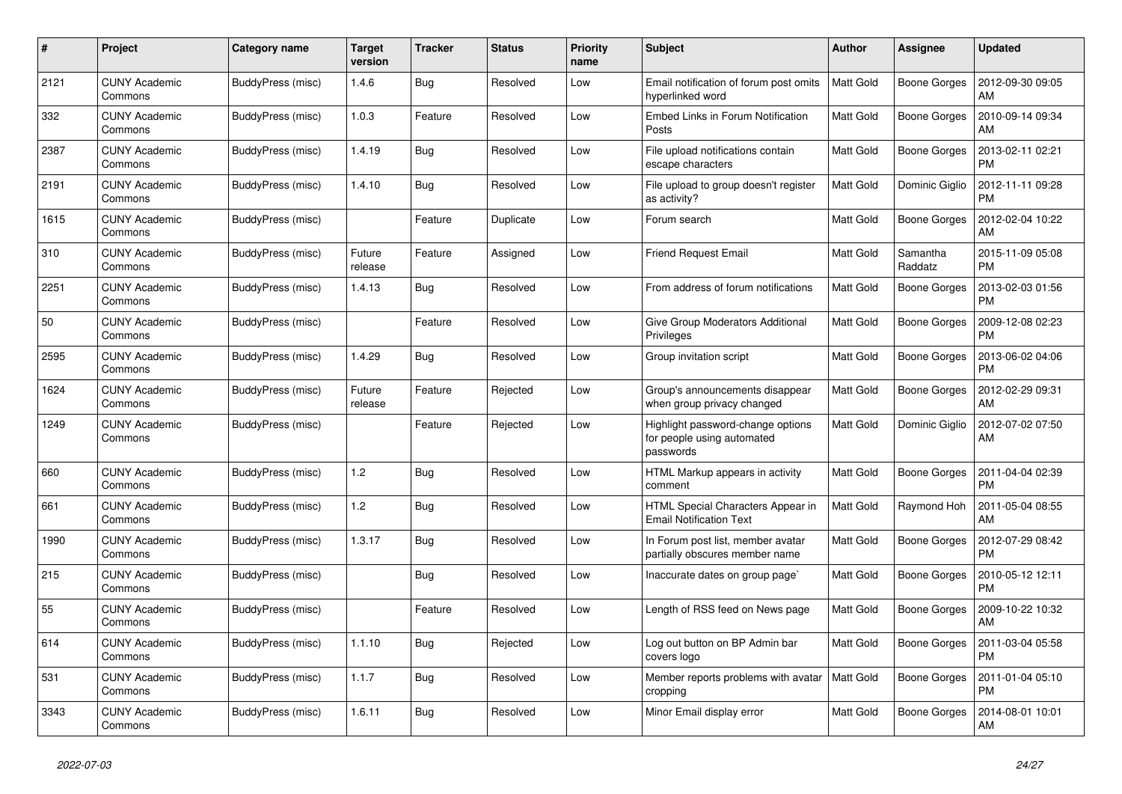| #    | Project                         | Category name     | <b>Target</b><br>version | <b>Tracker</b> | <b>Status</b> | <b>Priority</b><br>name | <b>Subject</b>                                                               | <b>Author</b>    | Assignee            | <b>Updated</b>                |
|------|---------------------------------|-------------------|--------------------------|----------------|---------------|-------------------------|------------------------------------------------------------------------------|------------------|---------------------|-------------------------------|
| 2121 | <b>CUNY Academic</b><br>Commons | BuddyPress (misc) | 1.4.6                    | Bug            | Resolved      | Low                     | Email notification of forum post omits<br>hyperlinked word                   | Matt Gold        | Boone Gorges        | 2012-09-30 09:05<br>AM        |
| 332  | <b>CUNY Academic</b><br>Commons | BuddyPress (misc) | 1.0.3                    | Feature        | Resolved      | Low                     | Embed Links in Forum Notification<br>Posts                                   | <b>Matt Gold</b> | <b>Boone Gorges</b> | 2010-09-14 09:34<br>AM        |
| 2387 | <b>CUNY Academic</b><br>Commons | BuddyPress (misc) | 1.4.19                   | Bug            | Resolved      | Low                     | File upload notifications contain<br>escape characters                       | <b>Matt Gold</b> | Boone Gorges        | 2013-02-11 02:21<br><b>PM</b> |
| 2191 | <b>CUNY Academic</b><br>Commons | BuddyPress (misc) | 1.4.10                   | Bug            | Resolved      | Low                     | File upload to group doesn't register<br>as activity?                        | <b>Matt Gold</b> | Dominic Giglio      | 2012-11-11 09:28<br><b>PM</b> |
| 1615 | <b>CUNY Academic</b><br>Commons | BuddyPress (misc) |                          | Feature        | Duplicate     | Low                     | Forum search                                                                 | Matt Gold        | <b>Boone Gorges</b> | 2012-02-04 10:22<br>AM        |
| 310  | <b>CUNY Academic</b><br>Commons | BuddyPress (misc) | Future<br>release        | Feature        | Assigned      | Low                     | <b>Friend Request Email</b>                                                  | <b>Matt Gold</b> | Samantha<br>Raddatz | 2015-11-09 05:08<br><b>PM</b> |
| 2251 | <b>CUNY Academic</b><br>Commons | BuddyPress (misc) | 1.4.13                   | Bug            | Resolved      | Low                     | From address of forum notifications                                          | <b>Matt Gold</b> | Boone Gorges        | 2013-02-03 01:56<br><b>PM</b> |
| 50   | <b>CUNY Academic</b><br>Commons | BuddyPress (misc) |                          | Feature        | Resolved      | Low                     | Give Group Moderators Additional<br>Privileges                               | Matt Gold        | Boone Gorges        | 2009-12-08 02:23<br><b>PM</b> |
| 2595 | <b>CUNY Academic</b><br>Commons | BuddyPress (misc) | 1.4.29                   | <b>Bug</b>     | Resolved      | Low                     | Group invitation script                                                      | Matt Gold        | <b>Boone Gorges</b> | 2013-06-02 04:06<br><b>PM</b> |
| 1624 | <b>CUNY Academic</b><br>Commons | BuddyPress (misc) | Future<br>release        | Feature        | Rejected      | Low                     | Group's announcements disappear<br>when group privacy changed                | <b>Matt Gold</b> | Boone Gorges        | 2012-02-29 09:31<br>AM        |
| 1249 | <b>CUNY Academic</b><br>Commons | BuddyPress (misc) |                          | Feature        | Rejected      | Low                     | Highlight password-change options<br>for people using automated<br>passwords | <b>Matt Gold</b> | Dominic Giglio      | 2012-07-02 07:50<br>AM        |
| 660  | <b>CUNY Academic</b><br>Commons | BuddyPress (misc) | 1.2                      | <b>Bug</b>     | Resolved      | Low                     | HTML Markup appears in activity<br>comment                                   | <b>Matt Gold</b> | Boone Gorges        | 2011-04-04 02:39<br><b>PM</b> |
| 661  | <b>CUNY Academic</b><br>Commons | BuddyPress (misc) | 1.2                      | Bug            | Resolved      | Low                     | HTML Special Characters Appear in<br><b>Email Notification Text</b>          | <b>Matt Gold</b> | Raymond Hoh         | 2011-05-04 08:55<br>AM        |
| 1990 | <b>CUNY Academic</b><br>Commons | BuddyPress (misc) | 1.3.17                   | Bug            | Resolved      | Low                     | In Forum post list, member avatar<br>partially obscures member name          | <b>Matt Gold</b> | Boone Gorges        | 2012-07-29 08:42<br><b>PM</b> |
| 215  | <b>CUNY Academic</b><br>Commons | BuddyPress (misc) |                          | Bug            | Resolved      | Low                     | Inaccurate dates on group page`                                              | <b>Matt Gold</b> | Boone Gorges        | 2010-05-12 12:11<br><b>PM</b> |
| 55   | <b>CUNY Academic</b><br>Commons | BuddyPress (misc) |                          | Feature        | Resolved      | Low                     | Length of RSS feed on News page                                              | <b>Matt Gold</b> | Boone Gorges        | 2009-10-22 10:32<br>AM        |
| 614  | <b>CUNY Academic</b><br>Commons | BuddyPress (misc) | 1.1.10                   | Bug            | Rejected      | Low                     | Log out button on BP Admin bar<br>covers logo                                | <b>Matt Gold</b> | Boone Gorges        | 2011-03-04 05:58<br><b>PM</b> |
| 531  | <b>CUNY Academic</b><br>Commons | BuddyPress (misc) | 1.1.7                    | Bug            | Resolved      | Low                     | Member reports problems with avatar<br>cropping                              | Matt Gold        | Boone Gorges        | 2011-01-04 05:10<br><b>PM</b> |
| 3343 | <b>CUNY Academic</b><br>Commons | BuddyPress (misc) | 1.6.11                   | Bug            | Resolved      | Low                     | Minor Email display error                                                    | <b>Matt Gold</b> | Boone Gorges        | 2014-08-01 10:01<br>AM        |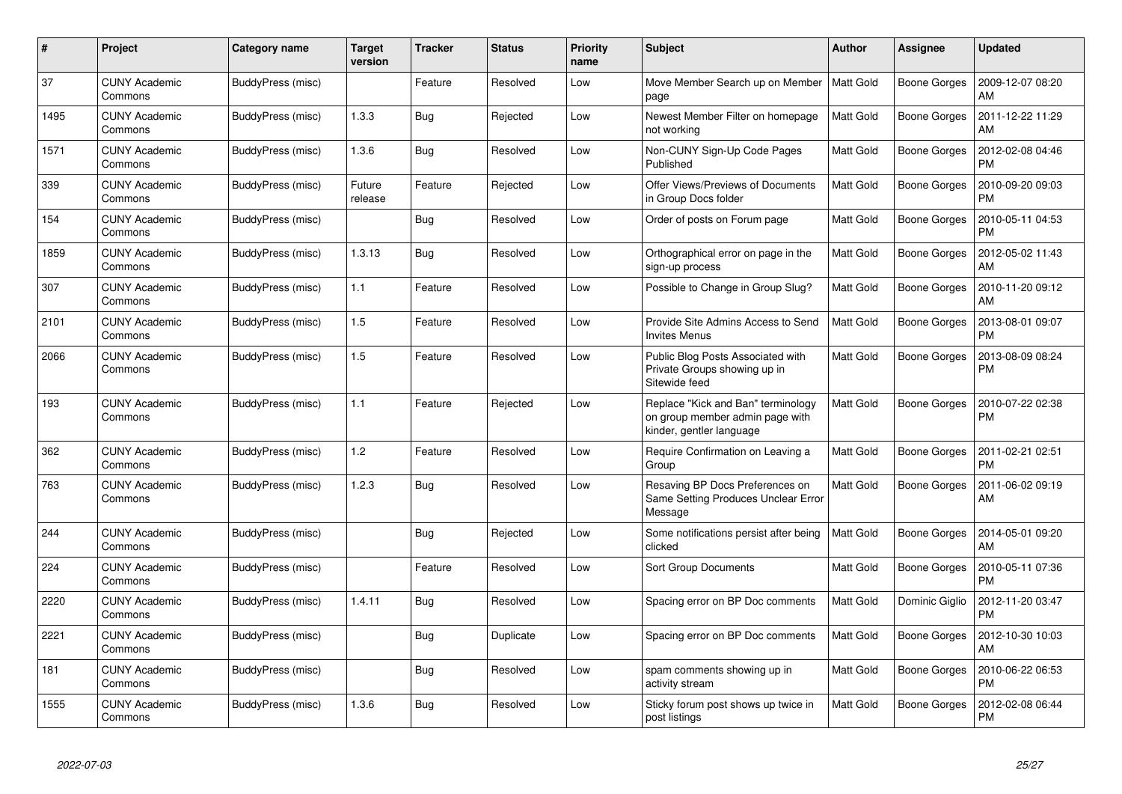| #    | Project                         | <b>Category name</b> | <b>Target</b><br>version | <b>Tracker</b> | <b>Status</b> | <b>Priority</b><br>name | <b>Subject</b>                                                                                    | <b>Author</b>    | Assignee            | <b>Updated</b>                |
|------|---------------------------------|----------------------|--------------------------|----------------|---------------|-------------------------|---------------------------------------------------------------------------------------------------|------------------|---------------------|-------------------------------|
| 37   | <b>CUNY Academic</b><br>Commons | BuddyPress (misc)    |                          | Feature        | Resolved      | Low                     | Move Member Search up on Member<br>page                                                           | <b>Matt Gold</b> | <b>Boone Gorges</b> | 2009-12-07 08:20<br>AM        |
| 1495 | <b>CUNY Academic</b><br>Commons | BuddyPress (misc)    | 1.3.3                    | <b>Bug</b>     | Rejected      | Low                     | Newest Member Filter on homepage<br>not working                                                   | <b>Matt Gold</b> | <b>Boone Gorges</b> | 2011-12-22 11:29<br>AM        |
| 1571 | <b>CUNY Academic</b><br>Commons | BuddyPress (misc)    | 1.3.6                    | <b>Bug</b>     | Resolved      | Low                     | Non-CUNY Sign-Up Code Pages<br>Published                                                          | Matt Gold        | Boone Gorges        | 2012-02-08 04:46<br><b>PM</b> |
| 339  | <b>CUNY Academic</b><br>Commons | BuddyPress (misc)    | Future<br>release        | Feature        | Rejected      | Low                     | Offer Views/Previews of Documents<br>in Group Docs folder                                         | <b>Matt Gold</b> | Boone Gorges        | 2010-09-20 09:03<br><b>PM</b> |
| 154  | <b>CUNY Academic</b><br>Commons | BuddyPress (misc)    |                          | Bug            | Resolved      | Low                     | Order of posts on Forum page                                                                      | Matt Gold        | <b>Boone Gorges</b> | 2010-05-11 04:53<br><b>PM</b> |
| 1859 | <b>CUNY Academic</b><br>Commons | BuddyPress (misc)    | 1.3.13                   | Bug            | Resolved      | Low                     | Orthographical error on page in the<br>sign-up process                                            | <b>Matt Gold</b> | <b>Boone Gorges</b> | 2012-05-02 11:43<br>AM        |
| 307  | <b>CUNY Academic</b><br>Commons | BuddyPress (misc)    | 1.1                      | Feature        | Resolved      | Low                     | Possible to Change in Group Slug?                                                                 | <b>Matt Gold</b> | Boone Gorges        | 2010-11-20 09:12<br>AM        |
| 2101 | <b>CUNY Academic</b><br>Commons | BuddyPress (misc)    | 1.5                      | Feature        | Resolved      | Low                     | Provide Site Admins Access to Send<br><b>Invites Menus</b>                                        | <b>Matt Gold</b> | <b>Boone Gorges</b> | 2013-08-01 09:07<br><b>PM</b> |
| 2066 | <b>CUNY Academic</b><br>Commons | BuddyPress (misc)    | 1.5                      | Feature        | Resolved      | Low                     | Public Blog Posts Associated with<br>Private Groups showing up in<br>Sitewide feed                | <b>Matt Gold</b> | <b>Boone Gorges</b> | 2013-08-09 08:24<br><b>PM</b> |
| 193  | <b>CUNY Academic</b><br>Commons | BuddyPress (misc)    | 1.1                      | Feature        | Rejected      | Low                     | Replace "Kick and Ban" terminology<br>on group member admin page with<br>kinder, gentler language | Matt Gold        | Boone Gorges        | 2010-07-22 02:38<br><b>PM</b> |
| 362  | <b>CUNY Academic</b><br>Commons | BuddyPress (misc)    | 1.2                      | Feature        | Resolved      | Low                     | Require Confirmation on Leaving a<br>Group                                                        | <b>Matt Gold</b> | Boone Gorges        | 2011-02-21 02:51<br><b>PM</b> |
| 763  | <b>CUNY Academic</b><br>Commons | BuddyPress (misc)    | 1.2.3                    | Bug            | Resolved      | Low                     | Resaving BP Docs Preferences on<br>Same Setting Produces Unclear Error<br>Message                 | <b>Matt Gold</b> | Boone Gorges        | 2011-06-02 09:19<br>AM        |
| 244  | <b>CUNY Academic</b><br>Commons | BuddyPress (misc)    |                          | Bug            | Rejected      | Low                     | Some notifications persist after being<br>clicked                                                 | Matt Gold        | <b>Boone Gorges</b> | 2014-05-01 09:20<br>AM        |
| 224  | <b>CUNY Academic</b><br>Commons | BuddyPress (misc)    |                          | Feature        | Resolved      | Low                     | <b>Sort Group Documents</b>                                                                       | <b>Matt Gold</b> | Boone Gorges        | 2010-05-11 07:36<br><b>PM</b> |
| 2220 | <b>CUNY Academic</b><br>Commons | BuddyPress (misc)    | 1.4.11                   | Bug            | Resolved      | Low                     | Spacing error on BP Doc comments                                                                  | <b>Matt Gold</b> | Dominic Giglio      | 2012-11-20 03:47<br><b>PM</b> |
| 2221 | <b>CUNY Academic</b><br>Commons | BuddyPress (misc)    |                          | Bug            | Duplicate     | Low                     | Spacing error on BP Doc comments                                                                  | <b>Matt Gold</b> | Boone Gorges        | 2012-10-30 10:03<br>AM        |
| 181  | <b>CUNY Academic</b><br>Commons | BuddyPress (misc)    |                          | <b>Bug</b>     | Resolved      | Low                     | spam comments showing up in<br>activity stream                                                    | <b>Matt Gold</b> | Boone Gorges        | 2010-06-22 06:53<br><b>PM</b> |
| 1555 | <b>CUNY Academic</b><br>Commons | BuddyPress (misc)    | 1.3.6                    | Bug            | Resolved      | Low                     | Sticky forum post shows up twice in<br>post listings                                              | <b>Matt Gold</b> | Boone Gorges        | 2012-02-08 06:44<br><b>PM</b> |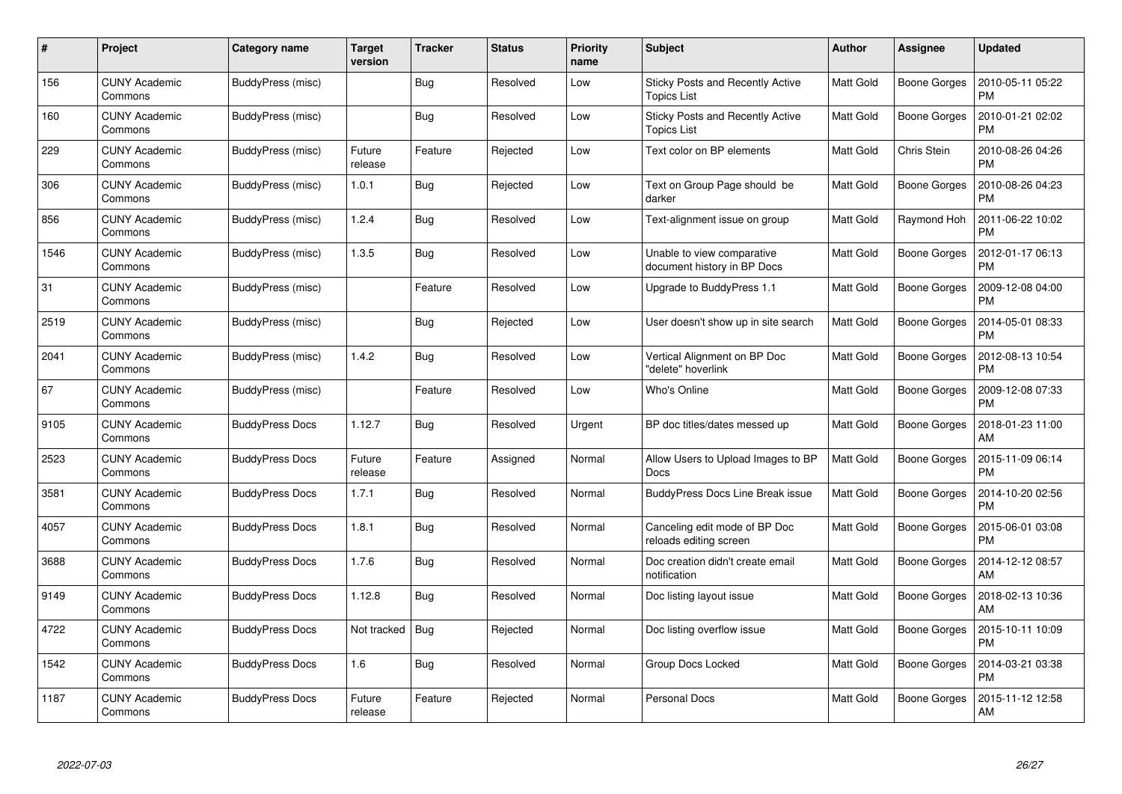| #    | Project                         | Category name          | <b>Target</b><br>version | <b>Tracker</b> | <b>Status</b> | <b>Priority</b><br>name | <b>Subject</b>                                                | Author           | Assignee            | <b>Updated</b>                |
|------|---------------------------------|------------------------|--------------------------|----------------|---------------|-------------------------|---------------------------------------------------------------|------------------|---------------------|-------------------------------|
| 156  | <b>CUNY Academic</b><br>Commons | BuddyPress (misc)      |                          | Bug            | Resolved      | Low                     | <b>Sticky Posts and Recently Active</b><br><b>Topics List</b> | <b>Matt Gold</b> | Boone Gorges        | 2010-05-11 05:22<br><b>PM</b> |
| 160  | <b>CUNY Academic</b><br>Commons | BuddyPress (misc)      |                          | <b>Bug</b>     | Resolved      | Low                     | Sticky Posts and Recently Active<br>Topics List               | <b>Matt Gold</b> | <b>Boone Gorges</b> | 2010-01-21 02:02<br><b>PM</b> |
| 229  | <b>CUNY Academic</b><br>Commons | BuddyPress (misc)      | Future<br>release        | Feature        | Rejected      | Low                     | Text color on BP elements                                     | Matt Gold        | Chris Stein         | 2010-08-26 04:26<br><b>PM</b> |
| 306  | <b>CUNY Academic</b><br>Commons | BuddyPress (misc)      | 1.0.1                    | Bug            | Rejected      | Low                     | Text on Group Page should be<br>darker                        | <b>Matt Gold</b> | Boone Gorges        | 2010-08-26 04:23<br><b>PM</b> |
| 856  | <b>CUNY Academic</b><br>Commons | BuddyPress (misc)      | 1.2.4                    | <b>Bug</b>     | Resolved      | Low                     | Text-alignment issue on group                                 | <b>Matt Gold</b> | Raymond Hoh         | 2011-06-22 10:02<br><b>PM</b> |
| 1546 | <b>CUNY Academic</b><br>Commons | BuddyPress (misc)      | 1.3.5                    | Bug            | Resolved      | Low                     | Unable to view comparative<br>document history in BP Docs     | <b>Matt Gold</b> | Boone Gorges        | 2012-01-17 06:13<br><b>PM</b> |
| 31   | <b>CUNY Academic</b><br>Commons | BuddyPress (misc)      |                          | Feature        | Resolved      | Low                     | Upgrade to BuddyPress 1.1                                     | <b>Matt Gold</b> | Boone Gorges        | 2009-12-08 04:00<br><b>PM</b> |
| 2519 | <b>CUNY Academic</b><br>Commons | BuddyPress (misc)      |                          | Bug            | Rejected      | Low                     | User doesn't show up in site search                           | <b>Matt Gold</b> | Boone Gorges        | 2014-05-01 08:33<br><b>PM</b> |
| 2041 | <b>CUNY Academic</b><br>Commons | BuddyPress (misc)      | 1.4.2                    | Bug            | Resolved      | Low                     | Vertical Alignment on BP Doc<br>"delete" hoverlink            | <b>Matt Gold</b> | Boone Gorges        | 2012-08-13 10:54<br><b>PM</b> |
| 67   | <b>CUNY Academic</b><br>Commons | BuddyPress (misc)      |                          | Feature        | Resolved      | Low                     | Who's Online                                                  | <b>Matt Gold</b> | <b>Boone Gorges</b> | 2009-12-08 07:33<br>PM        |
| 9105 | <b>CUNY Academic</b><br>Commons | <b>BuddyPress Docs</b> | 1.12.7                   | Bug            | Resolved      | Urgent                  | BP doc titles/dates messed up                                 | <b>Matt Gold</b> | Boone Gorges        | 2018-01-23 11:00<br>AM        |
| 2523 | <b>CUNY Academic</b><br>Commons | <b>BuddyPress Docs</b> | Future<br>release        | Feature        | Assigned      | Normal                  | Allow Users to Upload Images to BP<br>Docs                    | <b>Matt Gold</b> | Boone Gorges        | 2015-11-09 06:14<br><b>PM</b> |
| 3581 | <b>CUNY Academic</b><br>Commons | <b>BuddyPress Docs</b> | 1.7.1                    | Bug            | Resolved      | Normal                  | <b>BuddyPress Docs Line Break issue</b>                       | <b>Matt Gold</b> | Boone Gorges        | 2014-10-20 02:56<br><b>PM</b> |
| 4057 | <b>CUNY Academic</b><br>Commons | <b>BuddyPress Docs</b> | 1.8.1                    | Bug            | Resolved      | Normal                  | Canceling edit mode of BP Doc<br>reloads editing screen       | Matt Gold        | Boone Gorges        | 2015-06-01 03:08<br><b>PM</b> |
| 3688 | <b>CUNY Academic</b><br>Commons | <b>BuddyPress Docs</b> | 1.7.6                    | <b>Bug</b>     | Resolved      | Normal                  | Doc creation didn't create email<br>notification              | <b>Matt Gold</b> | Boone Gorges        | 2014-12-12 08:57<br>AM        |
| 9149 | <b>CUNY Academic</b><br>Commons | <b>BuddyPress Docs</b> | 1.12.8                   | Bug            | Resolved      | Normal                  | Doc listing layout issue                                      | <b>Matt Gold</b> | Boone Gorges        | 2018-02-13 10:36<br>AM        |
| 4722 | <b>CUNY Academic</b><br>Commons | <b>BuddyPress Docs</b> | Not tracked              | Bug            | Rejected      | Normal                  | Doc listing overflow issue                                    | <b>Matt Gold</b> | Boone Gorges        | 2015-10-11 10:09<br><b>PM</b> |
| 1542 | <b>CUNY Academic</b><br>Commons | <b>BuddyPress Docs</b> | 1.6                      | Bug            | Resolved      | Normal                  | Group Docs Locked                                             | <b>Matt Gold</b> | Boone Gorges        | 2014-03-21 03:38<br><b>PM</b> |
| 1187 | CUNY Academic<br>Commons        | <b>BuddyPress Docs</b> | Future<br>release        | Feature        | Rejected      | Normal                  | Personal Docs                                                 | <b>Matt Gold</b> | Boone Gorges        | 2015-11-12 12:58<br>AM        |